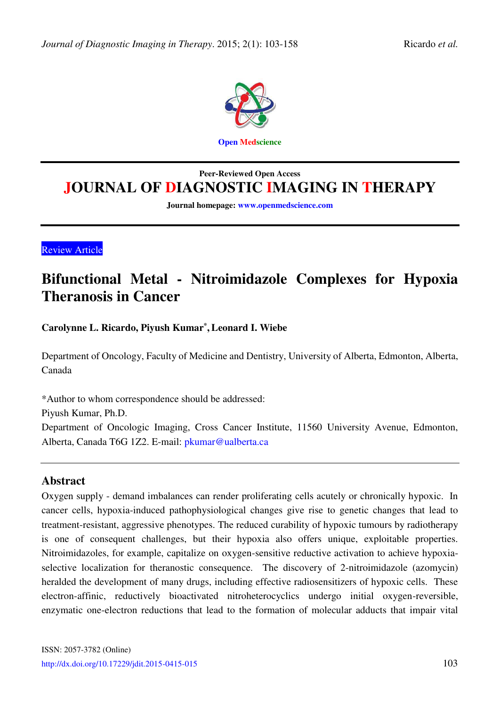

# **Peer-Reviewed Open Access JOURNAL OF DIAGNOSTIC IMAGING IN THERAPY**

**Journal homepage: [www.openmedscience.com](http://www.openmedscience.com/)** 

Review Article

# **[Bifunctional Metal - Nitroimidazole Complexes for Hypoxia](http://openmedscience.com/article/bifunctional-metal-nitroimidazole-complexes-for-hypoxia-theranosis-in-cancer/)  [Theranosis in Cancer](http://openmedscience.com/article/bifunctional-metal-nitroimidazole-complexes-for-hypoxia-theranosis-in-cancer/)**

**Carolynne L. Ricardo, Piyush Kumar\* , Leonard I. Wiebe** 

Department of Oncology, Faculty of Medicine and Dentistry, University of Alberta, Edmonton, Alberta, Canada

\*Author to whom correspondence should be addressed:

Piyush Kumar, Ph.D.

Department of Oncologic Imaging, Cross Cancer Institute, 11560 University Avenue, Edmonton, Alberta, Canada T6G 1Z2. E-mail: [pkumar@ualberta.ca](mailto:pkumar@ualberta.ca) 

### **Abstract**

Oxygen supply - demand imbalances can render proliferating cells acutely or chronically hypoxic. In cancer cells, hypoxia-induced pathophysiological changes give rise to genetic changes that lead to treatment-resistant, aggressive phenotypes. The reduced curability of hypoxic tumours by radiotherapy is one of consequent challenges, but their hypoxia also offers unique, exploitable properties. Nitroimidazoles, for example, capitalize on oxygen-sensitive reductive activation to achieve hypoxiaselective localization for theranostic consequence. The discovery of 2-nitroimidazole (azomycin) heralded the development of many drugs, including effective radiosensitizers of hypoxic cells. These electron-affinic, reductively bioactivated nitroheterocyclics undergo initial oxygen-reversible, enzymatic one-electron reductions that lead to the formation of molecular adducts that impair vital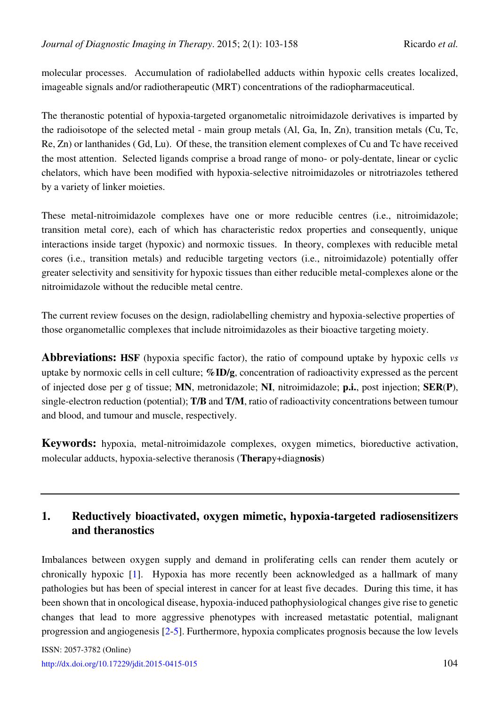molecular processes. Accumulation of radiolabelled adducts within hypoxic cells creates localized, imageable signals and/or radiotherapeutic (MRT) concentrations of the radiopharmaceutical.

The theranostic potential of hypoxia-targeted organometalic nitroimidazole derivatives is imparted by the radioisotope of the selected metal - main group metals (Al, Ga, In, Zn), transition metals (Cu, Tc, Re, Zn) or lanthanides ( Gd, Lu). Of these, the transition element complexes of Cu and Tc have received the most attention. Selected ligands comprise a broad range of mono- or poly-dentate, linear or cyclic chelators, which have been modified with hypoxia-selective nitroimidazoles or nitrotriazoles tethered by a variety of linker moieties.

These metal-nitroimidazole complexes have one or more reducible centres (i.e., nitroimidazole; transition metal core), each of which has characteristic redox properties and consequently, unique interactions inside target (hypoxic) and normoxic tissues. In theory, complexes with reducible metal cores (i.e., transition metals) and reducible targeting vectors (i.e., nitroimidazole) potentially offer greater selectivity and sensitivity for hypoxic tissues than either reducible metal-complexes alone or the nitroimidazole without the reducible metal centre.

The current review focuses on the design, radiolabelling chemistry and hypoxia-selective properties of those organometallic complexes that include nitroimidazoles as their bioactive targeting moiety.

**Abbreviations: HSF** (hypoxia specific factor), the ratio of compound uptake by hypoxic cells *vs* uptake by normoxic cells in cell culture; **%ID/g**, concentration of radioactivity expressed as the percent of injected dose per g of tissue; **MN**, metronidazole; **NI**, nitroimidazole; **p.i.**, post injection; **SER**(**P**), single-electron reduction (potential); **T/B** and **T/M**, ratio of radioactivity concentrations between tumour and blood, and tumour and muscle, respectively.

**Keywords:** hypoxia, metal-nitroimidazole complexes, oxygen mimetics, bioreductive activation, molecular adducts, hypoxia-selective theranosis (**Thera**py+diag**nosis**)

# **1. Reductively bioactivated, oxygen mimetic, hypoxia-targeted radiosensitizers and theranostics**

Imbalances between oxygen supply and demand in proliferating cells can render them acutely or chronically hypoxic [\[1\]](#page-47-0). Hypoxia has more recently been acknowledged as a hallmark of many pathologies but has been of special interest in cancer for at least five decades. During this time, it has been shown that in oncological disease, hypoxia-induced pathophysiological changes give rise to genetic changes that lead to more aggressive phenotypes with increased metastatic potential, malignant progression and angiogenesis [\[2](#page-47-1)[-5\]](#page-47-2). Furthermore, hypoxia complicates prognosis because the low levels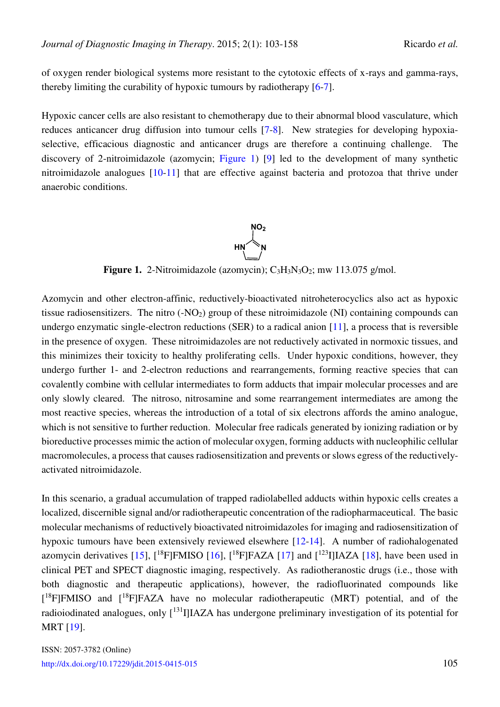of oxygen render biological systems more resistant to the cytotoxic effects of x-rays and gamma-rays, thereby limiting the curability of hypoxic tumours by radiotherapy [\[6-](#page-47-3)[7\]](#page-47-4).

Hypoxic cancer cells are also resistant to chemotherapy due to their abnormal blood vasculature, which reduces anticancer drug diffusion into tumour cells [\[7](#page-47-4)[-8\]](#page-47-5). New strategies for developing hypoxiaselective, efficacious diagnostic and anticancer drugs are therefore a continuing challenge. The discovery of 2-nitroimidazole (azomycin; [Figure 1\)](#page-2-0) [\[9\]](#page-48-0) led to the development of many synthetic nitroimidazole analogues [\[10](#page-48-1)[-11\]](#page-48-2) that are effective against bacteria and protozoa that thrive under anaerobic conditions.

<span id="page-2-0"></span>

**Figure 1.** 2-Nitroimidazole (azomycin); C<sub>3</sub>H<sub>3</sub>N<sub>3</sub>O<sub>2</sub>; mw 113.075 g/mol.

Azomycin and other electron-affinic, reductively-bioactivated nitroheterocyclics also act as hypoxic tissue radiosensitizers. The nitro  $(-NO<sub>2</sub>)$  group of these nitroimidazole  $(NI)$  containing compounds can undergo enzymatic single-electron reductions (SER) to a radical anion [\[11\]](#page-48-2), a process that is reversible in the presence of oxygen. These nitroimidazoles are not reductively activated in normoxic tissues, and this minimizes their toxicity to healthy proliferating cells. Under hypoxic conditions, however, they undergo further 1- and 2-electron reductions and rearrangements, forming reactive species that can covalently combine with cellular intermediates to form adducts that impair molecular processes and are only slowly cleared. The nitroso, nitrosamine and some rearrangement intermediates are among the most reactive species, whereas the introduction of a total of six electrons affords the amino analogue, which is not sensitive to further reduction. Molecular free radicals generated by ionizing radiation or by bioreductive processes mimic the action of molecular oxygen, forming adducts with nucleophilic cellular macromolecules, a process that causes radiosensitization and prevents or slows egress of the reductivelyactivated nitroimidazole.

In this scenario, a gradual accumulation of trapped radiolabelled adducts within hypoxic cells creates a localized, discernible signal and/or radiotherapeutic concentration of the radiopharmaceutical. The basic molecular mechanisms of reductively bioactivated nitroimidazoles for imaging and radiosensitization of hypoxic tumours have been extensively reviewed elsewhere [\[12](#page-48-3)[-14\]](#page-48-4). A number of radiohalogenated azomycin derivatives [\[15\]](#page-48-5),  $[18F]F MISO [16]$  $[18F]F MISO [16]$ ,  $[18F]FAZA [17]$  $[18F]FAZA [17]$  and  $[123]IJAZA [18]$  $[123]IJAZA [18]$ , have been used in clinical PET and SPECT diagnostic imaging, respectively. As radiotheranostic drugs (i.e., those with both diagnostic and therapeutic applications), however, the radiofluorinated compounds like [<sup>18</sup>F]FMISO and [<sup>18</sup>F]FAZA have no molecular radiotherapeutic (MRT) potential, and of the radioiodinated analogues, only [<sup>131</sup>I]IAZA has undergone preliminary investigation of its potential for MRT [\[19\]](#page-48-9).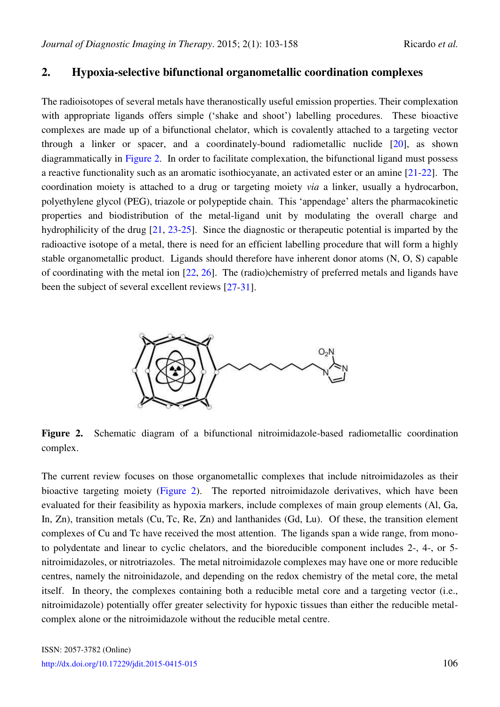### <span id="page-3-0"></span>**2. Hypoxia-selective bifunctional organometallic coordination complexes**

The radioisotopes of several metals have theranostically useful emission properties. Their complexation with appropriate ligands offers simple ('shake and shoot') labelling procedures. These bioactive complexes are made up of a bifunctional chelator, which is covalently attached to a targeting vector through a linker or spacer, and a coordinately-bound radiometallic nuclide [\[20\]](#page-48-10), as shown diagrammatically in [Figure 2.](#page-3-0) In order to facilitate complexation, the bifunctional ligand must possess a reactive functionality such as an aromatic isothiocyanate, an activated ester or an amine [\[21-](#page-48-11)[22\]](#page-48-12). The coordination moiety is attached to a drug or targeting moiety *via* a linker, usually a hydrocarbon, polyethylene glycol (PEG), triazole or polypeptide chain. This 'appendage' alters the pharmacokinetic properties and biodistribution of the metal-ligand unit by modulating the overall charge and hydrophilicity of the drug [\[21,](#page-48-11) [23-](#page-49-0)[25\]](#page-49-1). Since the diagnostic or therapeutic potential is imparted by the radioactive isotope of a metal, there is need for an efficient labelling procedure that will form a highly stable organometallic product. Ligands should therefore have inherent donor atoms (N, O, S) capable of coordinating with the metal ion [\[22,](#page-48-12) [26\]](#page-49-2). The (radio)chemistry of preferred metals and ligands have been the subject of several excellent reviews [\[27](#page-49-3)[-31\]](#page-49-4).



**Figure 2.** Schematic diagram of a bifunctional nitroimidazole-based radiometallic coordination complex.

The current review focuses on those organometallic complexes that include nitroimidazoles as their bioactive targeting moiety [\(Figure 2\)](#page-3-0). The reported nitroimidazole derivatives, which have been evaluated for their feasibility as hypoxia markers, include complexes of main group elements (Al, Ga, In, Zn), transition metals (Cu, Tc, Re, Zn) and lanthanides (Gd, Lu). Of these, the transition element complexes of Cu and Tc have received the most attention. The ligands span a wide range, from monoto polydentate and linear to cyclic chelators, and the bioreducible component includes 2-, 4-, or 5 nitroimidazoles, or nitrotriazoles. The metal nitroimidazole complexes may have one or more reducible centres, namely the nitroinidazole, and depending on the redox chemistry of the metal core, the metal itself. In theory, the complexes containing both a reducible metal core and a targeting vector (i.e., nitroimidazole) potentially offer greater selectivity for hypoxic tissues than either the reducible metalcomplex alone or the nitroimidazole without the reducible metal centre.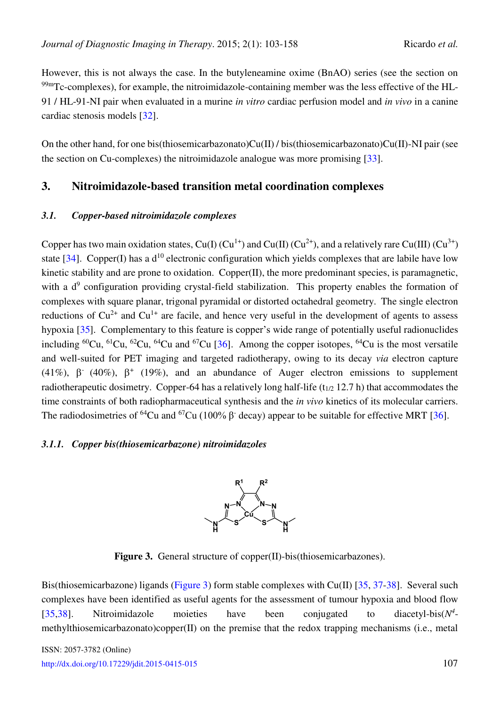However, this is not always the case. In the butyleneamine oxime (BnAO) series (see the section on 99mTc-complexes), for example, the nitroimidazole-containing member was the less effective of the HL-91 / HL-91-NI pair when evaluated in a murine *in vitro* cardiac perfusion model and *in vivo* in a canine cardiac stenosis models [\[32\]](#page-49-5).

On the other hand, for one bis(thiosemicarbazonato)Cu(II) / bis(thiosemicarbazonato)Cu(II)-NI pair (see the section on Cu-complexes) the nitroimidazole analogue was more promising [\[33\]](#page-49-6).

### **3. Nitroimidazole-based transition metal coordination complexes**

#### *3.1. Copper-based nitroimidazole complexes*

Copper has two main oxidation states, Cu(I)  $(Cu^{1+})$  and Cu(II)  $(Cu^{2+})$ , and a relatively rare Cu(III)  $(Cu^{3+})$ state [\[34\]](#page-49-7). Copper(I) has a  $d^{10}$  electronic configuration which yields complexes that are labile have low kinetic stability and are prone to oxidation. Copper(II), the more predominant species, is paramagnetic, with a  $d^9$  configuration providing crystal-field stabilization. This property enables the formation of complexes with square planar, trigonal pyramidal or distorted octahedral geometry. The single electron reductions of  $Cu^{2+}$  and  $Cu^{1+}$  are facile, and hence very useful in the development of agents to assess hypoxia [\[35\]](#page-49-8). Complementary to this feature is copper's wide range of potentially useful radionuclides including  ${}^{60}Cu$ ,  ${}^{61}Cu$ ,  ${}^{62}Cu$ ,  ${}^{64}Cu$  and  ${}^{67}Cu$  [\[36\]](#page-49-9). Among the copper isotopes,  ${}^{64}Cu$  is the most versatile and well-suited for PET imaging and targeted radiotherapy, owing to its decay *via* electron capture (41%),  $\beta$ <sup>-</sup> (40%),  $\beta$ <sup>+</sup> (19%), and an abundance of Auger electron emissions to supplement radiotherapeutic dosimetry. Copper-64 has a relatively long half-life  $(t_{1/2}$  12.7 h) that accommodates the time constraints of both radiopharmaceutical synthesis and the *in vivo* kinetics of its molecular carriers. The radiodosimetries of <sup>64</sup>Cu and <sup>67</sup>Cu (100%  $\beta$ <sup>-</sup> decay) appear to be suitable for effective MRT [\[36\]](#page-49-9).

#### <span id="page-4-0"></span>*3.1.1. Copper bis(thiosemicarbazone) nitroimidazoles*



Figure 3. General structure of copper(II)-bis(thiosemicarbazones).

Bis(thiosemicarbazone) ligands [\(Figure 3\)](#page-4-0) form stable complexes with Cu(II) [\[35,](#page-49-8) [37](#page-49-10)[-38\]](#page-50-0). Several such complexes have been identified as useful agents for the assessment of tumour hypoxia and blood flow [\[35](#page-49-8)[,38\]](#page-50-0). Nitroimidazole moieties have been conjugated to *4* methylthiosemicarbazonato)copper(II) on the premise that the redox trapping mechanisms (i.e., metal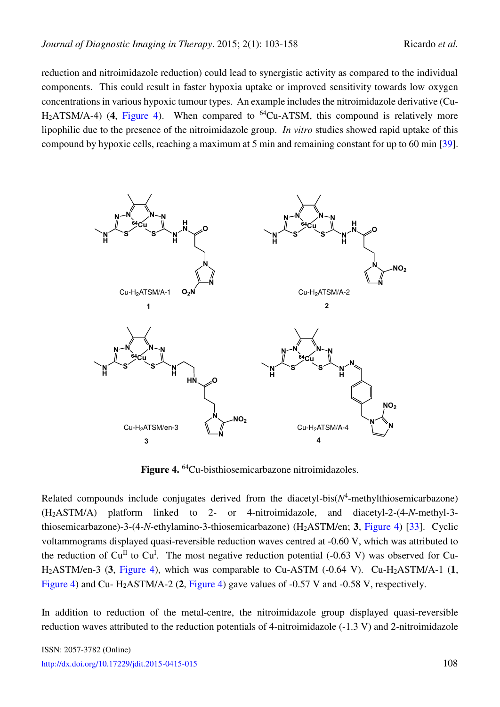reduction and nitroimidazole reduction) could lead to synergistic activity as compared to the individual components. This could result in faster hypoxia uptake or improved sensitivity towards low oxygen concentrations in various hypoxic tumour types. An example includes the nitroimidazole derivative (Cu-H<sub>2</sub>ATSM/A-4) (4, [Figure 4\)](#page-5-0). When compared to <sup>64</sup>Cu-ATSM, this compound is relatively more lipophilic due to the presence of the nitroimidazole group. *In vitro* studies showed rapid uptake of this compound by hypoxic cells, reaching a maximum at 5 min and remaining constant for up to 60 min [\[39\]](#page-50-1).

<span id="page-5-0"></span>

**Figure 4.** <sup>64</sup>Cu-bisthiosemicarbazone nitroimidazoles.

Related compounds include conjugates derived from the diacetyl-bis $(N^4$ -methylthiosemicarbazone) (H2ASTM/A) platform linked to 2- or 4-nitroimidazole, and diacetyl-2-(4-*N*-methyl-3 thiosemicarbazone)-3-(4-*N*-ethylamino-3-thiosemicarbazone) (H2ASTM/en; **3**, [Figure 4\)](#page-5-0) [\[33\]](#page-49-6). Cyclic voltammograms displayed quasi-reversible reduction waves centred at -0.60 V, which was attributed to the reduction of Cu<sup>II</sup> to Cu<sup>I</sup>. The most negative reduction potential (-0.63 V) was observed for Cu-H2ASTM/en-3 (**3**, [Figure 4\)](#page-5-0), which was comparable to Cu-ASTM (-0.64 V). Cu-H2ASTM/A-1 (**1**, [Figure 4\)](#page-5-0) and Cu- H2ASTM/A-2 (**2**, [Figure 4\)](#page-5-0) gave values of -0.57 V and -0.58 V, respectively.

In addition to reduction of the metal-centre, the nitroimidazole group displayed quasi-reversible reduction waves attributed to the reduction potentials of 4-nitroimidazole (-1.3 V) and 2-nitroimidazole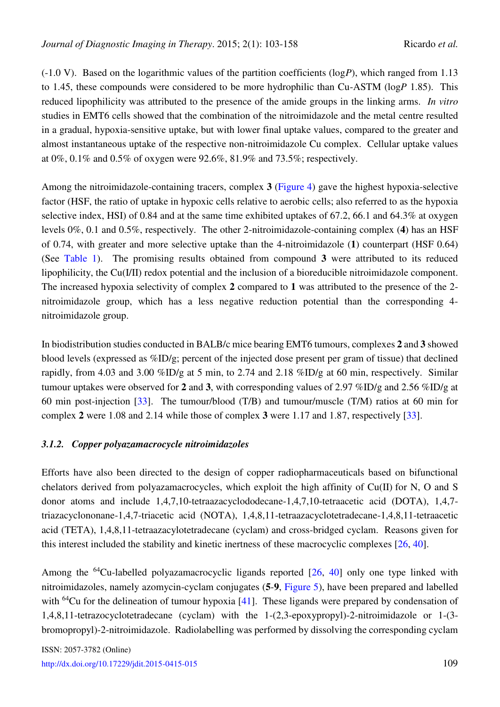(-1.0 V). Based on the logarithmic values of the partition coefficients (log*P*), which ranged from 1.13 to 1.45, these compounds were considered to be more hydrophilic than Cu-ASTM (log*P* 1.85). This reduced lipophilicity was attributed to the presence of the amide groups in the linking arms. *In vitro* studies in EMT6 cells showed that the combination of the nitroimidazole and the metal centre resulted in a gradual, hypoxia-sensitive uptake, but with lower final uptake values, compared to the greater and almost instantaneous uptake of the respective non-nitroimidazole Cu complex. Cellular uptake values at 0%, 0.1% and 0.5% of oxygen were 92.6%, 81.9% and 73.5%; respectively.

Among the nitroimidazole-containing tracers, complex **3** [\(Figure 4\)](#page-5-0) gave the highest hypoxia-selective factor (HSF, the ratio of uptake in hypoxic cells relative to aerobic cells; also referred to as the hypoxia selective index, HSI) of 0.84 and at the same time exhibited uptakes of 67.2, 66.1 and 64.3% at oxygen levels 0%, 0.1 and 0.5%, respectively. The other 2-nitroimidazole-containing complex (**4**) has an HSF of 0.74, with greater and more selective uptake than the 4-nitroimidazole (**1**) counterpart (HSF 0.64) (See [Table 1\)](#page-45-0). The promising results obtained from compound **3** were attributed to its reduced lipophilicity, the Cu(I/II) redox potential and the inclusion of a bioreducible nitroimidazole component. The increased hypoxia selectivity of complex **2** compared to **1** was attributed to the presence of the 2 nitroimidazole group, which has a less negative reduction potential than the corresponding 4 nitroimidazole group.

In biodistribution studies conducted in BALB/c mice bearing EMT6 tumours, complexes **2** and **3** showed blood levels (expressed as %ID/g; percent of the injected dose present per gram of tissue) that declined rapidly, from 4.03 and 3.00 %ID/g at 5 min, to 2.74 and 2.18 %ID/g at 60 min, respectively. Similar tumour uptakes were observed for **2** and **3**, with corresponding values of 2.97 %ID/g and 2.56 %ID/g at 60 min post-injection [\[33\]](#page-49-6). The tumour/blood (T/B) and tumour/muscle (T/M) ratios at 60 min for complex **2** were 1.08 and 2.14 while those of complex **3** were 1.17 and 1.87, respectively [\[33\]](#page-49-6).

#### *3.1.2. Copper polyazamacrocycle nitroimidazoles*

Efforts have also been directed to the design of copper radiopharmaceuticals based on bifunctional chelators derived from polyazamacrocycles, which exploit the high affinity of  $Cu(II)$  for N, O and S donor atoms and include 1,4,7,10-tetraazacyclododecane-1,4,7,10-tetraacetic acid (DOTA), 1,4,7 triazacyclononane-1,4,7-triacetic acid (NOTA), 1,4,8,11-tetraazacyclotetradecane-1,4,8,11-tetraacetic acid (TETA), 1,4,8,11-tetraazacylotetradecane (cyclam) and cross-bridged cyclam. Reasons given for this interest included the stability and kinetic inertness of these macrocyclic complexes [\[26,](#page-49-2) [40\]](#page-50-2).

Among the <sup>64</sup>Cu-labelled polyazamacrocyclic ligands reported  $[26, 40]$  $[26, 40]$  $[26, 40]$  only one type linked with nitroimidazoles, namely azomycin-cyclam conjugates (**5**-**9**, [Figure 5\)](#page-7-0), have been prepared and labelled with <sup>64</sup>Cu for the delineation of tumour hypoxia  $[41]$ . These ligands were prepared by condensation of 1,4,8,11-tetrazocyclotetradecane (cyclam) with the 1-(2,3-epoxypropyl)-2-nitroimidazole or 1-(3 bromopropyl)-2-nitroimidazole. Radiolabelling was performed by dissolving the corresponding cyclam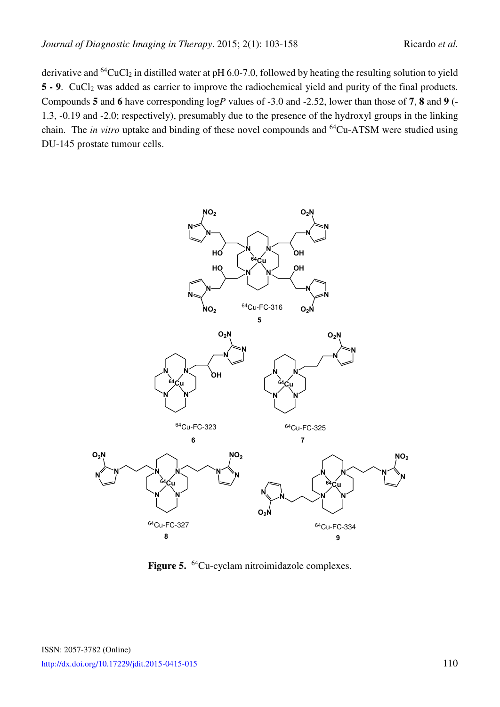derivative and  $^{64}CuCl<sub>2</sub>$  in distilled water at pH 6.0-7.0, followed by heating the resulting solution to yield **5 - 9.** CuCl<sub>2</sub> was added as carrier to improve the radiochemical yield and purity of the final products. Compounds **5** and **6** have corresponding log*P* values of -3.0 and -2.52, lower than those of **7**, **8** and **9** (- 1.3, -0.19 and -2.0; respectively), presumably due to the presence of the hydroxyl groups in the linking chain. The *in vitro* uptake and binding of these novel compounds and <sup>64</sup>Cu-ATSM were studied using DU-145 prostate tumour cells.

<span id="page-7-0"></span>

**Figure 5.** <sup>64</sup>Cu-cyclam nitroimidazole complexes.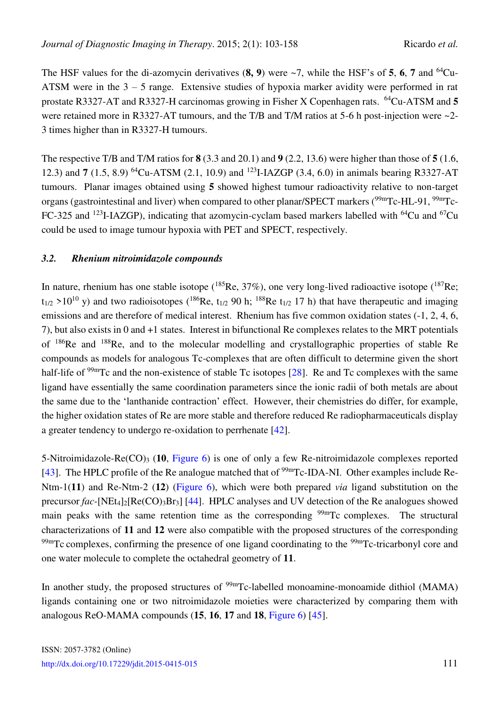The HSF values for the di-azomycin derivatives  $(8, 9)$  were  $\sim$ 7, while the HSF's of 5, 6, 7 and <sup>64</sup>Cu-ATSM were in the 3 – 5 range. Extensive studies of hypoxia marker avidity were performed in rat prostate R3327-AT and R3327-H carcinomas growing in Fisher X Copenhagen rats. <sup>64</sup>Cu-ATSM and **5**  were retained more in R3327-AT tumours, and the T/B and T/M ratios at 5-6 h post-injection were ~2-3 times higher than in R3327-H tumours.

The respective T/B and T/M ratios for **8** (3.3 and 20.1) and **9** (2.2, 13.6) were higher than those of **5** (1.6, 12.3) and **7** (1.5, 8.9) <sup>64</sup>Cu-ATSM (2.1, 10.9) and <sup>123</sup>I-IAZGP (3.4, 6.0) in animals bearing R3327-AT tumours. Planar images obtained using **5** showed highest tumour radioactivity relative to non-target organs (gastrointestinal and liver) when compared to other planar/SPECT markers (<sup>99m</sup>Tc-HL-91, <sup>99m</sup>Tc-FC-325 and <sup>123</sup>I-IAZGP), indicating that azomycin-cyclam based markers labelled with <sup>64</sup>Cu and <sup>67</sup>Cu could be used to image tumour hypoxia with PET and SPECT, respectively.

#### *3.2. Rhenium nitroimidazole compounds*

In nature, rhenium has one stable isotope ( $^{185}$ Re, 37%), one very long-lived radioactive isotope ( $^{187}$ Re;  $t_{1/2}$  >10<sup>10</sup> y) and two radioisotopes (<sup>186</sup>Re,  $t_{1/2}$  90 h; <sup>188</sup>Re  $t_{1/2}$  17 h) that have therapeutic and imaging emissions and are therefore of medical interest. Rhenium has five common oxidation states (-1, 2, 4, 6, 7), but also exists in 0 and +1 states. Interest in bifunctional Re complexes relates to the MRT potentials of <sup>186</sup>Re and <sup>188</sup>Re, and to the molecular modelling and crystallographic properties of stable Re compounds as models for analogous Tc-complexes that are often difficult to determine given the short half-life of <sup>99m</sup>Tc and the non-existence of stable Tc isotopes [\[28\]](#page-49-11). Re and Tc complexes with the same ligand have essentially the same coordination parameters since the ionic radii of both metals are about the same due to the 'lanthanide contraction' effect. However, their chemistries do differ, for example, the higher oxidation states of Re are more stable and therefore reduced Re radiopharmaceuticals display a greater tendency to undergo re-oxidation to perrhenate [\[42\]](#page-50-4).

5-Nitroimidazole-Re(CO)3 (**10**, [Figure 6\)](#page-9-0) is one of only a few Re-nitroimidazole complexes reported [\[43\]](#page-50-5). The HPLC profile of the Re analogue matched that of  $\frac{99 \text{m}}{\text{C}}$ -IDA-NI. Other examples include Re-Ntm-1(**11**) and Re-Ntm-2 (**12**) [\(Figure 6\)](#page-9-0), which were both prepared *via* ligand substitution on the precursor *fac*-[NEt<sub>4</sub>]<sub>2</sub>[Re(CO)<sub>3</sub>Br<sub>3</sub>] [\[44\]](#page-50-6). HPLC analyses and UV detection of the Re analogues showed main peaks with the same retention time as the corresponding  $\frac{99 \text{m}}{2}$ Tc complexes. The structural characterizations of **11** and **12** were also compatible with the proposed structures of the corresponding  $99<sup>99m</sup>$ Tc complexes, confirming the presence of one ligand coordinating to the  $9<sup>99m</sup>$ Tc-tricarbonyl core and one water molecule to complete the octahedral geometry of **11**.

In another study, the proposed structures of <sup>99m</sup>Tc-labelled monoamine-monoamide dithiol (MAMA) ligands containing one or two nitroimidazole moieties were characterized by comparing them with analogous ReO-MAMA compounds (**15**, **16**, **17** and **18**, [Figure 6\)](#page-9-0) [\[45\]](#page-50-7).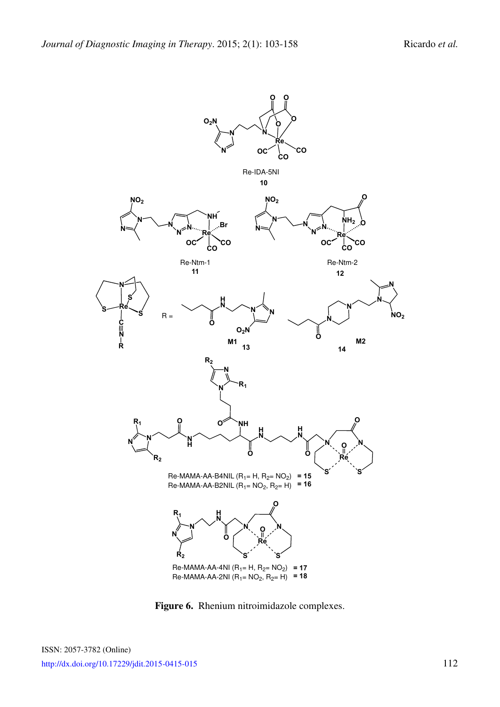<span id="page-9-0"></span>

**Figure 6.** Rhenium nitroimidazole complexes.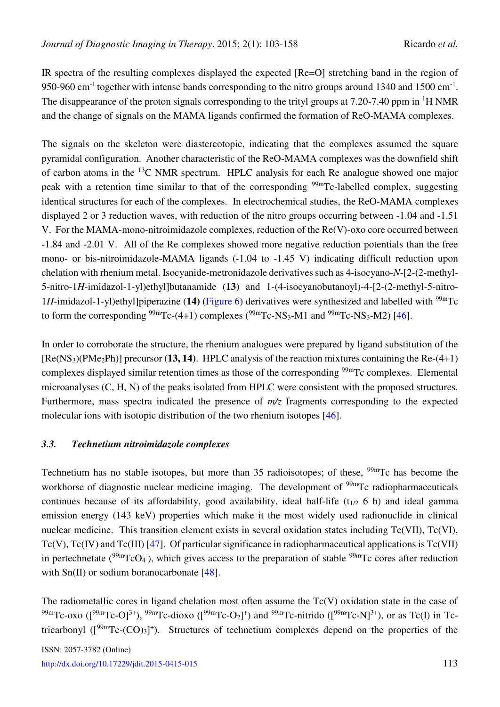IR spectra of the resulting complexes displayed the expected [Re=O] stretching band in the region of 950-960 cm<sup>-1</sup> together with intense bands corresponding to the nitro groups around 1340 and 1500 cm<sup>-1</sup>. The disappearance of the proton signals corresponding to the trityl groups at 7.20-7.40 ppm in <sup>1</sup>H NMR and the change of signals on the MAMA ligands confirmed the formation of ReO-MAMA complexes.

The signals on the skeleton were diastereotopic, indicating that the complexes assumed the square pyramidal configuration. Another characteristic of the ReO-MAMA complexes was the downfield shift of carbon atoms in the <sup>13</sup>C NMR spectrum. HPLC analysis for each Re analogue showed one major peak with a retention time similar to that of the corresponding  $99m$ Tc-labelled complex, suggesting identical structures for each of the complexes. In electrochemical studies, the ReO-MAMA complexes displayed 2 or 3 reduction waves, with reduction of the nitro groups occurring between -1.04 and -1.51 V. For the MAMA-mono-nitroimidazole complexes, reduction of the Re(V)-oxo core occurred between -1.84 and -2.01 V. All of the Re complexes showed more negative reduction potentials than the free mono- or bis-nitroimidazole-MAMA ligands (-1.04 to -1.45 V) indicating difficult reduction upon chelation with rhenium metal. Isocyanide-metronidazole derivatives such as 4-isocyano-*N*-[2-(2-methyl-5-nitro-1*H*-imidazol-1-yl)ethyl]butanamide (**13)** and 1-(4-isocyanobutanoyl)-4-[2-(2-methyl-5-nitro-1*H*-imidazol-1-yl)ethyl]piperazine (**14)** [\(Figure 6\)](#page-9-0) derivatives were synthesized and labelled with 99mTc to form the corresponding  $\frac{99 \text{m}}{2}$ C-(4+1) complexes  $\frac{99 \text{m}}{2}$ C-NS<sub>3</sub>-M<sub>1</sub> and  $\frac{99 \text{m}}{2}$ C-NS<sub>3</sub>-M<sub>2</sub>) [\[46\]](#page-50-8).

In order to corroborate the structure, the rhenium analogues were prepared by ligand substitution of the [Re(NS3)(PMe2Ph)] precursor (**13, 14)**. HPLC analysis of the reaction mixtures containing the Re-(4+1) complexes displayed similar retention times as those of the corresponding <sup>99m</sup>Tc complexes. Elemental microanalyses (C, H, N) of the peaks isolated from HPLC were consistent with the proposed structures. Furthermore, mass spectra indicated the presence of *m/z* fragments corresponding to the expected molecular ions with isotopic distribution of the two rhenium isotopes [\[46\]](#page-50-8).

#### *3.3. Technetium nitroimidazole complexes*

Technetium has no stable isotopes, but more than 35 radioisotopes; of these,  $99m$ Tc has become the workhorse of diagnostic nuclear medicine imaging. The development of  $\frac{99 \text{ m}}{\text{C}}$  radiopharmaceuticals continues because of its affordability, good availability, ideal half-life ( $t_{1/2}$  6 h) and ideal gamma emission energy (143 keV) properties which make it the most widely used radionuclide in clinical nuclear medicine. This transition element exists in several oxidation states including Tc(VII), Tc(VI),  $Tc(V)$ ,  $Tc(IV)$  and  $Tc(III)$  [\[47\]](#page-50-9). Of particular significance in radiopharmaceutical applications is  $Tc(VII)$ in pertechnetate  $(^{99m}TcO_4$ ), which gives access to the preparation of stable  $^{99m}Tc$  cores after reduction with  $Sn(II)$  or sodium boranocarbonate  $[48]$ .

The radiometallic cores in ligand chelation most often assume the Tc(V) oxidation state in the case of <sup>99m</sup>Tc-oxo ([<sup>99m</sup>Tc-O]<sup>3+</sup>), <sup>99m</sup>Tc-dioxo ([<sup>99m</sup>Tc-O<sub>2</sub>]<sup>+</sup>) and <sup>99m</sup>Tc-nitrido ([<sup>99m</sup>Tc-N]<sup>3+</sup>), or as Tc(I) in Tctricarbonyl  $([{}^{99m}Tc-(CO)_3]^+)$ . Structures of technetium complexes depend on the properties of the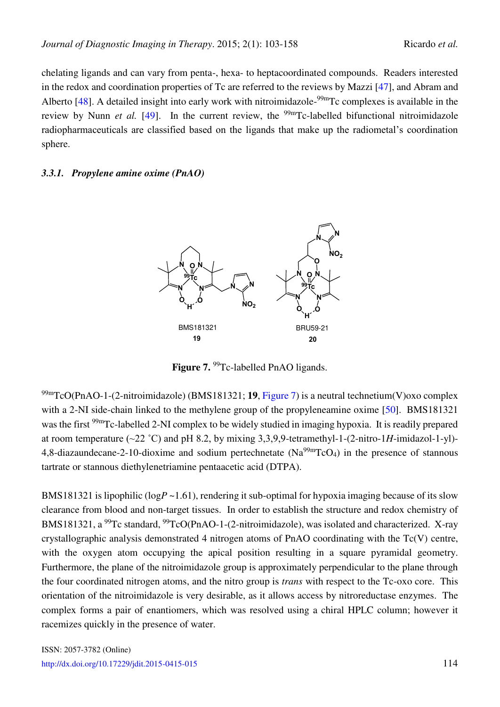chelating ligands and can vary from penta-, hexa- to heptacoordinated compounds. Readers interested in the redox and coordination properties of Tc are referred to the reviews by Mazzi [\[47\]](#page-50-9), and Abram and Alberto  $[48]$ . A detailed insight into early work with nitroimidazole- $99m$ Tc complexes is available in the review by Nunn *et al.* [\[49\]](#page-50-11). In the current review, the <sup>99m</sup>Tc-labelled bifunctional nitroimidazole radiopharmaceuticals are classified based on the ligands that make up the radiometal's coordination sphere.

#### <span id="page-11-0"></span>*3.3.1. Propylene amine oxime (PnAO)*



**Figure 7.** <sup>99</sup>Tc-labelled PnAO ligands.

99mTcO(PnAO-1-(2-nitroimidazole) (BMS181321; **19**, [Figure 7\)](#page-11-0) is a neutral technetium(V)oxo complex with a 2-NI side-chain linked to the methylene group of the propyleneamine oxime [\[50\]](#page-50-12). BMS181321 was the first <sup>99m</sup>Tc-labelled 2-NI complex to be widely studied in imaging hypoxia. It is readily prepared at room temperature  $(\sim 22 \degree C)$  and pH 8.2, by mixing 3,3,9,9-tetramethyl-1- $(2\text{-nitro-1}H\text{-midazol-1-vl})$ -4,8-diazaundecane-2-10-dioxime and sodium pertechnetate  $(Na^{99m}TcO_4)$  in the presence of stannous tartrate or stannous diethylenetriamine pentaacetic acid (DTPA).

BMS181321 is lipophilic ( $logP \sim 1.61$ ), rendering it sub-optimal for hypoxia imaging because of its slow clearance from blood and non-target tissues. In order to establish the structure and redox chemistry of BMS181321, a <sup>99</sup>Tc standard, <sup>99</sup>TcO(PnAO-1-(2-nitroimidazole), was isolated and characterized. X-ray crystallographic analysis demonstrated 4 nitrogen atoms of PnAO coordinating with the Tc(V) centre, with the oxygen atom occupying the apical position resulting in a square pyramidal geometry. Furthermore, the plane of the nitroimidazole group is approximately perpendicular to the plane through the four coordinated nitrogen atoms, and the nitro group is *trans* with respect to the Tc-oxo core. This orientation of the nitroimidazole is very desirable, as it allows access by nitroreductase enzymes. The complex forms a pair of enantiomers, which was resolved using a chiral HPLC column; however it racemizes quickly in the presence of water.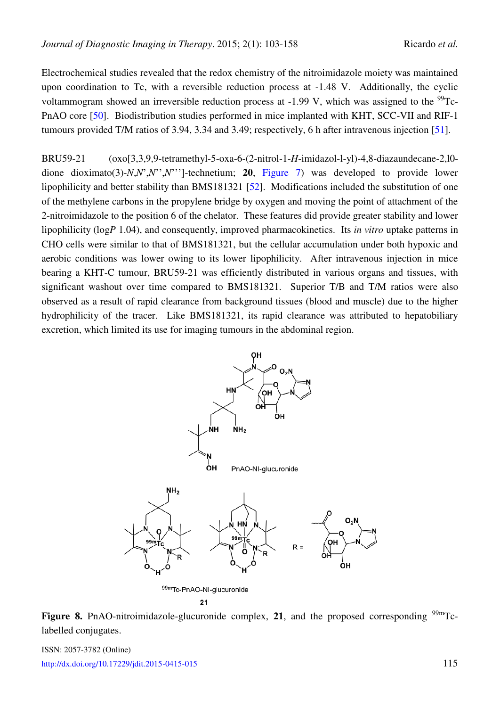Electrochemical studies revealed that the redox chemistry of the nitroimidazole moiety was maintained upon coordination to Tc, with a reversible reduction process at -1.48 V. Additionally, the cyclic voltammogram showed an irreversible reduction process at -1.99 V, which was assigned to the  $^{99}$ Tc-PnAO core [\[50\]](#page-50-12). Biodistribution studies performed in mice implanted with KHT, SCC-VII and RIF-1 tumours provided T/M ratios of 3.94, 3.34 and 3.49; respectively, 6 h after intravenous injection [\[51\]](#page-51-0).

BRU59-21 (oxo[3,3,9,9-tetramethyl-5-oxa-6-(2-nitrol-1-*H*-imidazol-l-yl)-4,8-diazaundecane-2,l0 dione dioximato(3)-*N*,*N*',*N*'',*N*''']-technetium; **20**, [Figure 7\)](#page-11-0) was developed to provide lower lipophilicity and better stability than BMS181321 [\[52\]](#page-51-1). Modifications included the substitution of one of the methylene carbons in the propylene bridge by oxygen and moving the point of attachment of the 2-nitroimidazole to the position 6 of the chelator. These features did provide greater stability and lower lipophilicity (log*P* 1.04), and consequently, improved pharmacokinetics. Its *in vitro* uptake patterns in CHO cells were similar to that of BMS181321, but the cellular accumulation under both hypoxic and aerobic conditions was lower owing to its lower lipophilicity. After intravenous injection in mice bearing a KHT-C tumour, BRU59-21 was efficiently distributed in various organs and tissues, with significant washout over time compared to BMS181321. Superior T/B and T/M ratios were also observed as a result of rapid clearance from background tissues (blood and muscle) due to the higher hydrophilicity of the tracer. Like BMS181321, its rapid clearance was attributed to hepatobiliary excretion, which limited its use for imaging tumours in the abdominal region.

<span id="page-12-0"></span>

 $21$ 

**Figure 8.** PnAO-nitroimidazole-glucuronide complex, 21, and the proposed corresponding  $\frac{99 \text{m}}{2}$ labelled conjugates.

ISSN: 2057-3782 (Online) <http://dx.doi.org/10.17229/jdit.2015-0415-015>115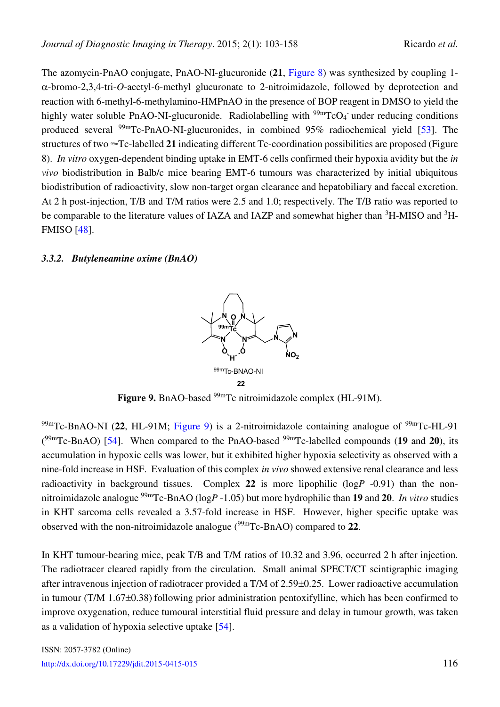The azomycin-PnAO conjugate, PnAO-NI-glucuronide (**21**, [Figure 8\)](#page-12-0) was synthesized by coupling 1- -bromo-2,3,4-tri-*O*-acetyl-6-methyl glucuronate to 2-nitroimidazole, followed by deprotection and reaction with 6-methyl-6-methylamino-HMPnAO in the presence of BOP reagent in DMSO to yield the highly water soluble PnAO-NI-glucuronide. Radiolabelling with <sup>99m</sup>TcO<sub>4</sub> under reducing conditions produced several  $99mTc-PnAO-NI-glucuronides$ , in combined 95% radiochemical yield [\[53\]](#page-51-2). The structures of two 99mTc-labelled **21** indicating different Tc-coordination possibilities are proposed (Figure 8). *In vitro* oxygen-dependent binding uptake in EMT-6 cells confirmed their hypoxia avidity but the *in vivo* biodistribution in Balb/c mice bearing EMT-6 tumours was characterized by initial ubiquitous biodistribution of radioactivity, slow non-target organ clearance and hepatobiliary and faecal excretion. At 2 h post-injection, T/B and T/M ratios were 2.5 and 1.0; respectively. The T/B ratio was reported to be comparable to the literature values of IAZA and IAZP and somewhat higher than <sup>3</sup>H-MISO and <sup>3</sup>H-FMISO [\[48\]](#page-50-10).

#### <span id="page-13-0"></span>*3.3.2. Butyleneamine oxime (BnAO)*



Figure 9. BnAO-based <sup>99m</sup>Tc nitroimidazole complex (HL-91M).

 $^{99m}$ Tc-BnAO-NI (22, HL-91M; [Figure 9\)](#page-13-0) is a 2-nitroimidazole containing analogue of  $^{99m}$ Tc-HL-91 ( 99mTc-BnAO) [\[54\]](#page-51-3). When compared to the PnAO-based 99mTc-labelled compounds (**19** and **20**), its accumulation in hypoxic cells was lower, but it exhibited higher hypoxia selectivity as observed with a nine-fold increase in HSF. Evaluation of this complex *in vivo* showed extensive renal clearance and less radioactivity in background tissues. Complex **22** is more lipophilic (log*P* -0.91) than the nonnitroimidazole analogue 99mTc-BnAO (log*P* -1.05) but more hydrophilic than **19** and **20**. *In vitro* studies in KHT sarcoma cells revealed a 3.57-fold increase in HSF. However, higher specific uptake was observed with the non-nitroimidazole analogue (99mTc-BnAO) compared to **22**.

In KHT tumour-bearing mice, peak T/B and T/M ratios of 10.32 and 3.96, occurred 2 h after injection. The radiotracer cleared rapidly from the circulation. Small animal SPECT/CT scintigraphic imaging after intravenous injection of radiotracer provided a T/M of 2.59±0.25. Lower radioactive accumulation in tumour (T/M  $1.67\pm0.38$ ) following prior administration pentoxifylline, which has been confirmed to improve oxygenation, reduce tumoural interstitial fluid pressure and delay in tumour growth, was taken as a validation of hypoxia selective uptake [\[54\]](#page-51-3).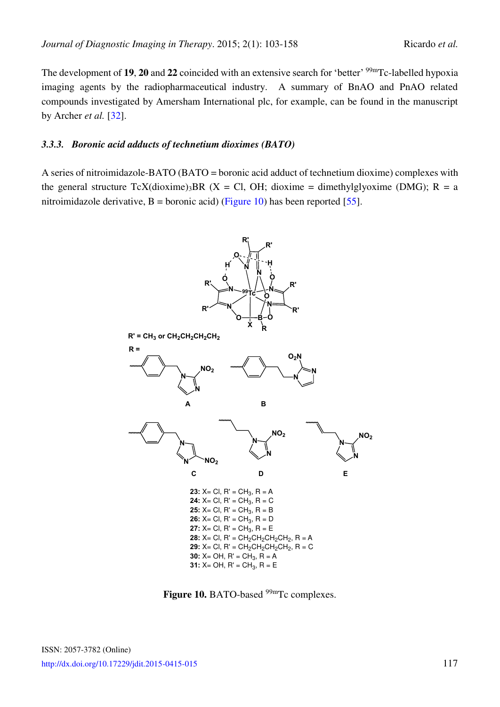The development of **19**, **20** and **22** coincided with an extensive search for 'better' <sup>99m</sup>Tc-labelled hypoxia imaging agents by the radiopharmaceutical industry. A summary of BnAO and PnAO related compounds investigated by Amersham International plc, for example, can be found in the manuscript by Archer *et al.* [\[32\]](#page-49-5).

#### *3.3.3. Boronic acid adducts of technetium dioximes (BATO)*

<span id="page-14-0"></span>A series of nitroimidazole-BATO (BATO = boronic acid adduct of technetium dioxime) complexes with the general structure  $TcX$ (dioxime)<sub>3</sub>BR (X = Cl, OH; dioxime = dimethylglyoxime (DMG); R = a nitroimidazole derivative, B = boronic acid) [\(Figure 10\)](#page-14-0) has been reported [\[55\]](#page-51-4).



Figure 10. BATO-based <sup>99m</sup>Tc complexes.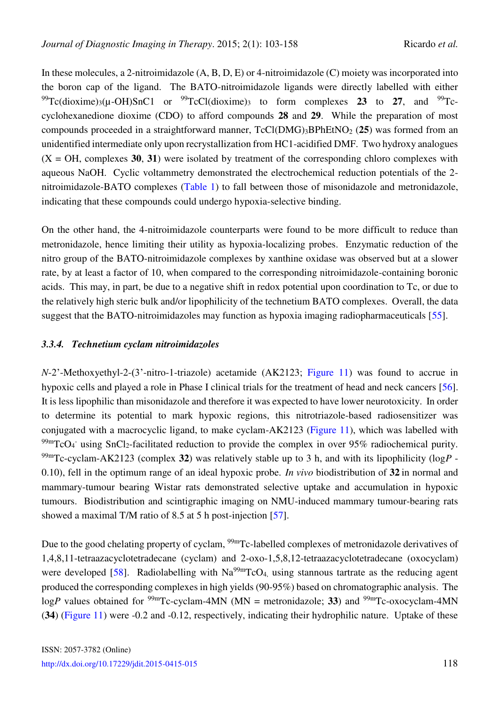In these molecules, a 2-nitroimidazole (A, B, D, E) or 4-nitroimidazole (C) moiety was incorporated into the boron cap of the ligand. The BATO-nitroimidazole ligands were directly labelled with either  $^{99}Tc$ (dioxime)<sub>3</sub>( $\mu$ -OH)SnC1 or  $^{99}Tc$ Cl(dioxime)<sub>3</sub> to form complexes **23** to **27**, and  $^{99}Tc$ cyclohexanedione dioxime (CDO) to afford compounds **28** and **29**. While the preparation of most compounds proceeded in a straightforward manner, TcCl(DMG)3BPhEtNO2 (**25**) was formed from an unidentified intermediate only upon recrystallization from HC1-acidified DMF. Two hydroxy analogues  $(X = OH$ , complexes 30, 31) were isolated by treatment of the corresponding chloro complexes with aqueous NaOH. Cyclic voltammetry demonstrated the electrochemical reduction potentials of the 2 nitroimidazole-BATO complexes [\(Table 1\)](#page-45-0) to fall between those of misonidazole and metronidazole, indicating that these compounds could undergo hypoxia-selective binding.

On the other hand, the 4-nitroimidazole counterparts were found to be more difficult to reduce than metronidazole, hence limiting their utility as hypoxia-localizing probes. Enzymatic reduction of the nitro group of the BATO-nitroimidazole complexes by xanthine oxidase was observed but at a slower rate, by at least a factor of 10, when compared to the corresponding nitroimidazole-containing boronic acids. This may, in part, be due to a negative shift in redox potential upon coordination to Tc, or due to the relatively high steric bulk and/or lipophilicity of the technetium BATO complexes. Overall, the data suggest that the BATO-nitroimidazoles may function as hypoxia imaging radiopharmaceuticals [\[55\]](#page-51-4).

#### *3.3.4. Technetium cyclam nitroimidazoles*

*N*-2'-Methoxyethyl-2-(3'-nitro-1-triazole) acetamide (AK2123; [Figure 11\)](#page-16-0) was found to accrue in hypoxic cells and played a role in Phase I clinical trials for the treatment of head and neck cancers [\[56\]](#page-51-5). It is less lipophilic than misonidazole and therefore it was expected to have lower neurotoxicity. In order to determine its potential to mark hypoxic regions, this nitrotriazole-based radiosensitizer was conjugated with a macrocyclic ligand, to make cyclam-AK2123 [\(Figure 11\)](#page-16-0), which was labelled with  $^{99m}$ TcO<sub>4</sub><sup>-</sup> using SnCl<sub>2</sub>-facilitated reduction to provide the complex in over 95% radiochemical purity. 99mTc-cyclam-AK2123 (complex **32**) was relatively stable up to 3 h, and with its lipophilicity (log*P* - 0.10), fell in the optimum range of an ideal hypoxic probe. *In vivo* biodistribution of **32** in normal and mammary-tumour bearing Wistar rats demonstrated selective uptake and accumulation in hypoxic tumours. Biodistribution and scintigraphic imaging on NMU-induced mammary tumour-bearing rats showed a maximal T/M ratio of 8.5 at 5 h post-injection [\[57\]](#page-51-6).

Due to the good chelating property of cyclam, <sup>99m</sup>Tc-labelled complexes of metronidazole derivatives of 1,4,8,11-tetraazacyclotetradecane (cyclam) and 2-oxo-1,5,8,12-tetraazacyclotetradecane (oxocyclam) were developed [\[58\]](#page-51-7). Radiolabelling with  $Na<sup>99m</sup>TcO<sub>4</sub>$ , using stannous tartrate as the reducing agent produced the corresponding complexes in high yields (90-95%) based on chromatographic analysis. The  $logP$  values obtained for <sup>99m</sup>Tc-cyclam-4MN (MN = metronidazole; 33) and <sup>99m</sup>Tc-oxocyclam-4MN (**34**) [\(Figure 11\)](#page-16-0) were -0.2 and -0.12, respectively, indicating their hydrophilic nature. Uptake of these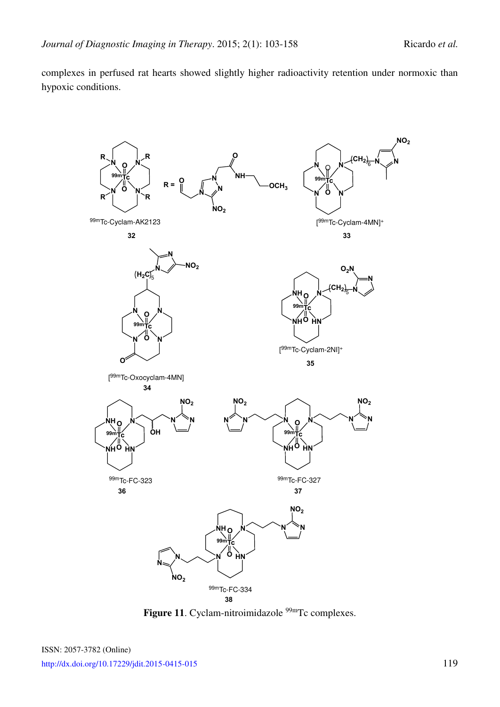complexes in perfused rat hearts showed slightly higher radioactivity retention under normoxic than hypoxic conditions.

<span id="page-16-0"></span>

Figure 11. Cyclam-nitroimidazole<sup>99m</sup>Tc complexes.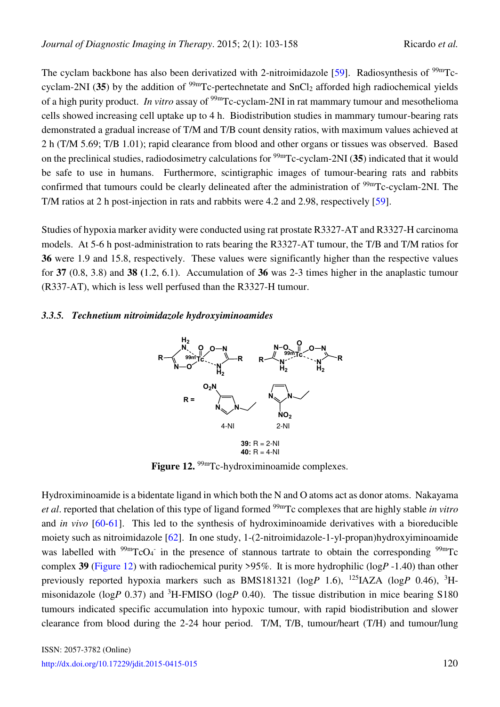The cyclam backbone has also been derivatized with 2-nitroimidazole [\[59\]](#page-51-8). Radiosynthesis of  $99m$ Tccyclam-2NI (35) by the addition of  $\frac{99 \text{m}}{C}$ -pertechnetate and SnCl<sub>2</sub> afforded high radiochemical yields of a high purity product. *In vitro* assay of <sup>99m</sup>Tc-cyclam-2NI in rat mammary tumour and mesothelioma cells showed increasing cell uptake up to 4 h. Biodistribution studies in mammary tumour-bearing rats demonstrated a gradual increase of T/M and T/B count density ratios, with maximum values achieved at 2 h (T/M 5.69; T/B 1.01); rapid clearance from blood and other organs or tissues was observed. Based on the preclinical studies, radiodosimetry calculations for 99mTc-cyclam-2NI (**35**) indicated that it would be safe to use in humans. Furthermore, scintigraphic images of tumour-bearing rats and rabbits confirmed that tumours could be clearly delineated after the administration of <sup>99m</sup>Tc-cyclam-2NI. The T/M ratios at 2 h post-injection in rats and rabbits were 4.2 and 2.98, respectively [\[59\]](#page-51-8).

Studies of hypoxia marker avidity were conducted using rat prostate R3327-AT and R3327-H carcinoma models. At 5-6 h post-administration to rats bearing the R3327-AT tumour, the T/B and T/M ratios for **36** were 1.9 and 15.8, respectively. These values were significantly higher than the respective values for **37** (0.8, 3.8) and **38 (**1.2, 6.1). Accumulation of **36** was 2-3 times higher in the anaplastic tumour (R337-AT), which is less well perfused than the R3327-H tumour.

#### <span id="page-17-0"></span>*3.3.5. Technetium nitroimidazole hydroxyiminoamides*



Figure 12. <sup>99m</sup>Tc-hydroximinoamide complexes.

Hydroximinoamide is a bidentate ligand in which both the N and O atoms act as donor atoms. Nakayama *et al*. reported that chelation of this type of ligand formed 99mTc complexes that are highly stable *in vitro*  and *in vivo* [\[60](#page-51-9)[-61\]](#page-51-10). This led to the synthesis of hydroximinoamide derivatives with a bioreducible moiety such as nitroimidazole [\[62\]](#page-51-11). In one study, 1-(2-nitroimidazole-1-yl-propan)hydroxyiminoamide was labelled with  $\frac{99 \text{m}}{\text{C}}$ CO<sub>4</sub> in the presence of stannous tartrate to obtain the corresponding  $\frac{99 \text{m}}{\text{C}}$ C complex **39** [\(Figure 12\)](#page-17-0) with radiochemical purity >95%. It is more hydrophilic (log*P* -1.40) than other previously reported hypoxia markers such as BMS181321 (log*P* 1.6), <sup>125</sup>IAZA (log*P* 0.46), <sup>3</sup>Hmisonidazole (log*P* 0.37) and <sup>3</sup>H-FMISO (log*P* 0.40). The tissue distribution in mice bearing S180 tumours indicated specific accumulation into hypoxic tumour, with rapid biodistribution and slower clearance from blood during the 2-24 hour period. T/M, T/B, tumour/heart (T/H) and tumour/lung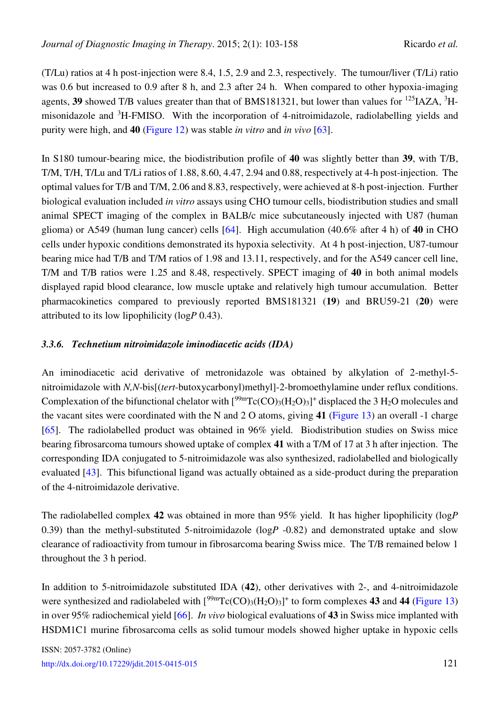(T/Lu) ratios at 4 h post-injection were 8.4, 1.5, 2.9 and 2.3, respectively. The tumour/liver (T/Li) ratio was 0.6 but increased to 0.9 after 8 h, and 2.3 after 24 h. When compared to other hypoxia-imaging agents, 39 showed T/B values greater than that of BMS181321, but lower than values for <sup>125</sup>IAZA, <sup>3</sup>Hmisonidazole and <sup>3</sup>H-FMISO. With the incorporation of 4-nitroimidazole, radiolabelling yields and purity were high, and **40** [\(Figure 12\)](#page-17-0) was stable *in vitro* and *in vivo* [\[63\]](#page-51-12).

In S180 tumour-bearing mice, the biodistribution profile of **40** was slightly better than **39**, with T/B, T/M, T/H, T/Lu and T/Li ratios of 1.88, 8.60, 4.47, 2.94 and 0.88, respectively at 4-h post-injection. The optimal values for T/B and T/M, 2.06 and 8.83, respectively, were achieved at 8-h post-injection. Further biological evaluation included *in vitro* assays using CHO tumour cells, biodistribution studies and small animal SPECT imaging of the complex in BALB/c mice subcutaneously injected with U87 (human glioma) or A549 (human lung cancer) cells [\[64\]](#page-52-0). High accumulation (40.6% after 4 h) of **40** in CHO cells under hypoxic conditions demonstrated its hypoxia selectivity. At 4 h post-injection, U87-tumour bearing mice had T/B and T/M ratios of 1.98 and 13.11, respectively, and for the A549 cancer cell line, T/M and T/B ratios were 1.25 and 8.48, respectively. SPECT imaging of **40** in both animal models displayed rapid blood clearance, low muscle uptake and relatively high tumour accumulation. Better pharmacokinetics compared to previously reported BMS181321 (**19**) and BRU59-21 (**20**) were attributed to its low lipophilicity (log*P* 0.43).

#### *3.3.6. Technetium nitroimidazole iminodiacetic acids (IDA)*

An iminodiacetic acid derivative of metronidazole was obtained by alkylation of 2-methyl-5 nitroimidazole with *N,N*-bis[(*tert*-butoxycarbonyl)methyl]-2-bromoethylamine under reflux conditions. Complexation of the bifunctional chelator with  $[{}^{99m}Tc(CO)_3(H_2O)_3]^+$  displaced the 3 H<sub>2</sub>O molecules and the vacant sites were coordinated with the N and 2 O atoms, giving **41** [\(Figure 13\)](#page-19-0) an overall -1 charge [\[65\]](#page-52-1). The radiolabelled product was obtained in 96% yield. Biodistribution studies on Swiss mice bearing fibrosarcoma tumours showed uptake of complex **41** with a T/M of 17 at 3 h after injection. The corresponding IDA conjugated to 5-nitroimidazole was also synthesized, radiolabelled and biologically evaluated [\[43\]](#page-50-5). This bifunctional ligand was actually obtained as a side-product during the preparation of the 4-nitroimidazole derivative.

The radiolabelled complex **42** was obtained in more than 95% yield. It has higher lipophilicity (log*P* 0.39) than the methyl-substituted 5-nitroimidazole (log*P* -0.82) and demonstrated uptake and slow clearance of radioactivity from tumour in fibrosarcoma bearing Swiss mice. The T/B remained below 1 throughout the 3 h period.

In addition to 5-nitroimidazole substituted IDA (**42**), other derivatives with 2-, and 4-nitroimidazole were synthesized and radiolabeled with  $[^{99m}Tc(CO)_3(H_2O)_3]^+$  to form complexes 43 and 44 [\(Figure 13\)](#page-19-0) in over 95% radiochemical yield [\[66\]](#page-52-2). *In vivo* biological evaluations of **43** in Swiss mice implanted with HSDM1C1 murine fibrosarcoma cells as solid tumour models showed higher uptake in hypoxic cells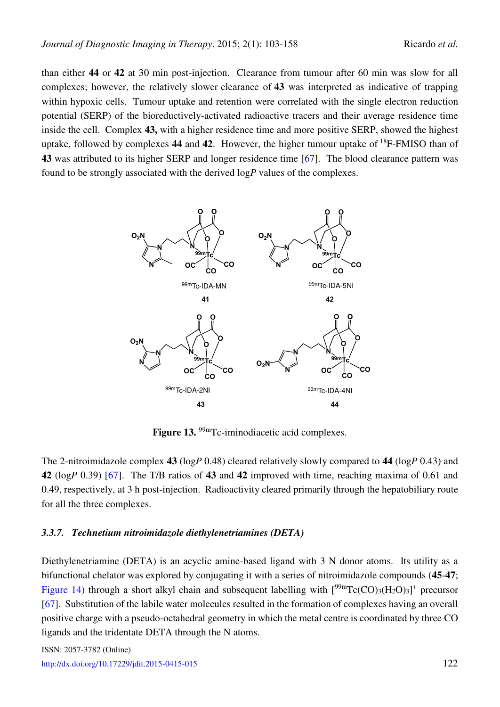than either **44** or **42** at 30 min post-injection. Clearance from tumour after 60 min was slow for all complexes; however, the relatively slower clearance of **43** was interpreted as indicative of trapping within hypoxic cells. Tumour uptake and retention were correlated with the single electron reduction potential (SERP) of the bioreductively-activated radioactive tracers and their average residence time inside the cell. Complex **43,** with a higher residence time and more positive SERP, showed the highest uptake, followed by complexes **44** and **42**. However, the higher tumour uptake of <sup>18</sup>F-FMISO than of **43** was attributed to its higher SERP and longer residence time [\[67\]](#page-52-3). The blood clearance pattern was found to be strongly associated with the derived log*P* values of the complexes.

<span id="page-19-0"></span>

Figure 13. <sup>99m</sup>Tc-iminodiacetic acid complexes.

The 2-nitroimidazole complex **43** (log*P* 0.48) cleared relatively slowly compared to **44** (log*P* 0.43) and **42** (log*P* 0.39) [\[67\]](#page-52-3). The T/B ratios of **43** and **42** improved with time, reaching maxima of 0.61 and 0.49, respectively, at 3 h post-injection. Radioactivity cleared primarily through the hepatobiliary route for all the three complexes.

#### *3.3.7. Technetium nitroimidazole diethylenetriamines (DETA)*

Diethylenetriamine (DETA) is an acyclic amine-based ligand with 3 N donor atoms. Its utility as a bifunctional chelator was explored by conjugating it with a series of nitroimidazole compounds (**45**-**47**; [Figure 14\)](#page-20-0) through a short alkyl chain and subsequent labelling with  $[{}^{99m}Tc(CO)_3(H_2O)_3]^+$  precursor [\[67\]](#page-52-3). Substitution of the labile water molecules resulted in the formation of complexes having an overall positive charge with a pseudo-octahedral geometry in which the metal centre is coordinated by three CO ligands and the tridentate DETA through the N atoms.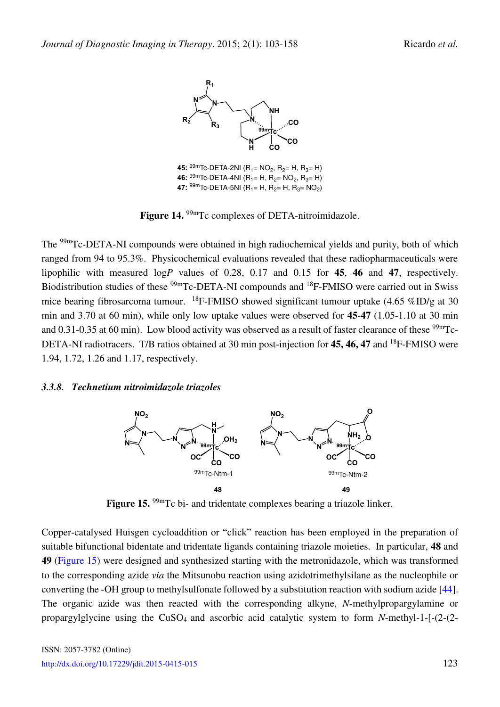<span id="page-20-0"></span>

**45:**  $\frac{99 \text{m}}{10}$  Deta-2NI (R<sub>1</sub> = NO<sub>2</sub>, R<sub>2</sub> = H, R<sub>3</sub> = H) **46:**  $\frac{99 \text{m}}{\text{Tc-DETA-4N}}$  (R<sub>1</sub>= H, R<sub>2</sub>= NO<sub>2</sub>, R<sub>3</sub>= H) **47:**  $\frac{99 \text{m}}{\text{Tc-DETA-SNI}}$  (R<sub>1</sub>= H, R<sub>2</sub>= H, R<sub>3</sub>= NO<sub>2</sub>)

Figure 14. <sup>99m</sup>Tc complexes of DETA-nitroimidazole.

The <sup>99m</sup>Tc-DETA-NI compounds were obtained in high radiochemical yields and purity, both of which ranged from 94 to 95.3%. Physicochemical evaluations revealed that these radiopharmaceuticals were lipophilic with measured log*P* values of 0.28, 0.17 and 0.15 for **45**, **46** and **47**, respectively. Biodistribution studies of these <sup>99m</sup>Tc-DETA-NI compounds and <sup>18</sup>F-FMISO were carried out in Swiss mice bearing fibrosarcoma tumour. <sup>18</sup>F-FMISO showed significant tumour uptake  $(4.65 \% ID/g$  at 30 min and 3.70 at 60 min), while only low uptake values were observed for **45**-**47** (1.05-1.10 at 30 min and 0.31-0.35 at 60 min). Low blood activity was observed as a result of faster clearance of these  $\frac{99 \text{m}}{C}$ -DETA-NI radiotracers. T/B ratios obtained at 30 min post-injection for **45, 46, 47** and <sup>18</sup>F-FMISO were 1.94, 1.72, 1.26 and 1.17, respectively.

#### <span id="page-20-1"></span>*3.3.8. Technetium nitroimidazole triazoles*



Figure 15. <sup>99m</sup>Tc bi- and tridentate complexes bearing a triazole linker.

Copper-catalysed Huisgen cycloaddition or "click" reaction has been employed in the preparation of suitable bifunctional bidentate and tridentate ligands containing triazole moieties. In particular, **48** and **49** [\(Figure 15\)](#page-20-1) were designed and synthesized starting with the metronidazole, which was transformed to the corresponding azide *via* the Mitsunobu reaction using azidotrimethylsilane as the nucleophile or converting the -OH group to methylsulfonate followed by a substitution reaction with sodium azide [\[44\]](#page-50-6). The organic azide was then reacted with the corresponding alkyne, *N*-methylpropargylamine or propargylglycine using the CuSO4 and ascorbic acid catalytic system to form *N*-methyl-1-[-(2-(2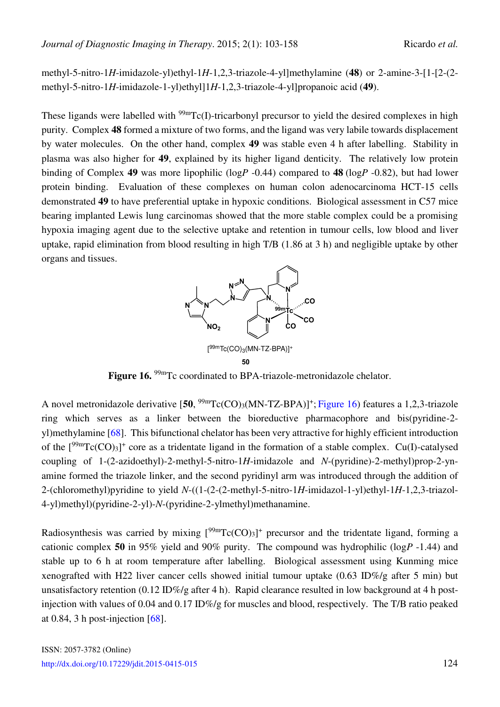methyl-5-nitro-1*H*-imidazole-yl)ethyl-1*H*-1,2,3-triazole-4-yl]methylamine (**48**) or 2-amine-3-[1-[2-(2 methyl-5-nitro-1*H*-imidazole-1-yl)ethyl]1*H*-1,2,3-triazole-4-yl]propanoic acid (**49**).

These ligands were labelled with  $\frac{99 \text{m}}{\text{TC}}(I)$ -tricarbonyl precursor to yield the desired complexes in high purity. Complex **48** formed a mixture of two forms, and the ligand was very labile towards displacement by water molecules. On the other hand, complex **49** was stable even 4 h after labelling. Stability in plasma was also higher for **49**, explained by its higher ligand denticity. The relatively low protein binding of Complex **49** was more lipophilic (log*P* -0.44) compared to **48** (log*P* -0.82), but had lower protein binding. Evaluation of these complexes on human colon adenocarcinoma HCT-15 cells demonstrated **49** to have preferential uptake in hypoxic conditions. Biological assessment in C57 mice bearing implanted Lewis lung carcinomas showed that the more stable complex could be a promising hypoxia imaging agent due to the selective uptake and retention in tumour cells, low blood and liver uptake, rapid elimination from blood resulting in high T/B (1.86 at 3 h) and negligible uptake by other organs and tissues.



**50**

<span id="page-21-0"></span>Figure 16. <sup>99m</sup>Tc coordinated to BPA-triazole-metronidazole chelator.

A novel metronidazole derivative [50, <sup>99m</sup>Tc(CO)<sub>3</sub>(MN-TZ-BPA)]<sup>+</sup>; [Figure 16\)](#page-21-0) features a 1,2,3-triazole ring which serves as a linker between the bioreductive pharmacophore and bis(pyridine-2 yl)methylamine [\[68\]](#page-52-4). This bifunctional chelator has been very attractive for highly efficient introduction of the  $[{}^{99m}Tc(CO)_3]^+$  core as a tridentate ligand in the formation of a stable complex. Cu(I)-catalysed coupling of 1-(2-azidoethyl)-2-methyl-5-nitro-1*H*-imidazole and *N*-(pyridine)-2-methyl)prop-2-ynamine formed the triazole linker, and the second pyridinyl arm was introduced through the addition of 2-(chloromethyl)pyridine to yield *N*-((1-(2-(2-methyl-5-nitro-1*H*-imidazol-1-yl)ethyl-1*H*-1,2,3-triazol-4-yl)methyl)(pyridine-2-yl)-*N*-(pyridine-2-ylmethyl)methanamine.

Radiosynthesis was carried by mixing  $[{}^{99m}Tc(CO)_3]$ <sup>+</sup> precursor and the tridentate ligand, forming a cationic complex **50** in 95% yield and 90% purity. The compound was hydrophilic (log*P* -1.44) and stable up to 6 h at room temperature after labelling. Biological assessment using Kunming mice xenografted with H22 liver cancer cells showed initial tumour uptake  $(0.63 \text{ ID\%}/g \text{ after } 5 \text{ min})$  but unsatisfactory retention (0.12 ID%/g after 4 h). Rapid clearance resulted in low background at 4 h postinjection with values of 0.04 and 0.17 ID%/g for muscles and blood, respectively. The T/B ratio peaked at 0.84, 3 h post-injection  $[68]$ .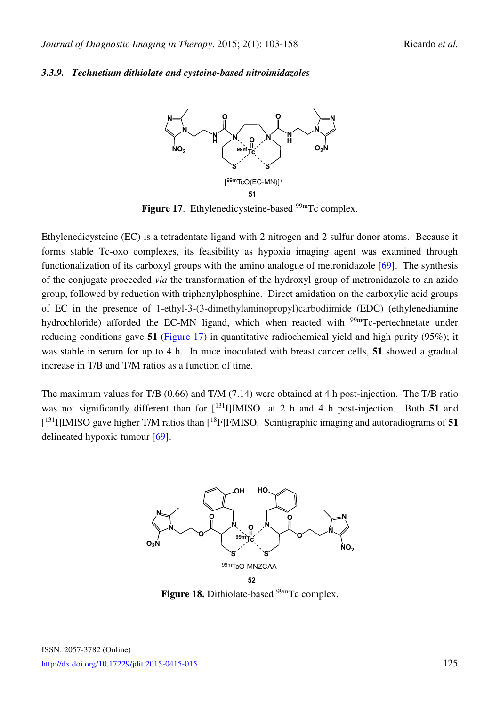#### <span id="page-22-0"></span>*3.3.9. Technetium dithiolate and cysteine-based nitroimidazoles*



Figure 17. Ethylenedicysteine-based <sup>99m</sup>Tc complex.

Ethylenedicysteine (EC) is a tetradentate ligand with 2 nitrogen and 2 sulfur donor atoms. Because it forms stable Tc-oxo complexes, its feasibility as hypoxia imaging agent was examined through functionalization of its carboxyl groups with the amino analogue of metronidazole [\[69\]](#page-52-5). The synthesis of the conjugate proceeded *via* the transformation of the hydroxyl group of metronidazole to an azido group, followed by reduction with triphenylphosphine. Direct amidation on the carboxylic acid groups of EC in the presence of 1-ethyl-3-(3-dimethylaminopropyl)carbodiimide (EDC) (ethylenediamine hydrochloride) afforded the EC-MN ligand, which when reacted with <sup>99m</sup>Tc-pertechnetate under reducing conditions gave **51** [\(Figure 17\)](#page-22-0) in quantitative radiochemical yield and high purity (95%); it was stable in serum for up to 4 h. In mice inoculated with breast cancer cells, **51** showed a gradual increase in T/B and T/M ratios as a function of time.

<span id="page-22-1"></span>The maximum values for T/B (0.66) and T/M (7.14) were obtained at 4 h post-injection. The T/B ratio was not significantly different than for  $\lceil 131 \rceil$ **IMISO** at 2 h and 4 h post-injection. Both 51 and [ <sup>131</sup>I]IMISO gave higher T/M ratios than [<sup>18</sup>F]FMISO. Scintigraphic imaging and autoradiograms of **51** delineated hypoxic tumour [\[69\]](#page-52-5).



Figure 18. Dithiolate-based <sup>99m</sup>Tc complex.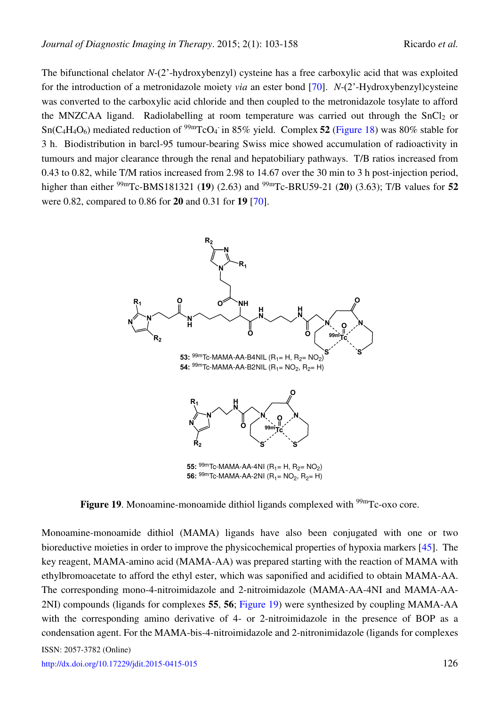The bifunctional chelator *N*-(2'-hydroxybenzyl) cysteine has a free carboxylic acid that was exploited for the introduction of a metronidazole moiety *via* an ester bond [\[70\]](#page-52-6). *N*-(2'-Hydroxybenzyl)cysteine was converted to the carboxylic acid chloride and then coupled to the metronidazole tosylate to afford the MNZCAA ligand. Radiolabelling at room temperature was carried out through the  $SnCl<sub>2</sub>$  or  $Sn(C_4H_4O_6)$  mediated reduction of <sup>99m</sup>TcO<sub>4</sub> in 85% yield. Complex 52 [\(Figure 18\)](#page-22-1) was 80% stable for 3 h. Biodistribution in barcl-95 tumour-bearing Swiss mice showed accumulation of radioactivity in tumours and major clearance through the renal and hepatobiliary pathways. T/B ratios increased from 0.43 to 0.82, while T/M ratios increased from 2.98 to 14.67 over the 30 min to 3 h post-injection period, higher than either 99mTc-BMS181321 (**19**) (2.63) and 99mTc-BRU59-21 (**20**) (3.63); T/B values for **52** were 0.82, compared to 0.86 for **20** and 0.31 for **19** [\[70\]](#page-52-6).

<span id="page-23-0"></span>

**56:** <sup>99m</sup>Tc-MAMA-AA-2NI (R<sub>1</sub>= NO<sub>2</sub>, R<sub>2</sub>= H)

**Figure 19.** Monoamine-monoamide dithiol ligands complexed with <sup>99m</sup>Tc-oxo core.

Monoamine-monoamide dithiol (MAMA) ligands have also been conjugated with one or two bioreductive moieties in order to improve the physicochemical properties of hypoxia markers [\[45\]](#page-50-7). The key reagent, MAMA-amino acid (MAMA-AA) was prepared starting with the reaction of MAMA with ethylbromoacetate to afford the ethyl ester, which was saponified and acidified to obtain MAMA-AA. The corresponding mono-4-nitroimidazole and 2-nitroimidazole (MAMA-AA-4NI and MAMA-AA-2NI) compounds (ligands for complexes **55**, **56**; [Figure 19\)](#page-23-0) were synthesized by coupling MAMA-AA with the corresponding amino derivative of 4- or 2-nitroimidazole in the presence of BOP as a condensation agent. For the MAMA-bis-4-nitroimidazole and 2-nitronimidazole (ligands for complexes

ISSN: 2057-3782 (Online)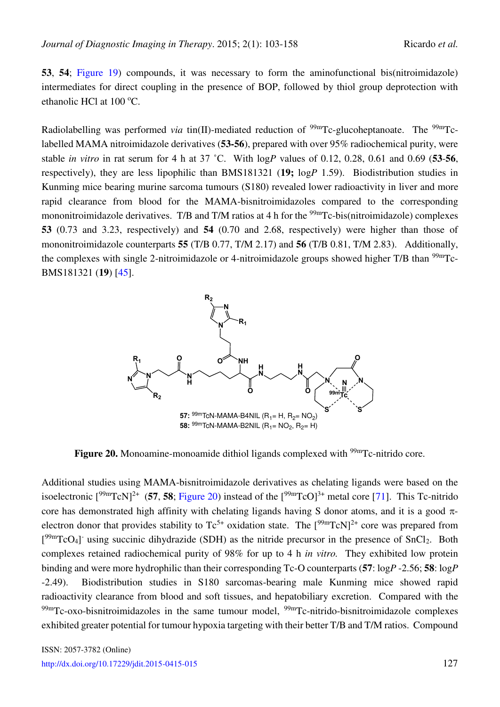**53**, **54**; [Figure 19\)](#page-23-0) compounds, it was necessary to form the aminofunctional bis(nitroimidazole) intermediates for direct coupling in the presence of BOP, followed by thiol group deprotection with ethanolic HCl at 100 °C.

Radiolabelling was performed *via* tin(II)-mediated reduction of <sup>99m</sup>Tc-glucoheptanoate. The <sup>99m</sup>Tclabelled MAMA nitroimidazole derivatives (**53-56**), prepared with over 95% radiochemical purity, were stable *in vitro* in rat serum for 4 h at 37 ˚C. With log*P* values of 0.12, 0.28, 0.61 and 0.69 (**53**-**56**, respectively), they are less lipophilic than BMS181321 (**19;** log*P* 1.59). Biodistribution studies in Kunming mice bearing murine sarcoma tumours (S180) revealed lower radioactivity in liver and more rapid clearance from blood for the MAMA-bisnitroimidazoles compared to the corresponding mononitroimidazole derivatives. T/B and T/M ratios at 4 h for the <sup>99m</sup>Tc-bis(nitroimidazole) complexes **53** (0.73 and 3.23, respectively) and **54** (0.70 and 2.68, respectively) were higher than those of mononitroimidazole counterparts **55** (T/B 0.77, T/M 2.17) and **56** (T/B 0.81, T/M 2.83). Additionally, the complexes with single 2-nitroimidazole or 4-nitroimidazole groups showed higher T/B than  $\frac{99 \text{m}}{2}$ BMS181321 (**19**) [\[45\]](#page-50-7).

<span id="page-24-0"></span>

**Figure 20.** Monoamine-monoamide dithiol ligands complexed with <sup>99m</sup>Tc-nitrido core.

Additional studies using MAMA-bisnitroimidazole derivatives as chelating ligands were based on the isoelectronic  $[{}^{99m}TcN]^{2+}$  (**57, 58**; [Figure 20\)](#page-24-0) instead of the  $[{}^{99m}TcO]^{3+}$  metal core [\[71\]](#page-52-7). This Tc-nitrido core has demonstrated high affinity with chelating ligands having S donor atoms, and it is a good  $\pi$ electron donor that provides stability to  $Tc^{5+}$  oxidation state. The  $[{}^{99m}TcN]^{2+}$  core was prepared from  $[<sup>99m</sup>TcO<sub>4</sub>]$  using succinic dihydrazide (SDH) as the nitride precursor in the presence of SnCl<sub>2</sub>. Both complexes retained radiochemical purity of 98% for up to 4 h *in vitro.* They exhibited low protein binding and were more hydrophilic than their corresponding Tc-O counterparts (**57**: log*P* -2.56; **58**: log*P* -2.49). Biodistribution studies in S180 sarcomas-bearing male Kunming mice showed rapid radioactivity clearance from blood and soft tissues, and hepatobiliary excretion. Compared with the  $99m$ Tc-oxo-bisnitroimidazoles in the same tumour model,  $99m$ Tc-nitrido-bisnitroimidazole complexes exhibited greater potential for tumour hypoxia targeting with their better T/B and T/M ratios. Compound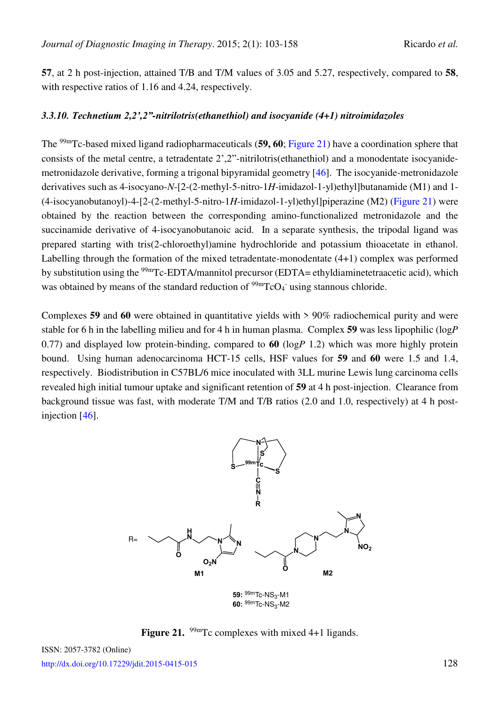**57**, at 2 h post-injection, attained T/B and T/M values of 3.05 and 5.27, respectively, compared to **58**, with respective ratios of 1.16 and 4.24, respectively.

#### *3.3.10. Technetium 2,2',2"-nitrilotris(ethanethiol) and isocyanide (4+1) nitroimidazoles*

The 99mTc-based mixed ligand radiopharmaceuticals (**59, 60**; [Figure 21\)](#page-25-0) have a coordination sphere that consists of the metal centre, a tetradentate 2',2"-nitrilotris(ethanethiol) and a monodentate isocyanidemetronidazole derivative, forming a trigonal bipyramidal geometry [\[46\]](#page-50-8). The isocyanide-metronidazole derivatives such as 4-isocyano-*N*-[2-(2-methyl-5-nitro-1*H*-imidazol-1-yl)ethyl]butanamide (M1) and 1- (4-isocyanobutanoyl)-4-[2-(2-methyl-5-nitro-1*H*-imidazol-1-yl)ethyl]piperazine (M2) [\(Figure 21\)](#page-25-0) were obtained by the reaction between the corresponding amino-functionalized metronidazole and the succinamide derivative of 4-isocyanobutanoic acid. In a separate synthesis, the tripodal ligand was prepared starting with tris(2-chloroethyl)amine hydrochloride and potassium thioacetate in ethanol. Labelling through the formation of the mixed tetradentate-monodentate (4+1) complex was performed by substitution using the <sup>99m</sup>Tc-EDTA/mannitol precursor (EDTA= ethyldiaminetetraacetic acid), which was obtained by means of the standard reduction of  $\frac{99 \text{m}}{\text{C}}\text{O}_4$  using stannous chloride.

Complexes **59** and **60** were obtained in quantitative yields with > 90% radiochemical purity and were stable for 6 h in the labelling milieu and for 4 h in human plasma. Complex **59** was less lipophilic (log*P* 0.77) and displayed low protein-binding, compared to **60** (log*P* 1.2) which was more highly protein bound. Using human adenocarcinoma HCT-15 cells, HSF values for **59** and **60** were 1.5 and 1.4, respectively. Biodistribution in C57BL/6 mice inoculated with 3LL murine Lewis lung carcinoma cells revealed high initial tumour uptake and significant retention of **59** at 4 h post-injection. Clearance from background tissue was fast, with moderate T/M and T/B ratios (2.0 and 1.0, respectively) at 4 h postinjection [\[46\]](#page-50-8).

<span id="page-25-0"></span>

Figure 21. <sup>99m</sup>Tc complexes with mixed 4+1 ligands.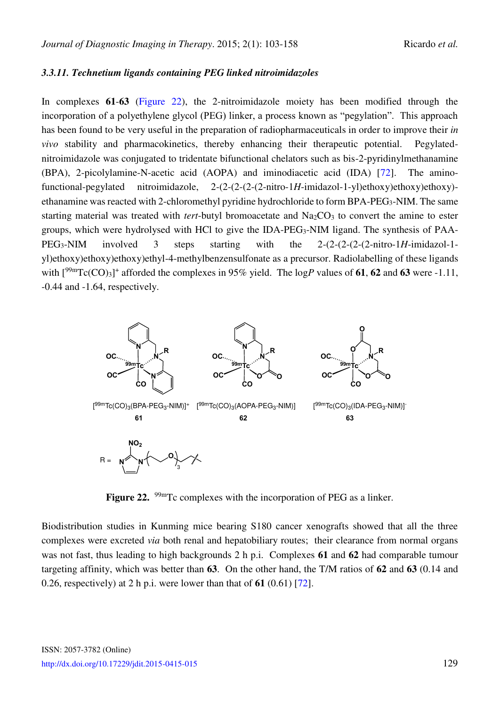#### *3.3.11. Technetium ligands containing PEG linked nitroimidazoles*

In complexes **61**-**63** [\(Figure 22\)](#page-26-0), the 2-nitroimidazole moiety has been modified through the incorporation of a polyethylene glycol (PEG) linker, a process known as "pegylation". This approach has been found to be very useful in the preparation of radiopharmaceuticals in order to improve their *in vivo* stability and pharmacokinetics, thereby enhancing their therapeutic potential. Pegylatednitroimidazole was conjugated to tridentate bifunctional chelators such as bis-2-pyridinylmethanamine (BPA), 2-picolylamine-N-acetic acid (AOPA) and iminodiacetic acid (IDA) [\[72\]](#page-52-8). The aminofunctional-pegylated nitroimidazole, 2-(2-(2-(2-(2-nitro-1*H*-imidazol-1-yl)ethoxy)ethoxy)ethoxy) ethanamine was reacted with 2-chloromethyl pyridine hydrochloride to form BPA-PEG3-NIM. The same starting material was treated with *tert*-butyl bromoacetate and Na<sub>2</sub>CO<sub>3</sub> to convert the amine to ester groups, which were hydrolysed with HCl to give the IDA-PEG<sub>3</sub>-NIM ligand. The synthesis of PAA-PEG3-NIM involved 3 steps starting with the 2-(2-(2-(2-(2-nitro-1*H*-imidazol-1 yl)ethoxy)ethoxy)ethoxy)ethyl-4-methylbenzensulfonate as a precursor. Radiolabelling of these ligands with  $[{}^{99m}Tc(CO)_3]$ <sup>+</sup> afforded the complexes in 95% yield. The logP values of **61, 62** and **63** were -1.11, -0.44 and -1.64, respectively.

<span id="page-26-0"></span>

Figure 22. <sup>99m</sup>Tc complexes with the incorporation of PEG as a linker.

Biodistribution studies in Kunming mice bearing S180 cancer xenografts showed that all the three complexes were excreted *via* both renal and hepatobiliary routes; their clearance from normal organs was not fast, thus leading to high backgrounds 2 h p.i. Complexes **61** and **62** had comparable tumour targeting affinity, which was better than **63**. On the other hand, the T/M ratios of **62** and **63** (0.14 and 0.26, respectively) at 2 h p.i. were lower than that of **61** (0.61) [\[72\]](#page-52-8).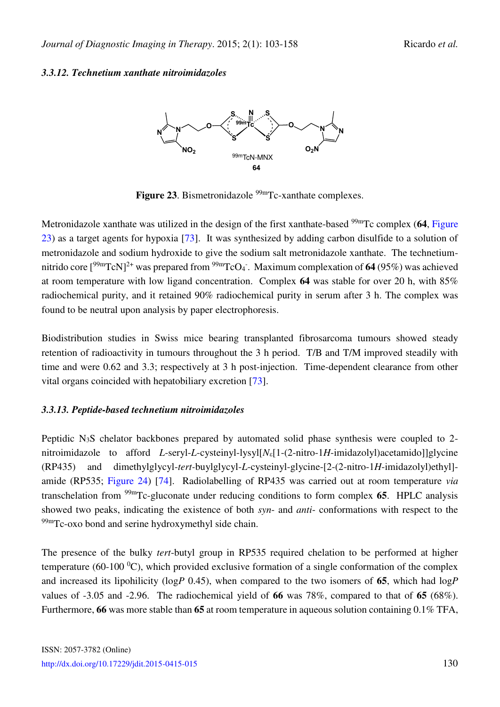### <span id="page-27-0"></span>*3.3.12. Technetium xanthate nitroimidazoles*



Figure 23. Bismetronidazole <sup>99m</sup>Tc-xanthate complexes.

Metronidazole xanthate was utilized in the design of the first xanthate-based <sup>99m</sup>Tc complex (64, Figure [23\)](#page-27-0) as a target agents for hypoxia [\[73\]](#page-52-9). It was synthesized by adding carbon disulfide to a solution of metronidazole and sodium hydroxide to give the sodium salt metronidazole xanthate. The technetiumnitrido core [<sup>99m</sup>TcN]<sup>2+</sup> was prepared from <sup>99m</sup>TcO<sub>4</sub>. Maximum complexation of **64** (95%) was achieved at room temperature with low ligand concentration. Complex **64** was stable for over 20 h, with 85% radiochemical purity, and it retained 90% radiochemical purity in serum after 3 h. The complex was found to be neutral upon analysis by paper electrophoresis.

Biodistribution studies in Swiss mice bearing transplanted fibrosarcoma tumours showed steady retention of radioactivity in tumours throughout the 3 h period. T/B and T/M improved steadily with time and were 0.62 and 3.3; respectively at 3 h post-injection. Time-dependent clearance from other vital organs coincided with hepatobiliary excretion [\[73\]](#page-52-9).

### *3.3.13. Peptide-based technetium nitroimidazoles*

Peptidic N<sub>3</sub>S chelator backbones prepared by automated solid phase synthesis were coupled to 2nitroimidazole to afford *L*-seryl-*L*-cysteinyl-lysyl[N<sub>ε</sub>[1-(2-nitro-1*H*-imidazolyl)acetamido]]glycine (RP435) and dimethylglycyl-*tert-*buylglycyl-*L*-cysteinyl-glycine-[2-(2-nitro-1*H*-imidazolyl)ethyl] amide (RP535; Figure 24) [\[74\]](#page-52-10). Radiolabelling of RP435 was carried out at room temperature *via* transchelation from 99mTc-gluconate under reducing conditions to form complex **65**. HPLC analysis showed two peaks, indicating the existence of both *syn*- and *anti*- conformations with respect to the  $^{99m}$ Tc-oxo bond and serine hydroxymethyl side chain.

The presence of the bulky *tert*-butyl group in RP535 required chelation to be performed at higher temperature (60-100  $^{\circ}$ C), which provided exclusive formation of a single conformation of the complex and increased its lipohilicity (log*P* 0.45), when compared to the two isomers of **65**, which had log*P*  values of -3.05 and -2.96. The radiochemical yield of **66** was 78%, compared to that of **65** (68%). Furthermore, **66** was more stable than **65** at room temperature in aqueous solution containing 0.1% TFA,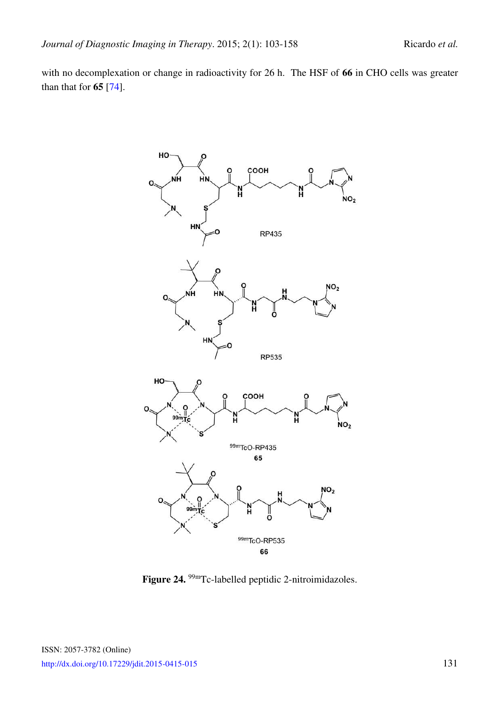with no decomplexation or change in radioactivity for 26 h. The HSF of **66** in CHO cells was greater than that for **65** [\[74\]](#page-52-10).



Figure 24. <sup>99m</sup>Tc-labelled peptidic 2-nitroimidazoles.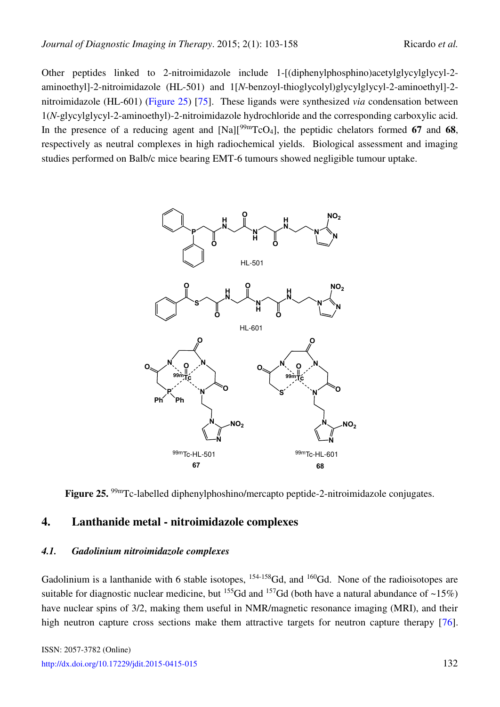Other peptides linked to 2-nitroimidazole include 1-[(diphenylphosphino)acetylglycylglycyl-2 aminoethyl]-2-nitroimidazole (HL-501) and 1[*N*-benzoyl-thioglycolyl)glycylglycyl-2-aminoethyl]-2 nitroimidazole (HL-601) [\(Figure 25\)](#page-29-0) [\[75\]](#page-52-11). These ligands were synthesized *via* condensation between 1(*N*-glycylglycyl-2-aminoethyl)-2-nitroimidazole hydrochloride and the corresponding carboxylic acid. In the presence of a reducing agent and  $[Na][\frac{99m}{\text{TcO4}}]$ , the peptidic chelators formed 67 and 68, respectively as neutral complexes in high radiochemical yields. Biological assessment and imaging studies performed on Balb/c mice bearing EMT-6 tumours showed negligible tumour uptake.

<span id="page-29-0"></span>

Figure 25. <sup>99m</sup>Tc-labelled diphenylphoshino/mercapto peptide-2-nitroimidazole conjugates.

#### **4. Lanthanide metal - nitroimidazole complexes**

#### *4.1. Gadolinium nitroimidazole complexes*

Gadolinium is a lanthanide with 6 stable isotopes, <sup>154-158</sup>Gd, and <sup>160</sup>Gd. None of the radioisotopes are suitable for diagnostic nuclear medicine, but <sup>155</sup>Gd and <sup>157</sup>Gd (both have a natural abundance of ~15%) have nuclear spins of 3/2, making them useful in NMR/magnetic resonance imaging (MRI), and their high neutron capture cross sections make them attractive targets for neutron capture therapy [\[76\]](#page-52-12).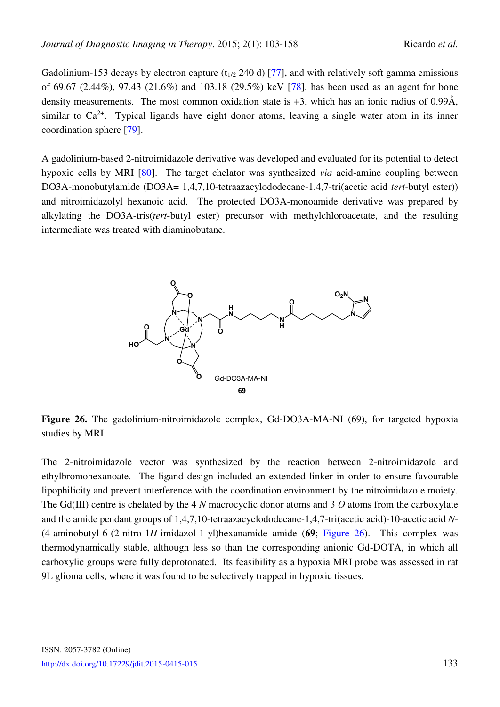Gadolinium-153 decays by electron capture ( $t_{1/2}$  240 d) [\[77\]](#page-52-13), and with relatively soft gamma emissions of 69.67 (2.44%), 97.43 (21.6%) and 103.18 (29.5%) keV [\[78\]](#page-53-0), has been used as an agent for bone density measurements. The most common oxidation state is +3, which has an ionic radius of 0.99Å, similar to  $Ca^{2+}$ . Typical ligands have eight donor atoms, leaving a single water atom in its inner coordination sphere [\[79\]](#page-53-1).

A gadolinium-based 2-nitroimidazole derivative was developed and evaluated for its potential to detect hypoxic cells by MRI [\[80\]](#page-53-2). The target chelator was synthesized *via* acid-amine coupling between DO3A-monobutylamide (DO3A= 1,4,7,10-tetraazacylododecane-1,4,7-tri(acetic acid *tert*-butyl ester)) and nitroimidazolyl hexanoic acid. The protected DO3A-monoamide derivative was prepared by alkylating the DO3A-tris(*tert*-butyl ester) precursor with methylchloroacetate, and the resulting intermediate was treated with diaminobutane.

<span id="page-30-0"></span>

**Figure 26.** The gadolinium-nitroimidazole complex, Gd-DO3A-MA-NI (69), for targeted hypoxia studies by MRI.

The 2-nitroimidazole vector was synthesized by the reaction between 2-nitroimidazole and ethylbromohexanoate. The ligand design included an extended linker in order to ensure favourable lipophilicity and prevent interference with the coordination environment by the nitroimidazole moiety. The Gd(III) centre is chelated by the 4 *N* macrocyclic donor atoms and 3 *O* atoms from the carboxylate and the amide pendant groups of 1,4,7,10-tetraazacyclododecane-1,4,7-tri(acetic acid)-10-acetic acid *N*- (4-aminobutyl-6-(2-nitro-1*H*-imidazol-1-yl)hexanamide amide (**69**; [Figure 26\)](#page-30-0). This complex was thermodynamically stable, although less so than the corresponding anionic Gd-DOTA, in which all carboxylic groups were fully deprotonated. Its feasibility as a hypoxia MRI probe was assessed in rat 9L glioma cells, where it was found to be selectively trapped in hypoxic tissues.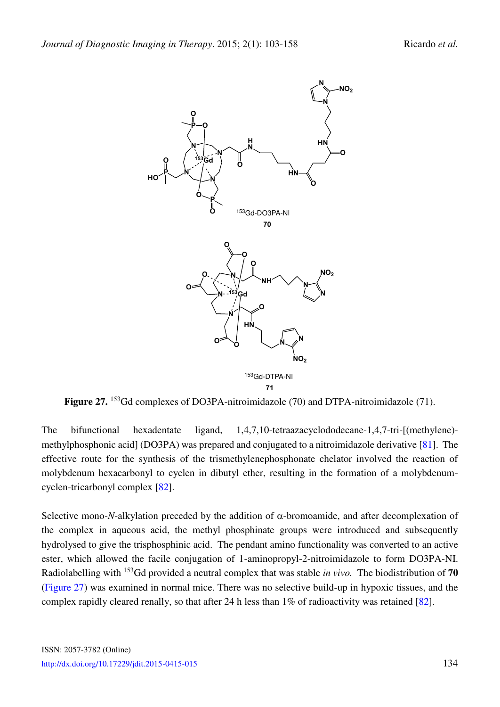<span id="page-31-0"></span>

Figure 27. <sup>153</sup>Gd complexes of DO3PA-nitroimidazole (70) and DTPA-nitroimidazole (71).

The bifunctional hexadentate ligand, 1,4,7,10-tetraazacyclododecane-1,4,7-tri-[(methylene) methylphosphonic acid] (DO3PA) was prepared and conjugated to a nitroimidazole derivative [\[81\]](#page-53-3). The effective route for the synthesis of the trismethylenephosphonate chelator involved the reaction of molybdenum hexacarbonyl to cyclen in dibutyl ether, resulting in the formation of a molybdenumcyclen-tricarbonyl complex [\[82\]](#page-53-4).

Selective mono-*N*-alkylation preceded by the addition of  $\alpha$ -bromoamide, and after decomplexation of the complex in aqueous acid, the methyl phosphinate groups were introduced and subsequently hydrolysed to give the trisphosphinic acid. The pendant amino functionality was converted to an active ester, which allowed the facile conjugation of 1-aminopropyl-2-nitroimidazole to form DO3PA-NI. Radiolabelling with <sup>153</sup>Gd provided a neutral complex that was stable *in vivo.* The biodistribution of **70**  [\(Figure 27\)](#page-31-0) was examined in normal mice. There was no selective build-up in hypoxic tissues, and the complex rapidly cleared renally, so that after 24 h less than 1% of radioactivity was retained [\[82\]](#page-53-4).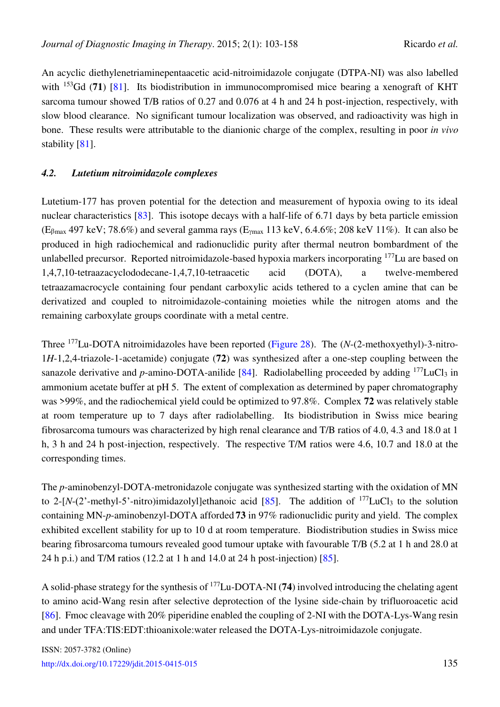An acyclic diethylenetriaminepentaacetic acid-nitroimidazole conjugate (DTPA-NI) was also labelled with <sup>153</sup>Gd (**71**) [\[81\]](#page-53-3). Its biodistribution in immunocompromised mice bearing a xenograft of KHT sarcoma tumour showed T/B ratios of 0.27 and 0.076 at 4 h and 24 h post-injection, respectively, with slow blood clearance. No significant tumour localization was observed, and radioactivity was high in bone. These results were attributable to the dianionic charge of the complex, resulting in poor *in vivo* stability [\[81\]](#page-53-3).

#### *4.2. Lutetium nitroimidazole complexes*

Lutetium-177 has proven potential for the detection and measurement of hypoxia owing to its ideal nuclear characteristics [\[83\]](#page-53-5). This isotope decays with a half-life of 6.71 days by beta particle emission  $(E_{\beta \text{max}} 497 \text{ keV}; 78.6\%)$  and several gamma rays  $(E_{\gamma \text{max}} 113 \text{ keV}, 6.4.6\%; 208 \text{ keV } 11\%)$ . It can also be produced in high radiochemical and radionuclidic purity after thermal neutron bombardment of the unlabelled precursor. Reported nitroimidazole-based hypoxia markers incorporating <sup>177</sup>Lu are based on 1,4,7,10-tetraazacyclododecane-1,4,7,10-tetraacetic acid (DOTA), a twelve-membered tetraazamacrocycle containing four pendant carboxylic acids tethered to a cyclen amine that can be derivatized and coupled to nitroimidazole-containing moieties while the nitrogen atoms and the remaining carboxylate groups coordinate with a metal centre.

Three <sup>177</sup>Lu-DOTA nitroimidazoles have been reported [\(Figure 28\)](#page-33-0). The (*N*-(2-methoxyethyl)-3-nitro-1*H*-1,2,4-triazole-1-acetamide) conjugate (**72**) was synthesized after a one-step coupling between the sanazole derivative and *p*-amino-DOTA-anilide [\[84\]](#page-53-6). Radiolabelling proceeded by adding  $177$ LuCl<sub>3</sub> in ammonium acetate buffer at pH 5. The extent of complexation as determined by paper chromatography was >99%, and the radiochemical yield could be optimized to 97.8%. Complex **72** was relatively stable at room temperature up to 7 days after radiolabelling. Its biodistribution in Swiss mice bearing fibrosarcoma tumours was characterized by high renal clearance and T/B ratios of 4.0, 4.3 and 18.0 at 1 h, 3 h and 24 h post-injection, respectively. The respective T/M ratios were 4.6, 10.7 and 18.0 at the corresponding times.

The *p*-aminobenzyl-DOTA-metronidazole conjugate was synthesized starting with the oxidation of MN to 2-[ $N$ -(2'-methyl-5'-nitro)imidazolyl]ethanoic acid [\[85\]](#page-53-7). The addition of <sup>177</sup>LuCl<sub>3</sub> to the solution containing MN-*p*-aminobenzyl-DOTA afforded **73** in 97% radionuclidic purity and yield. The complex exhibited excellent stability for up to 10 d at room temperature. Biodistribution studies in Swiss mice bearing fibrosarcoma tumours revealed good tumour uptake with favourable T/B (5.2 at 1 h and 28.0 at 24 h p.i.) and T/M ratios (12.2 at 1 h and 14.0 at 24 h post-injection) [\[85\]](#page-53-7).

A solid-phase strategy for the synthesis of <sup>177</sup>Lu-DOTA-NI (**74**) involved introducing the chelating agent to amino acid-Wang resin after selective deprotection of the lysine side-chain by trifluoroacetic acid [\[86\]](#page-53-8). Fmoc cleavage with 20% piperidine enabled the coupling of 2-NI with the DOTA-Lys-Wang resin and under TFA:TIS:EDT:thioanixole:water released the DOTA-Lys-nitroimidazole conjugate.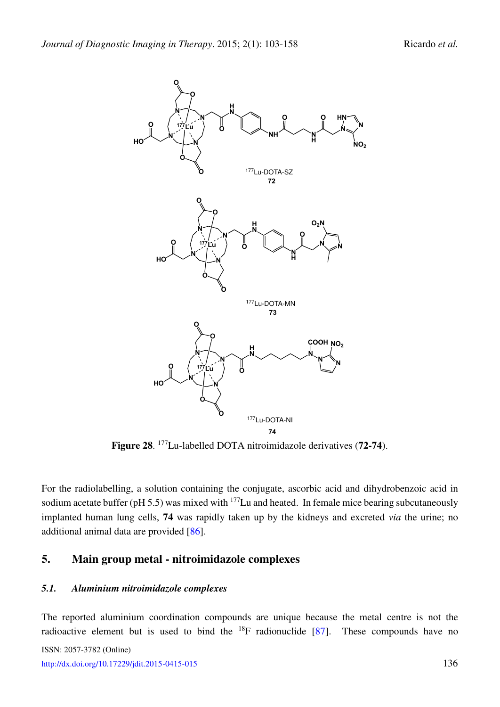<span id="page-33-0"></span>

**Figure 28**. <sup>177</sup>Lu-labelled DOTA nitroimidazole derivatives (**72-74**).

For the radiolabelling, a solution containing the conjugate, ascorbic acid and dihydrobenzoic acid in sodium acetate buffer (pH 5.5) was mixed with  $177$ Lu and heated. In female mice bearing subcutaneously implanted human lung cells, **74** was rapidly taken up by the kidneys and excreted *via* the urine; no additional animal data are provided [\[86\]](#page-53-8).

### **5. Main group metal - nitroimidazole complexes**

#### *5.1. Aluminium nitroimidazole complexes*

The reported aluminium coordination compounds are unique because the metal centre is not the radioactive element but is used to bind the  $^{18}F$  radionuclide [\[87\]](#page-53-9). These compounds have no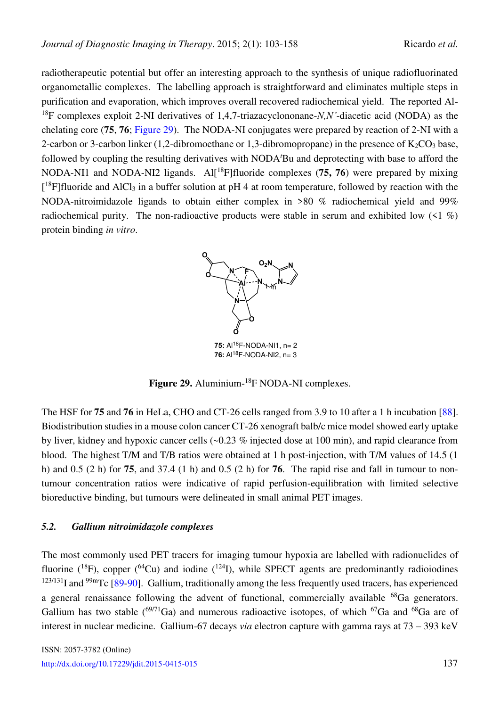radiotherapeutic potential but offer an interesting approach to the synthesis of unique radiofluorinated organometallic complexes. The labelling approach is straightforward and eliminates multiple steps in purification and evaporation, which improves overall recovered radiochemical yield. The reported Al-<sup>18</sup>F complexes exploit 2-NI derivatives of 1,4,7-triazacyclononane-*N,N'*-diacetic acid (NODA) as the chelating core (**75**, **76**; [Figure 29\)](#page-34-0). The NODA-NI conjugates were prepared by reaction of 2-NI with a 2-carbon or 3-carbon linker (1,2-dibromoethane or 1,3-dibromopropane) in the presence of  $K_2CO_3$  base, followed by coupling the resulting derivatives with NODA*<sup>t</sup>*Bu and deprotecting with base to afford the NODA-NI1 and NODA-NI2 ligands. Al<sup>[18</sup>F]fluoride complexes (75, 76) were prepared by mixing [<sup>18</sup>F]fluoride and AlCl<sub>3</sub> in a buffer solution at pH 4 at room temperature, followed by reaction with the NODA-nitroimidazole ligands to obtain either complex in >80 % radiochemical yield and 99% radiochemical purity. The non-radioactive products were stable in serum and exhibited low  $(1\%)$ protein binding *in vitro*.



Figure 29. Aluminium-<sup>18</sup>F NODA-NI complexes.

<span id="page-34-0"></span>The HSF for **75** and **76** in HeLa, CHO and CT-26 cells ranged from 3.9 to 10 after a 1 h incubation [\[88\]](#page-53-10). Biodistribution studies in a mouse colon cancer CT-26 xenograft balb/c mice model showed early uptake by liver, kidney and hypoxic cancer cells (~0.23 % injected dose at 100 min), and rapid clearance from blood. The highest T/M and T/B ratios were obtained at 1 h post-injection, with T/M values of 14.5 (1 h) and 0.5 (2 h) for **75**, and 37.4 (1 h) and 0.5 (2 h) for **76**. The rapid rise and fall in tumour to nontumour concentration ratios were indicative of rapid perfusion-equilibration with limited selective bioreductive binding, but tumours were delineated in small animal PET images.

### *5.2. Gallium nitroimidazole complexes*

The most commonly used PET tracers for imaging tumour hypoxia are labelled with radionuclides of fluorine  $(^{18}F)$ , copper  $(^{64}Cu)$  and iodine  $(^{124}I)$ , while SPECT agents are predominantly radioiodines  $123/131$  and  $99<sup>9</sup>$ Tc [\[89-](#page-53-11)[90\]](#page-53-12). Gallium, traditionally among the less frequently used tracers, has experienced a general renaissance following the advent of functional, commercially available <sup>68</sup>Ga generators. Gallium has two stable  $(^{69/71}Ga)$  and numerous radioactive isotopes, of which  $^{67}Ga$  and  $^{68}Ga$  are of interest in nuclear medicine. Gallium-67 decays *via* electron capture with gamma rays at 73 – 393 keV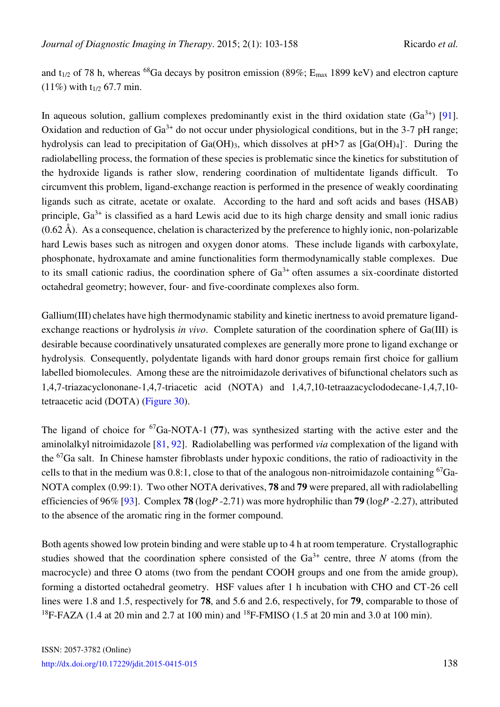and t<sub>1/2</sub> of 78 h, whereas <sup>68</sup>Ga decays by positron emission (89%;  $E_{\text{max}}$  1899 keV) and electron capture  $(11\%)$  with t<sub>1/2</sub> 67.7 min.

In aqueous solution, gallium complexes predominantly exist in the third oxidation state  $(Ga^{3+})$  [\[91\]](#page-54-0). Oxidation and reduction of  $Ga^{3+}$  do not occur under physiological conditions, but in the 3-7 pH range; hydrolysis can lead to precipitation of Ga(OH)<sub>3</sub>, which dissolves at pH>7 as [Ga(OH)<sub>4</sub>]. During the radiolabelling process, the formation of these species is problematic since the kinetics for substitution of the hydroxide ligands is rather slow, rendering coordination of multidentate ligands difficult. To circumvent this problem, ligand-exchange reaction is performed in the presence of weakly coordinating ligands such as citrate, acetate or oxalate. According to the hard and soft acids and bases (HSAB) principle,  $Ga^{3+}$  is classified as a hard Lewis acid due to its high charge density and small ionic radius  $(0.62 \text{ Å})$ . As a consequence, chelation is characterized by the preference to highly ionic, non-polarizable hard Lewis bases such as nitrogen and oxygen donor atoms. These include ligands with carboxylate, phosphonate, hydroxamate and amine functionalities form thermodynamically stable complexes. Due to its small cationic radius, the coordination sphere of  $Ga^{3+}$  often assumes a six-coordinate distorted octahedral geometry; however, four- and five-coordinate complexes also form.

Gallium(III) chelates have high thermodynamic stability and kinetic inertness to avoid premature ligandexchange reactions or hydrolysis *in vivo*. Complete saturation of the coordination sphere of Ga(III) is desirable because coordinatively unsaturated complexes are generally more prone to ligand exchange or hydrolysis. Consequently, polydentate ligands with hard donor groups remain first choice for gallium labelled biomolecules. Among these are the nitroimidazole derivatives of bifunctional chelators such as 1,4,7-triazacyclononane-1,4,7-triacetic acid (NOTA) and 1,4,7,10-tetraazacyclododecane-1,4,7,10 tetraacetic acid (DOTA) [\(Figure 30\)](#page-36-0).

The ligand of choice for <sup>67</sup>Ga-NOTA-1 (**77**), was synthesized starting with the active ester and the aminolalkyl nitroimidazole [\[81,](#page-53-3) [92\]](#page-54-1). Radiolabelling was performed *via* complexation of the ligand with the <sup>67</sup>Ga salt. In Chinese hamster fibroblasts under hypoxic conditions, the ratio of radioactivity in the cells to that in the medium was  $0.8:1$ , close to that of the analogous non-nitroimidazole containing  ${}^{67}Ga-$ NOTA complex (0.99:1). Two other NOTA derivatives, **78** and **79** were prepared, all with radiolabelling efficiencies of 96% [\[93\]](#page-54-2). Complex **78** (log*P* -2.71) was more hydrophilic than **79** (log*P* -2.27), attributed to the absence of the aromatic ring in the former compound.

Both agents showed low protein binding and were stable up to 4 h at room temperature. Crystallographic studies showed that the coordination sphere consisted of the  $Ga^{3+}$  centre, three N atoms (from the macrocycle) and three O atoms (two from the pendant COOH groups and one from the amide group), forming a distorted octahedral geometry. HSF values after 1 h incubation with CHO and CT-26 cell lines were 1.8 and 1.5, respectively for **78**, and 5.6 and 2.6, respectively, for **79**, comparable to those of <sup>18</sup>F-FAZA (1.4 at 20 min and 2.7 at 100 min) and <sup>18</sup>F-FMISO (1.5 at 20 min and 3.0 at 100 min).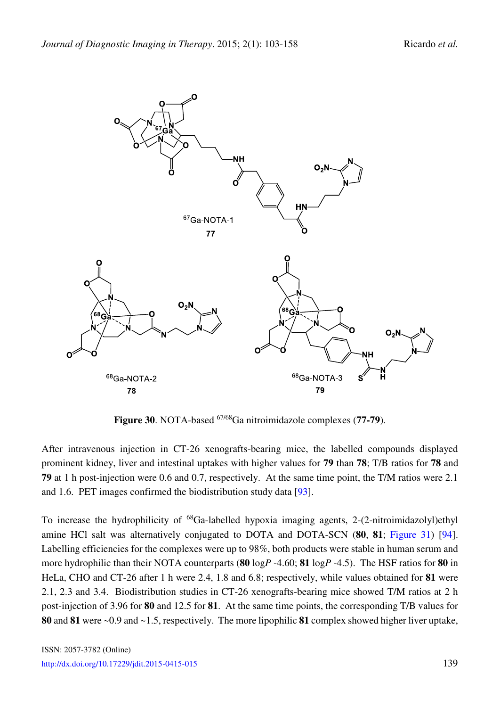<span id="page-36-0"></span>

**Figure 30**. NOTA-based 67/68Ga nitroimidazole complexes (**77-79**).

After intravenous injection in CT-26 xenografts-bearing mice, the labelled compounds displayed prominent kidney, liver and intestinal uptakes with higher values for **79** than **78**; T/B ratios for **78** and **79** at 1 h post-injection were 0.6 and 0.7, respectively. At the same time point, the T/M ratios were 2.1 and 1.6. PET images confirmed the biodistribution study data [\[93\]](#page-54-2).

To increase the hydrophilicity of  $^{68}Ga$ -labelled hypoxia imaging agents, 2-(2-nitroimidazolyl)ethyl amine HCl salt was alternatively conjugated to DOTA and DOTA-SCN (**80**, **81**; [Figure 31\)](#page-37-0) [\[94\]](#page-54-3). Labelling efficiencies for the complexes were up to 98%, both products were stable in human serum and more hydrophilic than their NOTA counterparts (**80** log*P* -4.60; **81** log*P* -4.5). The HSF ratios for **80** in HeLa, CHO and CT-26 after 1 h were 2.4, 1.8 and 6.8; respectively, while values obtained for **81** were 2.1, 2.3 and 3.4. Biodistribution studies in CT-26 xenografts-bearing mice showed T/M ratios at 2 h post-injection of 3.96 for **80** and 12.5 for **81**. At the same time points, the corresponding T/B values for **80** and **81** were ~0.9 and ~1.5, respectively. The more lipophilic **81** complex showed higher liver uptake,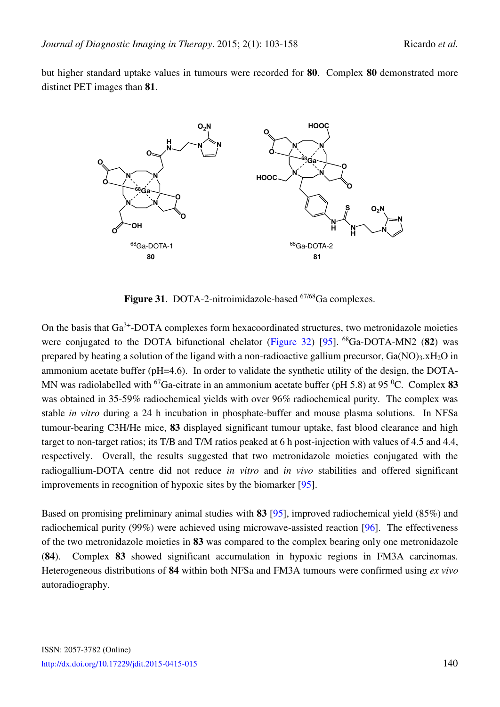but higher standard uptake values in tumours were recorded for **80**. Complex **80** demonstrated more distinct PET images than **81**.

<span id="page-37-0"></span>

Figure 31. DOTA-2-nitroimidazole-based <sup>67/68</sup>Ga complexes.

On the basis that Ga<sup>3+</sup>-DOTA complexes form hexacoordinated structures, two metronidazole moieties were conjugated to the DOTA bifunctional chelator [\(Figure 32\)](#page-38-0) [\[95\]](#page-54-4). <sup>68</sup>Ga-DOTA-MN2 (**82**) was prepared by heating a solution of the ligand with a non-radioactive gallium precursor, Ga(NO)3.xH<sub>2</sub>O in ammonium acetate buffer (pH=4.6). In order to validate the synthetic utility of the design, the DOTA-MN was radiolabelled with <sup>67</sup>Ga-citrate in an ammonium acetate buffer (pH 5.8) at 95 <sup>0</sup>C. Complex 83 was obtained in 35-59% radiochemical yields with over 96% radiochemical purity. The complex was stable *in vitro* during a 24 h incubation in phosphate-buffer and mouse plasma solutions. In NFSa tumour-bearing C3H/He mice, **83** displayed significant tumour uptake, fast blood clearance and high target to non-target ratios; its T/B and T/M ratios peaked at 6 h post-injection with values of 4.5 and 4.4, respectively. Overall, the results suggested that two metronidazole moieties conjugated with the radiogallium-DOTA centre did not reduce *in vitro* and *in vivo* stabilities and offered significant improvements in recognition of hypoxic sites by the biomarker [\[95\]](#page-54-4).

Based on promising preliminary animal studies with **83** [\[95\]](#page-54-4), improved radiochemical yield (85%) and radiochemical purity (99%) were achieved using microwave-assisted reaction [\[96\]](#page-54-5). The effectiveness of the two metronidazole moieties in **83** was compared to the complex bearing only one metronidazole (**84**). Complex **83** showed significant accumulation in hypoxic regions in FM3A carcinomas. Heterogeneous distributions of **84** within both NFSa and FM3A tumours were confirmed using *ex vivo*  autoradiography.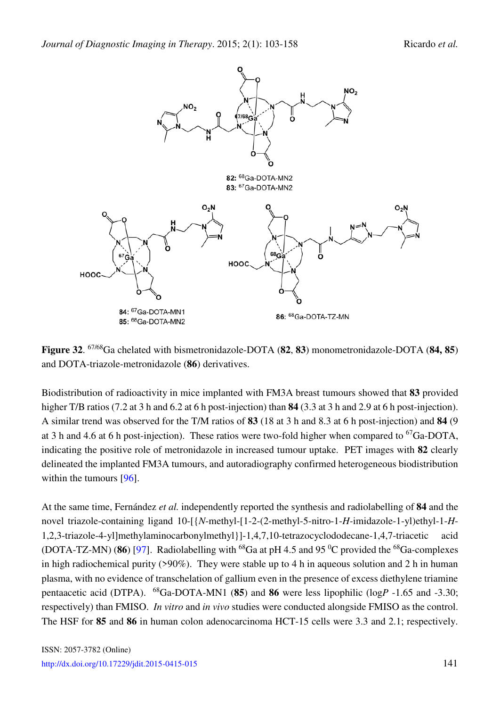<span id="page-38-0"></span>

**Figure 32**. 67/68Ga chelated with bismetronidazole-DOTA (**82**, **83**) monometronidazole-DOTA (**84, 85**) and DOTA-triazole-metronidazole (**86**) derivatives.

Biodistribution of radioactivity in mice implanted with FM3A breast tumours showed that **83** provided higher T/B ratios (7.2 at 3 h and 6.2 at 6 h post-injection) than **84** (3.3 at 3 h and 2.9 at 6 h post-injection). A similar trend was observed for the T/M ratios of **83** (18 at 3 h and 8.3 at 6 h post-injection) and **84** (9 at 3 h and 4.6 at 6 h post-injection). These ratios were two-fold higher when compared to  ${}^{67}Ga-DOTA$ , indicating the positive role of metronidazole in increased tumour uptake. PET images with **82** clearly delineated the implanted FM3A tumours, and autoradiography confirmed heterogeneous biodistribution within the tumours [\[96\]](#page-54-5).

At the same time, Fernández *et al.* independently reported the synthesis and radiolabelling of **84** and the novel triazole-containing ligand 10-[{*N*-methyl-[1-2-(2-methyl-5-nitro-1-*H*-imidazole-1-yl)ethyl-1-*H*-1,2,3-triazole-4-yl]methylaminocarbonylmethyl}]-1,4,7,10-tetrazocyclododecane-1,4,7-triacetic acid (DOTA-TZ-MN) (86) [\[97\]](#page-54-6). Radiolabelling with <sup>68</sup>Ga at pH 4.5 and 95<sup> $0$ </sup>C provided the <sup>68</sup>Ga-complexes in high radiochemical purity (>90%). They were stable up to 4 h in aqueous solution and 2 h in human plasma, with no evidence of transchelation of gallium even in the presence of excess diethylene triamine pentaacetic acid (DTPA). <sup>68</sup>Ga-DOTA-MN1 (**85**) and **86** were less lipophilic (log*P* -1.65 and -3.30; respectively) than FMISO. *In vitro* and *in vivo* studies were conducted alongside FMISO as the control. The HSF for **85** and **86** in human colon adenocarcinoma HCT-15 cells were 3.3 and 2.1; respectively.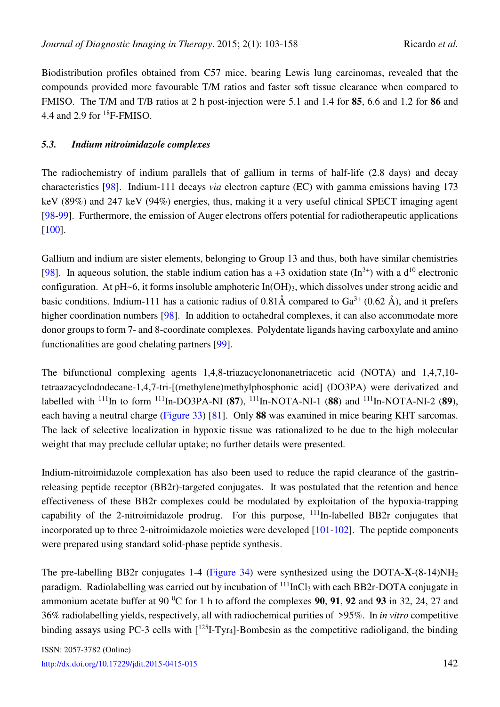Biodistribution profiles obtained from C57 mice, bearing Lewis lung carcinomas, revealed that the compounds provided more favourable T/M ratios and faster soft tissue clearance when compared to FMISO. The T/M and T/B ratios at 2 h post-injection were 5.1 and 1.4 for **85**, 6.6 and 1.2 for **86** and 4.4 and 2.9 for <sup>18</sup>F-FMISO.

### *5.3. Indium nitroimidazole complexes*

The radiochemistry of indium parallels that of gallium in terms of half-life (2.8 days) and decay characteristics [\[98\]](#page-54-7). Indium-111 decays *via* electron capture (EC) with gamma emissions having 173 keV (89%) and 247 keV (94%) energies, thus, making it a very useful clinical SPECT imaging agent [\[98](#page-54-7)[-99\]](#page-54-8). Furthermore, the emission of Auger electrons offers potential for radiotherapeutic applications [\[100\]](#page-54-9).

Gallium and indium are sister elements, belonging to Group 13 and thus, both have similar chemistries [\[98\]](#page-54-7). In aqueous solution, the stable indium cation has a +3 oxidation state  $(\text{In}^{3+})$  with a d<sup>10</sup> electronic configuration. At pH~6, it forms insoluble amphoteric In(OH)<sub>3</sub>, which dissolves under strong acidic and basic conditions. Indium-111 has a cationic radius of  $0.81\text{\AA}$  compared to Ga<sup>3+</sup> (0.62 Å), and it prefers higher coordination numbers [\[98\]](#page-54-7). In addition to octahedral complexes, it can also accommodate more donor groups to form 7- and 8-coordinate complexes. Polydentate ligands having carboxylate and amino functionalities are good chelating partners [\[99\]](#page-54-8).

The bifunctional complexing agents 1,4,8-triazacyclononanetriacetic acid (NOTA) and 1,4,7,10 tetraazacyclododecane-1,4,7-tri-[(methylene)methylphosphonic acid] (DO3PA) were derivatized and labelled with <sup>111</sup>In to form <sup>111</sup>In-DO3PA-NI (**87**), <sup>111</sup>In-NOTA-NI-1 (**88**) and <sup>111</sup>In-NOTA-NI-2 (**89**), each having a neutral charge [\(Figure 33\)](#page-40-0) [\[81\]](#page-53-3). Only **88** was examined in mice bearing KHT sarcomas. The lack of selective localization in hypoxic tissue was rationalized to be due to the high molecular weight that may preclude cellular uptake; no further details were presented.

Indium-nitroimidazole complexation has also been used to reduce the rapid clearance of the gastrinreleasing peptide receptor (BB2r)-targeted conjugates. It was postulated that the retention and hence effectiveness of these BB2r complexes could be modulated by exploitation of the hypoxia-trapping capability of the 2-nitroimidazole prodrug. For this purpose,  $^{111}$ In-labelled BB2r conjugates that incorporated up to three 2-nitroimidazole moieties were developed [\[101](#page-54-10)[-102\]](#page-54-11). The peptide components were prepared using standard solid-phase peptide synthesis.

The pre-labelling BB2r conjugates 1-4 [\(Figure 34\)](#page-42-0) were synthesized using the DOTA-**X**-(8-14)NH<sup>2</sup> paradigm. Radiolabelling was carried out by incubation of <sup>111</sup>InCl<sub>3</sub> with each BB2r-DOTA conjugate in ammonium acetate buffer at 90 <sup>0</sup>C for 1 h to afford the complexes **90**, **91**, **92** and **93** in 32, 24, 27 and 36% radiolabelling yields, respectively, all with radiochemical purities of >95%. In *in vitro* competitive binding assays using PC-3 cells with  $\lceil 125 \rceil$ -Tyr<sub>4</sub>]-Bombesin as the competitive radioligand, the binding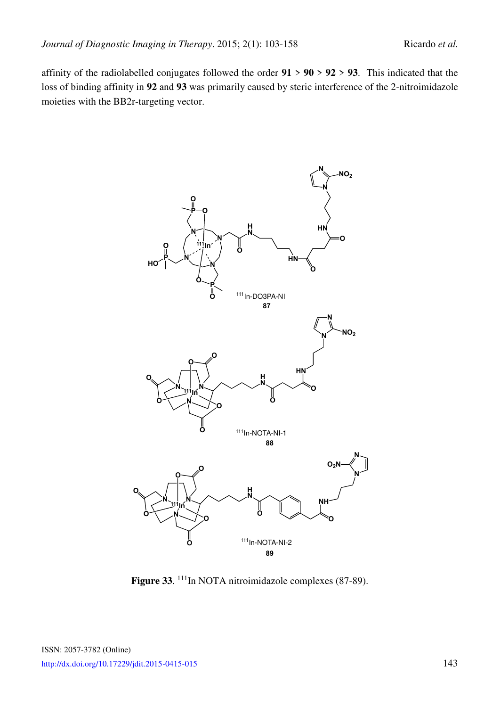affinity of the radiolabelled conjugates followed the order **91** > **90** > **92** > **93**. This indicated that the loss of binding affinity in **92** and **93** was primarily caused by steric interference of the 2-nitroimidazole moieties with the BB2r-targeting vector.

<span id="page-40-0"></span>

Figure 33.<sup>111</sup>In NOTA nitroimidazole complexes (87-89).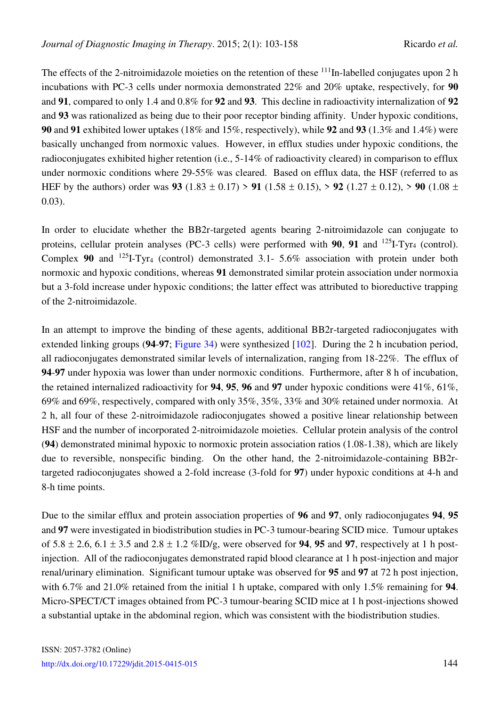The effects of the 2-nitroimidazole moieties on the retention of these  $111$ <sub>In-labelled conjugates upon 2 h</sub> incubations with PC-3 cells under normoxia demonstrated 22% and 20% uptake, respectively, for **90** and **91**, compared to only 1.4 and 0.8% for **92** and **93**. This decline in radioactivity internalization of **92** and **93** was rationalized as being due to their poor receptor binding affinity. Under hypoxic conditions, **90** and **91** exhibited lower uptakes (18% and 15%, respectively), while **92** and **93** (1.3% and 1.4%) were basically unchanged from normoxic values. However, in efflux studies under hypoxic conditions, the radioconjugates exhibited higher retention (i.e., 5-14% of radioactivity cleared) in comparison to efflux under normoxic conditions where 29-55% was cleared. Based on efflux data, the HSF (referred to as HEF by the authors) order was **93** (1.83  $\pm$  0.17) > **91** (1.58  $\pm$  0.15), > **92** (1.27  $\pm$  0.12), > **90** (1.08  $\pm$ 0.03).

In order to elucidate whether the BB2r-targeted agents bearing 2-nitroimidazole can conjugate to proteins, cellular protein analyses (PC-3 cells) were performed with  $90$ ,  $91$  and  $^{125}$ I-Tyr<sub>4</sub> (control). Complex 90 and <sup>125</sup>I-Tyr<sub>4</sub> (control) demonstrated 3.1- 5.6% association with protein under both normoxic and hypoxic conditions, whereas **91** demonstrated similar protein association under normoxia but a 3-fold increase under hypoxic conditions; the latter effect was attributed to bioreductive trapping of the 2-nitroimidazole.

In an attempt to improve the binding of these agents, additional BB2r-targeted radioconjugates with extended linking groups (**94**-**97**; [Figure 34\)](#page-49-7) were synthesized [\[102\]](#page-54-11). During the 2 h incubation period, all radioconjugates demonstrated similar levels of internalization, ranging from 18-22%. The efflux of **94**-**97** under hypoxia was lower than under normoxic conditions. Furthermore, after 8 h of incubation, the retained internalized radioactivity for **94**, **95**, **96** and **97** under hypoxic conditions were 41%, 61%, 69% and 69%, respectively, compared with only 35%, 35%, 33% and 30% retained under normoxia. At 2 h, all four of these 2-nitroimidazole radioconjugates showed a positive linear relationship between HSF and the number of incorporated 2-nitroimidazole moieties. Cellular protein analysis of the control (**94**) demonstrated minimal hypoxic to normoxic protein association ratios (1.08-1.38), which are likely due to reversible, nonspecific binding. On the other hand, the 2-nitroimidazole-containing BB2rtargeted radioconjugates showed a 2-fold increase (3-fold for **97**) under hypoxic conditions at 4-h and 8-h time points.

Due to the similar efflux and protein association properties of **96** and **97**, only radioconjugates **94**, **95** and **97** were investigated in biodistribution studies in PC-3 tumour-bearing SCID mice. Tumour uptakes of  $5.8 \pm 2.6$ ,  $6.1 \pm 3.5$  and  $2.8 \pm 1.2$  %ID/g, were observed for **94, 95** and **97**, respectively at 1 h postinjection. All of the radioconjugates demonstrated rapid blood clearance at 1 h post-injection and major renal/urinary elimination. Significant tumour uptake was observed for **95** and **97** at 72 h post injection, with 6.7% and 21.0% retained from the initial 1 h uptake, compared with only 1.5% remaining for **94**. Micro-SPECT/CT images obtained from PC-3 tumour-bearing SCID mice at 1 h post-injections showed a substantial uptake in the abdominal region, which was consistent with the biodistribution studies.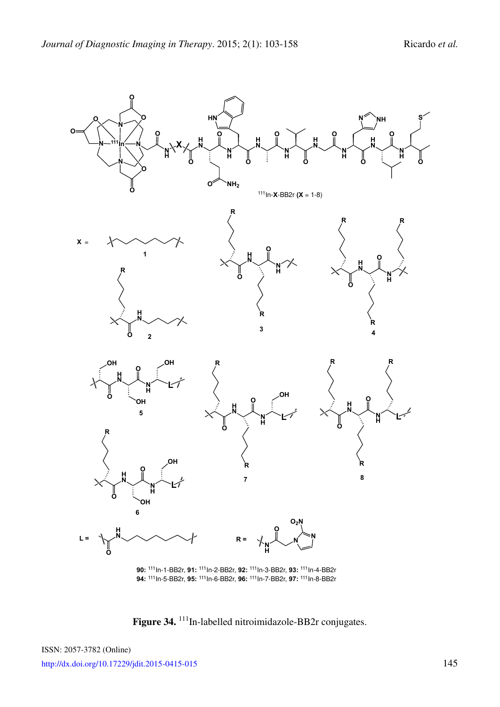<span id="page-42-0"></span>

**90:** 111In-1-BB2r, **91:** 111In-2-BB2r, **92:** 111In-3-BB2r, **93:** 111In-4-BB2r **94:** 111In-5-BB2r, **95:** 111In-6-BB2r, **96:** 111In-7-BB2r, **97:** 111In-8-BB2r

Figure 34.<sup>111</sup>In-labelled nitroimidazole-BB2r conjugates.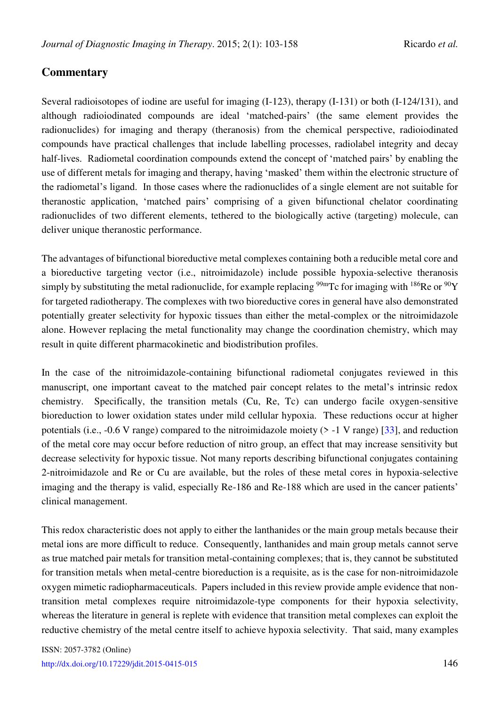## **Commentary**

Several radioisotopes of iodine are useful for imaging (I-123), therapy (I-131) or both (I-124/131), and although radioiodinated compounds are ideal 'matched-pairs' (the same element provides the radionuclides) for imaging and therapy (theranosis) from the chemical perspective, radioiodinated compounds have practical challenges that include labelling processes, radiolabel integrity and decay half-lives. Radiometal coordination compounds extend the concept of 'matched pairs' by enabling the use of different metals for imaging and therapy, having 'masked' them within the electronic structure of the radiometal's ligand. In those cases where the radionuclides of a single element are not suitable for theranostic application, 'matched pairs' comprising of a given bifunctional chelator coordinating radionuclides of two different elements, tethered to the biologically active (targeting) molecule, can deliver unique theranostic performance.

The advantages of bifunctional bioreductive metal complexes containing both a reducible metal core and a bioreductive targeting vector (i.e., nitroimidazole) include possible hypoxia-selective theranosis simply by substituting the metal radionuclide, for example replacing <sup>99m</sup>Tc for imaging with <sup>186</sup>Re or <sup>90</sup>Y for targeted radiotherapy. The complexes with two bioreductive cores in general have also demonstrated potentially greater selectivity for hypoxic tissues than either the metal-complex or the nitroimidazole alone. However replacing the metal functionality may change the coordination chemistry, which may result in quite different pharmacokinetic and biodistribution profiles.

In the case of the nitroimidazole-containing bifunctional radiometal conjugates reviewed in this manuscript, one important caveat to the matched pair concept relates to the metal's intrinsic redox chemistry. Specifically, the transition metals (Cu, Re, Tc) can undergo facile oxygen-sensitive bioreduction to lower oxidation states under mild cellular hypoxia. These reductions occur at higher potentials (i.e.,  $-0.6$  V range) compared to the nitroimidazole moiety ( $>$ -1 V range) [\[33\]](#page-49-6), and reduction of the metal core may occur before reduction of nitro group, an effect that may increase sensitivity but decrease selectivity for hypoxic tissue. Not many reports describing bifunctional conjugates containing 2-nitroimidazole and Re or Cu are available, but the roles of these metal cores in hypoxia-selective imaging and the therapy is valid, especially Re-186 and Re-188 which are used in the cancer patients' clinical management.

This redox characteristic does not apply to either the lanthanides or the main group metals because their metal ions are more difficult to reduce. Consequently, lanthanides and main group metals cannot serve as true matched pair metals for transition metal-containing complexes; that is, they cannot be substituted for transition metals when metal-centre bioreduction is a requisite, as is the case for non-nitroimidazole oxygen mimetic radiopharmaceuticals. Papers included in this review provide ample evidence that nontransition metal complexes require nitroimidazole-type components for their hypoxia selectivity, whereas the literature in general is replete with evidence that transition metal complexes can exploit the reductive chemistry of the metal centre itself to achieve hypoxia selectivity. That said, many examples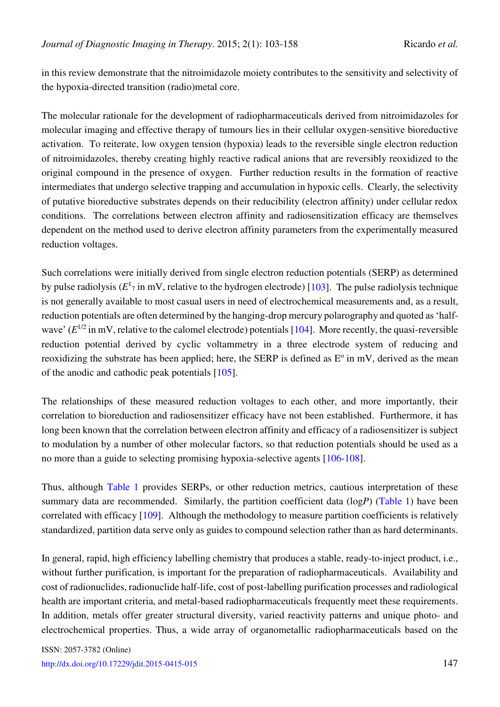in this review demonstrate that the nitroimidazole moiety contributes to the sensitivity and selectivity of the hypoxia-directed transition (radio)metal core.

The molecular rationale for the development of radiopharmaceuticals derived from nitroimidazoles for molecular imaging and effective therapy of tumours lies in their cellular oxygen-sensitive bioreductive activation. To reiterate, low oxygen tension (hypoxia) leads to the reversible single electron reduction of nitroimidazoles, thereby creating highly reactive radical anions that are reversibly reoxidized to the original compound in the presence of oxygen. Further reduction results in the formation of reactive intermediates that undergo selective trapping and accumulation in hypoxic cells. Clearly, the selectivity of putative bioreductive substrates depends on their reducibility (electron affinity) under cellular redox conditions. The correlations between electron affinity and radiosensitization efficacy are themselves dependent on the method used to derive electron affinity parameters from the experimentally measured reduction voltages.

Such correlations were initially derived from single electron reduction potentials (SERP) as determined by pulse radiolysis  $(E^1_7)$  in mV, relative to the hydrogen electrode) [\[103\]](#page-54-12). The pulse radiolysis technique is not generally available to most casual users in need of electrochemical measurements and, as a result, reduction potentials are often determined by the hanging-drop mercury polarography and quoted as 'halfwave'  $(E^{1/2}$  in mV, relative to the calomel electrode) potentials [\[104\]](#page-55-0). More recently, the quasi-reversible reduction potential derived by cyclic voltammetry in a three electrode system of reducing and reoxidizing the substrate has been applied; here, the SERP is defined as  $E^{\circ}$  in mV, derived as the mean of the anodic and cathodic peak potentials [\[105\]](#page-55-1).

The relationships of these measured reduction voltages to each other, and more importantly, their correlation to bioreduction and radiosensitizer efficacy have not been established. Furthermore, it has long been known that the correlation between electron affinity and efficacy of a radiosensitizer is subject to modulation by a number of other molecular factors, so that reduction potentials should be used as a no more than a guide to selecting promising hypoxia-selective agents [\[106-](#page-55-2)[108\]](#page-55-3).

Thus, although [Table 1](#page-45-0) provides SERPs, or other reduction metrics, cautious interpretation of these summary data are recommended. Similarly, the partition coefficient data (log*P*) [\(Table 1\)](#page-45-0) have been correlated with efficacy [\[109\]](#page-55-4). Although the methodology to measure partition coefficients is relatively standardized, partition data serve only as guides to compound selection rather than as hard determinants.

In general, rapid, high efficiency labelling chemistry that produces a stable, ready-to-inject product, i.e., without further purification, is important for the preparation of radiopharmaceuticals. Availability and cost of radionuclides, radionuclide half-life, cost of post-labelling purification processes and radiological health are important criteria, and metal-based radiopharmaceuticals frequently meet these requirements. In addition, metals offer greater structural diversity, varied reactivity patterns and unique photo- and electrochemical properties. Thus, a wide array of organometallic radiopharmaceuticals based on the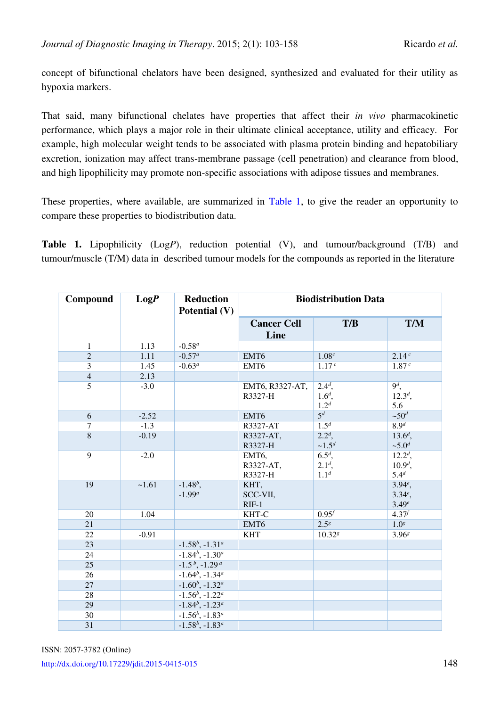concept of bifunctional chelators have been designed, synthesized and evaluated for their utility as hypoxia markers.

That said, many bifunctional chelates have properties that affect their *in vivo* pharmacokinetic performance, which plays a major role in their ultimate clinical acceptance, utility and efficacy. For example, high molecular weight tends to be associated with plasma protein binding and hepatobiliary excretion, ionization may affect trans-membrane passage (cell penetration) and clearance from blood, and high lipophilicity may promote non-specific associations with adipose tissues and membranes.

These properties, where available, are summarized in [Table 1,](#page-45-0) to give the reader an opportunity to compare these properties to biodistribution data.

**Table 1.** Lipophilicity (Log*P*), reduction potential (V), and tumour/background (T/B) and tumour/muscle (T/M) data in described tumour models for the compounds as reported in the literature

<span id="page-45-0"></span>

| Compound        | LogP    | <b>Reduction</b><br>Potential (V) | <b>Biodistribution Data</b> |                    |                   |
|-----------------|---------|-----------------------------------|-----------------------------|--------------------|-------------------|
|                 |         |                                   | <b>Cancer Cell</b>          | T/B                | <b>T/M</b>        |
|                 |         |                                   | Line                        |                    |                   |
| $\mathbf{1}$    | 1.13    | $-0.58^a$                         |                             |                    |                   |
| $\overline{2}$  | 1.11    | $-0.57^a$                         | EMT6                        | 1.08 <sup>c</sup>  | 2.14c             |
| 3               | 1.45    | $-0.63^a$                         | EMT <sub>6</sub>            | 1.17 <sup>c</sup>  | 1.87 <sup>c</sup> |
| $\overline{4}$  | 2.13    |                                   |                             |                    |                   |
| $\overline{5}$  | $-3.0$  |                                   | EMT6, R3327-AT,             | $2.4^d$ ,          | $9^d$ ,           |
|                 |         |                                   | R3327-H                     | $1.6^{d}$ ,        | $12.3d$ ,         |
|                 |         |                                   |                             | 1.2 <sup>d</sup>   | 5.6               |
| 6               | $-2.52$ |                                   | EMT6                        | $\overline{5^d}$   | $~50^d$           |
| $\tau$          | $-1.3$  |                                   | R3327-AT                    | 1.5 <sup>d</sup>   | 8.9 <sup>d</sup>  |
| $\overline{8}$  | $-0.19$ |                                   | R3327-AT,                   | $2.2^d$ ,          | $13.6d$ ,         |
|                 |         |                                   | R3327-H                     | $~1.5^d$           | $~5.0^d$          |
| 9               | $-2.0$  |                                   | EMT6,                       | $6.5d$ ,           | $12.2^d$ ,        |
|                 |         |                                   | R3327-AT,                   | $2.1d$ ,           | $10.9d$ ,         |
|                 |         |                                   | R3327-H                     | 1.1 <sup>d</sup>   | $5.4^{d}$         |
| 19              | ~1.61   | $-1.48^b$ ,                       | KHT,                        |                    | $3.94^e$ ,        |
|                 |         | $-1.99^a$                         | SCC-VII,                    |                    | $3.34^e$ ,        |
|                 |         |                                   | $RIF-1$                     |                    | 3.49e             |
| 20              | 1.04    |                                   | KHT-C                       | $0.95^{f}$         | $4.37^{f}$        |
| 21              |         |                                   | EMT6                        | $2.5^{8}$          | 1.0 <sup>g</sup>  |
| 22              | $-0.91$ |                                   | <b>KHT</b>                  | 10.32 <sup>s</sup> | 3.96 <sup>8</sup> |
| $\overline{23}$ |         | $-1.58^b$ , $-1.31^a$             |                             |                    |                   |
| 24              |         | $-1.84^b$ , $-1.30^a$             |                             |                    |                   |
| $\overline{25}$ |         | $-1.5^b$ , $-1.29^a$              |                             |                    |                   |
| 26              |         | $-1.64^b$ , $-1.34^a$             |                             |                    |                   |
| 27              |         | $-1.60^b$ , $-1.32^a$             |                             |                    |                   |
| 28              |         | $-1.56^b$ , $-1.22^a$             |                             |                    |                   |
| 29              |         | $-1.84^b$ , $-1.23^a$             |                             |                    |                   |
| 30              |         | $-1.56^b$ , $-1.83^a$             |                             |                    |                   |
| 31              |         | $-1.58^b$ , $-1.83^a$             |                             |                    |                   |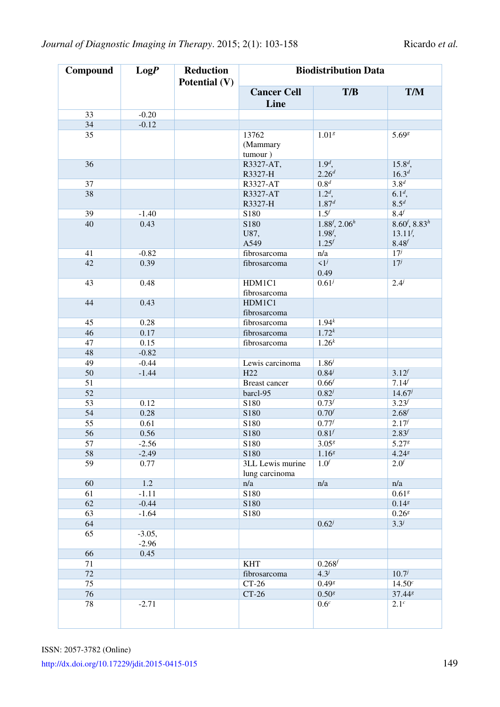| Compound        | LogP                | <b>Reduction</b><br>Potential (V) | <b>Biodistribution Data</b>        |                                                    |                                                         |  |
|-----------------|---------------------|-----------------------------------|------------------------------------|----------------------------------------------------|---------------------------------------------------------|--|
|                 |                     |                                   | <b>Cancer Cell</b><br>Line         | T/B                                                | <b>T/M</b>                                              |  |
| 33              | $-0.20$             |                                   |                                    |                                                    |                                                         |  |
| 34              | $-0.12$             |                                   |                                    |                                                    |                                                         |  |
| 35              |                     |                                   | 13762                              | 1.01 <sup>g</sup>                                  | 5.698                                                   |  |
|                 |                     |                                   | (Mammary<br>tumour)                |                                                    |                                                         |  |
| 36              |                     |                                   | R3327-AT,<br>R3327-H               | $1.9d$ ,<br>$2.26^{d}$                             | $15.8^d$ ,<br>$16.3^d$                                  |  |
| $\overline{37}$ |                     |                                   | R3327-AT                           | 0.8 <sup>d</sup>                                   | 3.8 <sup>d</sup>                                        |  |
| 38              |                     |                                   | R3327-AT<br>R3327-H                | $1.2d$ ,<br>$1.87^d$                               | $6.1d$ ,<br>8.5 <sup>d</sup>                            |  |
| 39              | $-1.40$             |                                   | S180                               | 1.5 <sup>f</sup>                                   | 8.4 <sup>f</sup>                                        |  |
| 40              | 0.43                |                                   | S180<br>U87,<br>A549               | $1.88^{f}$ , $2.06^{h}$<br>$1.98f$ ,<br>$1.25^{f}$ | $8.60^{f}, 8.83^{h}$<br>$13.11f$ ,<br>8.48 <sup>f</sup> |  |
| 41              | $-0.82$             |                                   | fibrosarcoma                       | n/a                                                | $17^j$                                                  |  |
| 42              | 0.39                |                                   | fibrosarcoma                       | $\overline{1^j}$<br>0.49                           | $17^j$                                                  |  |
| 43              | 0.48                |                                   | HDM1C1<br>fibrosarcoma             | $0.61^{j}$                                         | $2.4^{j}$                                               |  |
| 44              | 0.43                |                                   | HDM1C1<br>fibrosarcoma             |                                                    |                                                         |  |
| 45              | 0.28                |                                   | fibrosarcoma                       | $1.94^{k}$                                         |                                                         |  |
| 46              | 0.17                |                                   | fibrosarcoma                       | $1.72^{k}$                                         |                                                         |  |
| 47              | 0.15                |                                   | fibrosarcoma                       | $1.26^{k}$                                         |                                                         |  |
| 48              | $-0.82$             |                                   |                                    |                                                    |                                                         |  |
| 49              | $-0.44$             |                                   | Lewis carcinoma                    | $1.86^{j}$                                         |                                                         |  |
| 50              | $-1.44$             |                                   | H <sub>22</sub>                    | $0.84^{j}$                                         | $3.12^{f}$                                              |  |
| 51              |                     |                                   | Breast cancer                      | 0.66 <sup>f</sup>                                  | 7.14                                                    |  |
| 52              |                     |                                   | barcl-95                           | $0.82^{j}$                                         | $14.67^{j}$                                             |  |
| $\overline{53}$ | 0.12                |                                   | S180                               | $0.73^{f}$                                         | $3.23^{f}$                                              |  |
| 54              | 0.28                |                                   | S180                               | 0.70 <sup>f</sup>                                  | $2.68^{f}$                                              |  |
| $\overline{55}$ | 0.61                |                                   | S180                               | $0.77^{f}$                                         | $2.17^{f}$                                              |  |
| 56              | 0.56                |                                   | S180                               | 0.81                                               | $2.83^{f}$                                              |  |
| 57              | $-2.56$             |                                   | S180                               | $3.05^{g}$                                         | 5.278                                                   |  |
| 58              | $-2.49$             |                                   | S <sub>180</sub>                   | 1.16 <sup>g</sup>                                  | $4.24$ <sup>8</sup>                                     |  |
| 59              | 0.77                |                                   | 3LL Lewis murine<br>lung carcinoma | 1.0 <sup>f</sup>                                   | 2.0 <sup>f</sup>                                        |  |
| 60              | $1.2\,$             |                                   | n/a                                | n/a                                                | n/a                                                     |  |
| 61              | $-1.11$             |                                   | S180                               |                                                    | 0.61 <sup>g</sup>                                       |  |
| 62              | $-0.44$             |                                   | S180                               |                                                    | 0.14 <sup>g</sup>                                       |  |
| 63              | $-1.64$             |                                   | S180                               |                                                    | $0.26^{g}$                                              |  |
| 64              |                     |                                   |                                    | $0.62^{j}$                                         | $3.3^{j}$                                               |  |
| 65              | $-3.05,$<br>$-2.96$ |                                   |                                    |                                                    |                                                         |  |
| 66              | 0.45                |                                   |                                    |                                                    |                                                         |  |
| 71              |                     |                                   | <b>KHT</b>                         | $0.268^{f}$                                        |                                                         |  |
| 72              |                     |                                   | fibrosarcoma                       | $4.3^{j}$                                          | $10.7^{j}$                                              |  |
| 75              |                     |                                   | $CT-26$                            | $0.49$ <sup>g</sup>                                | $14.50^{c}$                                             |  |
| 76              |                     |                                   | $CT-26$                            | $0.50^{g}$                                         | 37.448                                                  |  |
| 78              | $-2.71$             |                                   |                                    | 0.6 <sup>c</sup>                                   | 2.1 <sup>c</sup>                                        |  |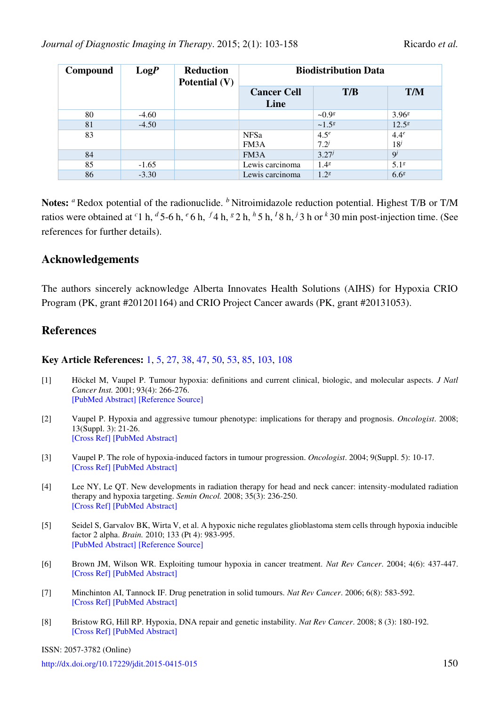| Compound | LogP    | <b>Reduction</b><br>Potential $(V)$ | <b>Biodistribution Data</b> |                  |                   |
|----------|---------|-------------------------------------|-----------------------------|------------------|-------------------|
|          |         |                                     | <b>Cancer Cell</b><br>Line  | T/B              | <b>T/M</b>        |
| 80       | $-4.60$ |                                     |                             | $-0.98$          | 3.96 <sup>8</sup> |
| 81       | $-4.50$ |                                     |                             | $~1.5^{8}$       | 12.5 <sup>8</sup> |
| 83       |         |                                     | <b>NFSa</b>                 | 4.5 <sup>e</sup> | 4.4 <sup>e</sup>  |
|          |         |                                     | FM3A                        | $7.2^{j}$        | 18 <sup>j</sup>   |
| 84       |         |                                     | FM3A                        | $3.27^{j}$       | $\mathbf{Q}^j$    |
| 85       | $-1.65$ |                                     | Lewis carcinoma             | $1.4^{g}$        | 5.1 <sup>8</sup>  |
| 86       | $-3.30$ |                                     | Lewis carcinoma             | 1.2 <sup>8</sup> | 6.6 <sup>g</sup>  |

**Notes:** *a* Redox potential of the radionuclide. *b* Nitroimidazole reduction potential. Highest T/B or T/M ratios were obtained at <sup>*c*</sup>1 h, <sup>*d*</sup> 5-6 h, <sup>*e*</sup> 6 h, <sup>*f*</sup> 4 h, <sup>*g*</sup> 2 h, <sup>*h*</sup> 5 h, <sup>*l*</sup> 8 h, <sup>*j*</sup> 3 h or <sup>*k*</sup> 30 min post-injection time. (See references for further details).

### **Acknowledgements**

The authors sincerely acknowledge Alberta Innovates Health Solutions (AIHS) for Hypoxia CRIO Program (PK, grant #201201164) and CRIO Project Cancer awards (PK, grant #20131053).

### **References**

#### **Key Article References:** [1,](#page-47-0) [5,](#page-47-2) [27,](#page-49-3) [38,](#page-50-0) [47,](#page-50-9) [50,](#page-50-12) [53,](#page-51-2) [85,](#page-53-7) [103,](#page-54-12) [108](#page-55-3)

- <span id="page-47-0"></span>[1] Höckel M, Vaupel P. Tumour hypoxia: definitions and current clinical, biologic, and molecular aspects. *J Natl Cancer Inst.* 2001; 93(4): 266-276. [\[PubMed Abstract\]](http://www.ncbi.nlm.nih.gov/pubmed/?term=J+Natl+Cancer+Inst.+2001%3B+93(4)%3A+266-276) [\[Reference Source\]](http://jnci.oxfordjournals.org/content/93/4/266.long)
- <span id="page-47-1"></span>[2] Vaupel P. Hypoxia and aggressive tumour phenotype: implications for therapy and prognosis. *Oncologist*. 2008; 13(Suppl. 3): 21-26. [\[Cross Ref\]](http://dx.doi.org/10.1634/theoncologist.13-S3-21) [\[PubMed Abstract\]](http://www.ncbi.nlm.nih.gov/pubmed/?term=Oncologist.+2008%3B+13(Suppl.+3)%3A+21-26.)
- [3] Vaupel P. The role of hypoxia-induced factors in tumour progression. *Oncologist*. 2004; 9(Suppl. 5): 10-17. [\[Cross Ref\]](http://dx.doi.org/10.1634/theoncologist.9-90005-10) [\[PubMed Abstract\]](http://www.ncbi.nlm.nih.gov/pubmed/?term=Oncologist.+2004%3B+9(Suppl.+5)%3A+10-17.)
- [4] Lee NY, Le QT. New developments in radiation therapy for head and neck cancer: intensity-modulated radiation therapy and hypoxia targeting. *Semin Oncol.* 2008; 35(3): 236-250. [\[Cross Ref\]](http://dx.doi.org/10.1053/j.seminoncol.2008.03.003) [\[PubMed Abstract\]](http://www.ncbi.nlm.nih.gov/pubmed/?term=Semin+Oncol.+2008%3B+35(3)%3A+236-250.)
- <span id="page-47-2"></span>[5] Seidel S, Garvalov BK, Wirta V, et al. A hypoxic niche regulates glioblastoma stem cells through hypoxia inducible factor 2 alpha. *Brain.* 2010; 133 (Pt 4): 983-995. [\[PubMed Abstract\]](http://www.ncbi.nlm.nih.gov/pubmed/?term=Brain.+2010%3B+133+(Pt+4)%3A+983-95.) [\[Reference Source\]](http://brain.oxfordjournals.org/content/133/4/983.long)
- <span id="page-47-3"></span>[6] Brown JM, Wilson WR. Exploiting tumour hypoxia in cancer treatment. *Nat Rev Cancer*. 2004; 4(6): 437-447. [\[Cross Ref\]](http://dx.doi.org/10.1038/nrc1367) [\[PubMed Abstract\]](http://www.ncbi.nlm.nih.gov/pubmed/?term=Nat+Rev+Cancer.+2004%3B+4(6)%3A+437-447)
- <span id="page-47-4"></span>[7] Minchinton AI, Tannock IF. Drug penetration in solid tumours. *Nat Rev Cancer*. 2006; 6(8): 583-592. [\[Cross Ref\]](http://dx.doi.org/10.1038/nrc1893) [\[PubMed Abstract\]](http://www.ncbi.nlm.nih.gov/pubmed/?term=Nat+Rev+Cancer.+2006%3B+6(8)%3A+583-592)
- <span id="page-47-5"></span>[8] Bristow RG, Hill RP. Hypoxia, DNA repair and genetic instability. *Nat Rev Cancer*. 2008; 8 (3): 180-192. [\[Cross Ref\]](http://dx.doi.org/10.1158/AACR.EDB-08-8388) [\[PubMed Abstract\]](http://www.ncbi.nlm.nih.gov/pubmed/?term=Nat+Rev+Cancer.+2008%3B+8+(3)%3A+180-192.)

ISSN: 2057-3782 (Online)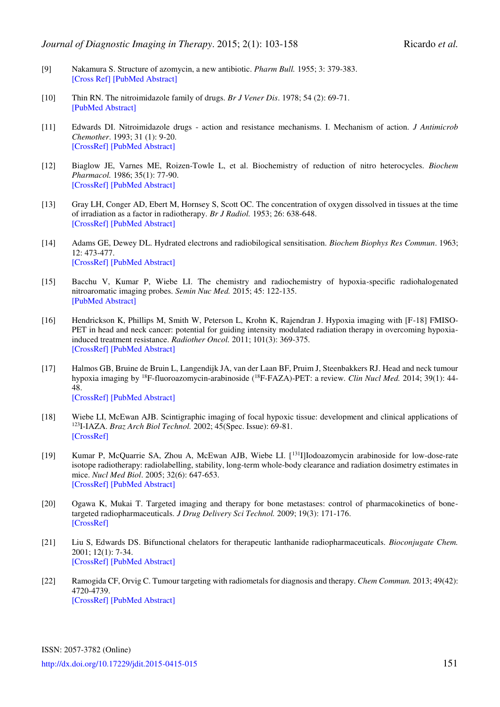- <span id="page-48-0"></span>[9] Nakamura S. Structure of azomycin, a new antibiotic. *Pharm Bull.* 1955; 3: 379-383. [\[Cross Ref\]](http://dx.doi.org/10.1248/cpb1953.3.379) [\[PubMed Abstract\]](http://www.ncbi.nlm.nih.gov/pubmed/?term=Pharm+Bull.+1955%3B+3%3A+379-383.)
- <span id="page-48-1"></span>[10] Thin RN. The nitroimidazole family of drugs. *Br J Vener Dis*. 1978; 54 (2): 69-71. [\[PubMed Abstract\]](http://www.ncbi.nlm.nih.gov/pubmed/?term=Br+J+Vener+Dis.+1978%3B+54+(2)%3A+69-71.)
- <span id="page-48-2"></span>[11] Edwards DI. Nitroimidazole drugs - action and resistance mechanisms. I. Mechanism of action. *J Antimicrob Chemother*. 1993; 31 (1): 9-20. [\[CrossRef\]](http://dx.doi.org/10.1093/jac/31.1.9) [\[PubMed Abstract\]](http://www.ncbi.nlm.nih.gov/pubmed/?term=J+Antimicrob+Chemother.+1993%3B+31+(1)%3A+9-20.)
- <span id="page-48-3"></span>[12] Biaglow JE, Varnes ME, Roizen-Towle L, et al. Biochemistry of reduction of nitro heterocycles. *Biochem Pharmacol.* 1986; 35(1): 77-90. [\[CrossRef\]](http://dx.doi.org/10.1016/0006-2952(86)90561-7) [\[PubMed Abstract\]](http://www.ncbi.nlm.nih.gov/pubmed/?term=Biochem+Pharmacol.+1986%3B+35(1)%3A+77-90.)
- [13] Gray LH, Conger AD, Ebert M, Hornsey S, Scott OC. The concentration of oxygen dissolved in tissues at the time of irradiation as a factor in radiotherapy. *Br J Radiol.* 1953; 26: 638-648. [\[CrossRef\]](http://dx.doi.org/10.1259/0007-1285-26-312-638) [\[PubMed Abstract\]](http://www.ncbi.nlm.nih.gov/pubmed/?term=Br+J+Radiol.+1953%3B+26%3A+638-648.)
- <span id="page-48-4"></span>[14] Adams GE, Dewey DL. Hydrated electrons and radiobilogical sensitisation. *Biochem Biophys Res Commun*. 1963; 12: 473-477. [\[CrossRef\]](http://dx.doi.org/10.1016/0006-291X(63)90318-8) [\[PubMed Abstract\]](http://www.ncbi.nlm.nih.gov/pubmed/?term=Biochem+Biophys+Res+Commun.+1963%3B+12%3A+473-477.)
- <span id="page-48-5"></span>[15] Bacchu V, Kumar P, Wiebe LI. The chemistry and radiochemistry of hypoxia-specific radiohalogenated nitroaromatic imaging probes. *Semin Nuc Med.* 2015; 45: 122-135. [PubMed Abstract]
- <span id="page-48-6"></span>[16] Hendrickson K, Phillips M, Smith W, Peterson L, Krohn K, Rajendran J. Hypoxia imaging with [F-18] FMISO-PET in head and neck cancer: potential for guiding intensity modulated radiation therapy in overcoming hypoxiainduced treatment resistance. *Radiother Oncol.* 2011; 101(3): 369-375. [\[CrossRef\]](http://dx.doi.org/10.1016/j.radonc.2011.07.029) [\[PubMed Abstract\]](http://www.ncbi.nlm.nih.gov/pubmed/?term=Radiother+Oncol.+2011%3B+101(3)%3A+369-75.)
- <span id="page-48-7"></span>[17] Halmos GB, Bruine de Bruin L, Langendijk JA, van der Laan BF, Pruim J, Steenbakkers RJ. Head and neck tumour hypoxia imaging by <sup>18</sup>F-fluoroazomycin-arabinoside (<sup>18</sup>F-FAZA)-PET: a review. *Clin Nucl Med.* 2014; 39(1): 44- 48. [\[CrossRef\]](http://dx.doi.org/10.1097/RLU.0000000000000286) [\[PubMed Abstract\]](http://www.ncbi.nlm.nih.gov/pubmed/?term=Clin+Nucl+Med.+2014%3B+39(1)%3A+44-48.)
- <span id="page-48-8"></span>[18] Wiebe LI, McEwan AJB. Scintigraphic imaging of focal hypoxic tissue: development and clinical applications of <sup>123</sup>I-IAZA. *Braz Arch Biol Technol.* 2002; 45(Spec. Issue): 69-81. [\[CrossRef\]](http://dx.doi.org/10.1590/S1516-89132002000500010)
- <span id="page-48-9"></span>[19] Kumar P, McQuarrie SA, Zhou A, McEwan AJB, Wiebe LI. [<sup>131</sup>I]Iodoazomycin arabinoside for low-dose-rate isotope radiotherapy: radiolabelling, stability, long-term whole-body clearance and radiation dosimetry estimates in mice. *Nucl Med Biol*. 2005; 32(6): 647-653. [\[CrossRef\]](http://dx.doi.org/10.1016/j.nucmedbio.2005.04.019) [\[PubMed Abstract\]](http://www.ncbi.nlm.nih.gov/pubmed/?term=Nucl+Med+Biol.+2005%3B+32(6)%3A+647-653)
- <span id="page-48-10"></span>[20] Ogawa K, Mukai T. Targeted imaging and therapy for bone metastases: control of pharmacokinetics of bonetargeted radiopharmaceuticals. *J Drug Delivery Sci Technol.* 2009; 19(3): 171-176. [\[CrossRef\]](http://dx.doi.org/10.1016/S1773-2247(09)50032-9)
- <span id="page-48-11"></span>[21] Liu S, Edwards DS. Bifunctional chelators for therapeutic lanthanide radiopharmaceuticals. *Bioconjugate Chem.* 2001; 12(1): 7-34. [\[CrossRef\]](http://dx.doi.org/10.1021/bc000070v) [\[PubMed Abstract\]](http://www.ncbi.nlm.nih.gov/pubmed/?term=Bioconjugate+Chem.+2001%3B+12(1)%3A+7-34)
- <span id="page-48-12"></span>[22] Ramogida CF, Orvig C. Tumour targeting with radiometals for diagnosis and therapy. *Chem Commun.* 2013; 49(42): 4720-4739. [\[CrossRef\]](http://dx.doi.org/10.1039/c3cc41554f) [\[PubMed Abstract\]](http://www.ncbi.nlm.nih.gov/pubmed/?term=Chem+Commun.+2013%3B+49(42)%3A+4720-4739.)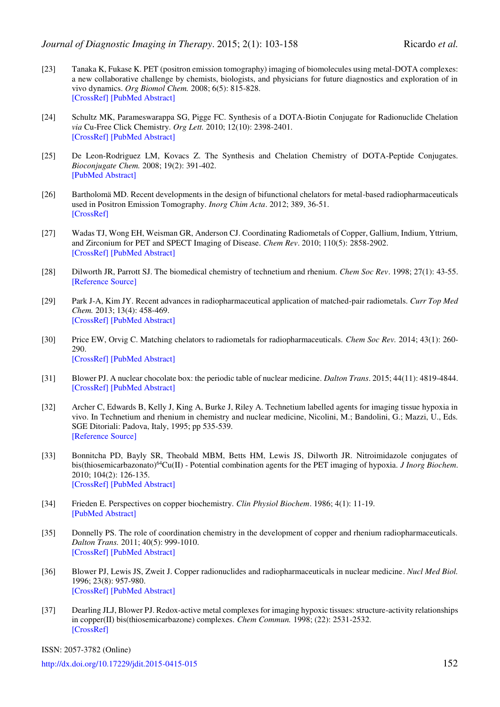- <span id="page-49-0"></span>[23] Tanaka K, Fukase K. PET (positron emission tomography) imaging of biomolecules using metal-DOTA complexes: a new collaborative challenge by chemists, biologists, and physicians for future diagnostics and exploration of in vivo dynamics. *Org Biomol Chem.* 2008; 6(5): 815-828. [\[CrossRef\]](http://dx.doi.org/10.1039/b718157b) [\[PubMed Abstract\]](http://www.ncbi.nlm.nih.gov/pubmed/?term=Org+Biomol+Chem.+2008%3B+6(5)%3A+815-828)
- [24] Schultz MK, Parameswarappa SG, Pigge FC. Synthesis of a DOTA-Biotin Conjugate for Radionuclide Chelation *via* Cu-Free Click Chemistry. *Org Lett.* 2010; 12(10): 2398-2401. [\[CrossRef\]](http://dx.doi.org/10.1021/ol100774p) [\[PubMed Abstract\]](http://www.ncbi.nlm.nih.gov/pubmed/?term=Org+Lett.+2010%3B+12(10)%3A+2398-2401.)
- <span id="page-49-1"></span>[25] De Leon-Rodriguez LM, Kovacs Z. The Synthesis and Chelation Chemistry of DOTA-Peptide Conjugates. *Bioconjugate Chem.* 2008; 19(2): 391-402. [\[PubMed Abstract\]](http://www.ncbi.nlm.nih.gov/pubmed/?term=Bioconjugate+Chem.+2008%3B+19(2)%3A+391-402.)
- <span id="page-49-2"></span>[26] Bartholomä MD. Recent developments in the design of bifunctional chelators for metal-based radiopharmaceuticals used in Positron Emission Tomography. *Inorg Chim Acta*. 2012; 389, 36-51. [\[CrossRef\]](http://dx.doi.org/10.1016/j.ica.2012.01.061)
- <span id="page-49-3"></span>[27] Wadas TJ, Wong EH, Weisman GR, Anderson CJ. Coordinating Radiometals of Copper, Gallium, Indium, Yttrium, and Zirconium for PET and SPECT Imaging of Disease. *Chem Rev*. 2010; 110(5): 2858-2902. [\[CrossRef\]](http://dx.doi.org/10.1021/cr900325h) [\[PubMed Abstract\]](http://www.ncbi.nlm.nih.gov/pubmed/?term=Chem+Rev.+2010%3B+110(5)%3A+2858-2902)
- <span id="page-49-11"></span>[28] Dilworth JR, Parrott SJ. The biomedical chemistry of technetium and rhenium. *Chem Soc Rev*. 1998; 27(1): 43-55. [\[Reference Source\]](http://pubs.rsc.org/en/content/articlelanding/1998/cs/a827043z#!divAbstract)
- [29] Park J-A, Kim JY. Recent advances in radiopharmaceutical application of matched-pair radiometals. *Curr Top Med Chem.* 2013; 13(4): 458-469. [\[CrossRef\]](http://dx.doi.org/10.2174/1568026611313040006) [\[PubMed Abstract\]](http://www.ncbi.nlm.nih.gov/pubmed/?term=Curr+Top+Med+Chem.+2013%3B+13(4)%3A+458-469.)
- [30] Price EW, Orvig C. Matching chelators to radiometals for radiopharmaceuticals. *Chem Soc Rev.* 2014; 43(1): 260- 290. [\[CrossRef\]](http://dx.doi.org/10.1039/C3CS60304K) [\[PubMed Abstract\]](http://www.ncbi.nlm.nih.gov/pubmed/?term=Chem+Soc+Rev.+2014%3B+43(1)%3A+260-290)
- <span id="page-49-4"></span>[31] Blower PJ. A nuclear chocolate box: the periodic table of nuclear medicine. *Dalton Trans*. 2015; 44(11): 4819-4844. [\[CrossRef\]](http://dx.doi.org/10.1039/C4DT02846E) [\[PubMed Abstract\]](http://www.ncbi.nlm.nih.gov/pubmed/?term=A+nuclear+chocolate+box%3A+the+periodic+table+of+nuclear+medicine)
- <span id="page-49-5"></span>[32] Archer C, Edwards B, Kelly J, King A, Burke J, Riley A. Technetium labelled agents for imaging tissue hypoxia in vivo. In Technetium and rhenium in chemistry and nuclear medicine, Nicolini, M.; Bandolini, G.; Mazzi, U., Eds. SGE Ditoriali: Padova, Italy, 1995; pp 535-539. [\[Reference Source\]](http://www.amazon.co.uk/Technetium-Rhenium-Chemistry-Nuclear-Medicine/dp/8877490632)
- <span id="page-49-6"></span>[33] Bonnitcha PD, Bayly SR, Theobald MBM, Betts HM, Lewis JS, Dilworth JR. Nitroimidazole conjugates of bis(thiosemicarbazonato)<sup>64</sup>Cu(II) - Potential combination agents for the PET imaging of hypoxia. *J Inorg Biochem*. 2010; 104(2): 126-135. [\[CrossRef\]](http://dx.doi.org/10.1016/j.jinorgbio.2009.10.009) [\[PubMed Abstract\]](http://www.ncbi.nlm.nih.gov/pubmed/?term=J+Inorg+Biochem.+2010%3B+104(2)%3A+126-135)
- <span id="page-49-7"></span>[34] Frieden E. Perspectives on copper biochemistry. *Clin Physiol Biochem*. 1986; 4(1): 11-19. [\[PubMed Abstract\]](http://www.ncbi.nlm.nih.gov/pubmed/?term=Clin+Physiol+Biochem.+1986%3B+4(1)%3A+11-19.)
- <span id="page-49-8"></span>[35] Donnelly PS. The role of coordination chemistry in the development of copper and rhenium radiopharmaceuticals. *Dalton Trans.* 2011; 40(5): 999-1010. [\[CrossRef\]](http://dx.doi.org/10.1039/c0dt01075h) [\[PubMed Abstract\]](http://www.ncbi.nlm.nih.gov/pubmed/?term=Dalton+Trans.+2011%3B+40(5)%3A+999-1010.)
- <span id="page-49-9"></span>[36] Blower PJ, Lewis JS, Zweit J. Copper radionuclides and radiopharmaceuticals in nuclear medicine. *Nucl Med Biol.* 1996; 23(8): 957-980. [\[CrossRef\]](http://dx.doi.org/10.1016/S0969-8051(96)00130-8) [\[PubMed Abstract\]](http://www.ncbi.nlm.nih.gov/pubmed/?term=Nucl+Med+Biol.+1996%3B+23(8)%3A+957-980)
- <span id="page-49-10"></span>[37] Dearling JLJ, Blower PJ. Redox-active metal complexes for imaging hypoxic tissues: structure-activity relationships in copper(II) bis(thiosemicarbazone) complexes. *Chem Commun.* 1998; (22): 2531-2532. [\[CrossRef\]](http://dx.doi.org/10.1039/a805957h)

ISSN: 2057-3782 (Online)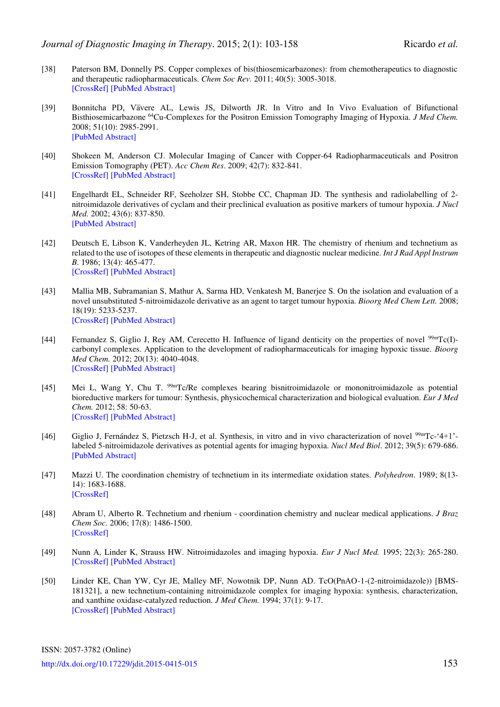- <span id="page-50-0"></span>[38] Paterson BM, Donnelly PS. Copper complexes of bis(thiosemicarbazones): from chemotherapeutics to diagnostic and therapeutic radiopharmaceuticals. *Chem Soc Rev.* 2011; 40(5): 3005-3018. [\[CrossRef\]](http://dx.doi.org/10.1039/c0cs00215a) [\[PubMed Abstract\]](http://www.ncbi.nlm.nih.gov/pubmed/?term=Chem+Soc+Rev.+2011%3B+40(5)%3A+3005-3018.)
- <span id="page-50-1"></span>[39] Bonnitcha PD, Va̅vere AL, Lewis JS, Dilworth JR. In Vitro and In Vivo Evaluation of Bifunctional Bisthiosemicarbazone <sup>64</sup>Cu-Complexes for the Positron Emission Tomography Imaging of Hypoxia. *J Med Chem.* 2008; 51(10): 2985-2991. [\[PubMed Abstract\]](http://www.ncbi.nlm.nih.gov/pubmed/?term=J+Med+Chem.+2008%3B+51(10)%3A+2985-2991)
- <span id="page-50-2"></span>[40] Shokeen M, Anderson CJ. Molecular Imaging of Cancer with Copper-64 Radiopharmaceuticals and Positron Emission Tomography (PET). *Acc Chem Res*. 2009; 42(7): 832-841. [\[CrossRef\]](http://dx.doi.org/10.1021/ar800255q) [\[PubMed Abstract\]](http://www.ncbi.nlm.nih.gov/pubmed/?term=Acc+Chem+Res.+2009%3B+42(7)%3A+832-841.)
- <span id="page-50-3"></span>[41] Engelhardt EL, Schneider RF, Seeholzer SH, Stobbe CC, Chapman JD. The synthesis and radiolabelling of 2 nitroimidazole derivatives of cyclam and their preclinical evaluation as positive markers of tumour hypoxia. *J Nucl Med.* 2002; 43(6): 837-850. [\[PubMed Abstract\]](http://www.ncbi.nlm.nih.gov/pubmed/?term=J+Nucl+Med.+2002%3B+43(6)%3A+837-850.)
- <span id="page-50-4"></span>[42] Deutsch E, Libson K, Vanderheyden JL, Ketring AR, Maxon HR. The chemistry of rhenium and technetium as related to the use of isotopes of these elements in therapeutic and diagnostic nuclear medicine. *Int J Rad Appl Instrum B*. 1986; 13(4): 465-477. [\[CrossRef\]](http://dx.doi.org/10.1016/0883-2897(86)90027-9) [\[PubMed Abstract\]](http://www.ncbi.nlm.nih.gov/pubmed/?term=Int+J+Rad+Appl+Instrum+B.+1986%3B+13(4)%3A+465-477.)
- <span id="page-50-5"></span>[43] Mallia MB, Subramanian S, Mathur A, Sarma HD, Venkatesh M, Banerjee S. On the isolation and evaluation of a novel unsubstituted 5-nitroimidazole derivative as an agent to target tumour hypoxia. *Bioorg Med Chem Lett.* 2008; 18(19): 5233-5237. [\[CrossRef\]](http://dx.doi.org/10.1016/j.bmcl.2008.08.069) [\[PubMed Abstract\]](http://www.ncbi.nlm.nih.gov/pubmed/?term=Bioorg+Med+Chem+Lett.+2008%3B+18(19)%3A+5233-5237.)
- <span id="page-50-6"></span>[44] Fernandez S, Giglio J, Rey AM, Cerecetto H. Influence of ligand denticity on the properties of novel 99mTc(I) carbonyl complexes. Application to the development of radiopharmaceuticals for imaging hypoxic tissue. *Bioorg Med Chem.* 2012; 20(13): 4040-4048. [\[CrossRef\]](http://dx.doi.org/10.1016/j.bmc.2012.05.010) [\[PubMed Abstract\]](http://www.ncbi.nlm.nih.gov/pubmed/?term=Bioorg+Med+Chem.+2012%3B+20(13)%3A+4040-4048.)
- <span id="page-50-7"></span>[45] Mei L, Wang Y, Chu T. <sup>99m</sup>Tc/Re complexes bearing bisnitroimidazole or mononitroimidazole as potential bioreductive markers for tumour: Synthesis, physicochemical characterization and biological evaluation. *Eur J Med Chem.* 2012; 58: 50-63. [\[CrossRef\]](http://dx.doi.org/10.1016/j.ejmech.2012.09.042) [\[PubMed Abstract\]](http://www.ncbi.nlm.nih.gov/pubmed/?term=Eur+J+Med+Chem.+2012%3B+58%3A+50-63.)
- <span id="page-50-8"></span>[46] Giglio J, Fernández S, Pietzsch H-J, et al. Synthesis, in vitro and in vivo characterization of novel 99mTc-'4+1' labeled 5-nitroimidazole derivatives as potential agents for imaging hypoxia. *Nucl Med Biol*. 2012; 39(5): 679-686. [\[PubMed Abstract\]](http://www.ncbi.nlm.nih.gov/pubmed/?term=Nucl+Med+Biol.+2012%3B+39(5)%3A+679-686)
- <span id="page-50-9"></span>[47] Mazzi U. The coordination chemistry of technetium in its intermediate oxidation states. *Polyhedron*. 1989; 8(13- 14): 1683-1688. [\[CrossRef\]](http://dx.doi.org/10.1016/S0277-5387(00)80617-8)
- <span id="page-50-10"></span>[48] Abram U, Alberto R. Technetium and rhenium - coordination chemistry and nuclear medical applications. *J Braz Chem Soc.* 2006; 17(8): 1486-1500. [\[CrossRef\]](http://dx.doi.org/10.1590/S0103-50532006000800004)
- <span id="page-50-11"></span>[49] Nunn A, Linder K, Strauss HW. Nitroimidazoles and imaging hypoxia. *Eur J Nucl Med.* 1995; 22(3): 265-280. [\[CrossRef\]](http://dx.doi.org/10.1007/BF01081524) [\[PubMed Abstract\]](http://www.ncbi.nlm.nih.gov/pubmed/?term=Eur+J+Nucl+Med.+1995%3B+22(3)%3A+265-80.)
- <span id="page-50-12"></span>[50] Linder KE, Chan YW, Cyr JE, Malley MF, Nowotnik DP, Nunn AD. TcO(PnAO-1-(2-nitroimidazole)) [BMS-181321], a new technetium-containing nitroimidazole complex for imaging hypoxia: synthesis, characterization, and xanthine oxidase-catalyzed reduction. *J Med Chem.* 1994; 37(1): 9-17. [\[CrossRef\]](http://dx.doi.org/10.1021/jm00027a002) [\[PubMed Abstract\]](http://www.ncbi.nlm.nih.gov/pubmed/?term=J+Med+Chem.+1994%3B+37(1)%3A+9-17)

ISSN: 2057-3782 (Online) <http://dx.doi.org/10.17229/jdit.2015-0415-015>153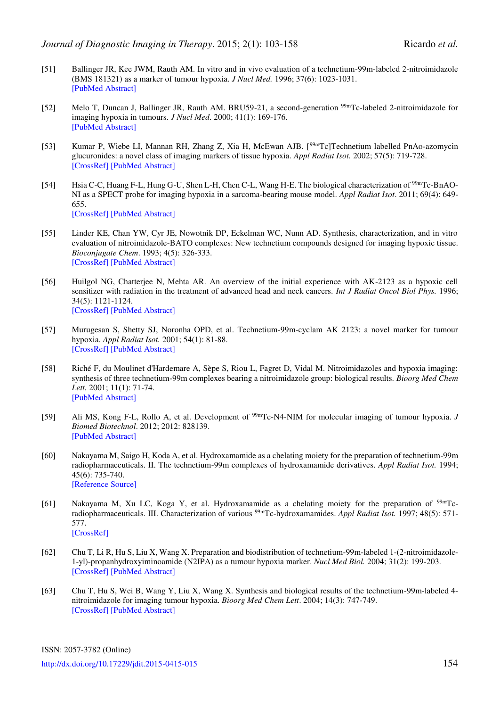- <span id="page-51-0"></span>[51] Ballinger JR, Kee JWM, Rauth AM. In vitro and in vivo evaluation of a technetium-99m-labeled 2-nitroimidazole (BMS 181321) as a marker of tumour hypoxia. *J Nucl Med.* 1996; 37(6): 1023-1031. [\[PubMed Abstract\]](http://www.ncbi.nlm.nih.gov/pubmed/?term=J+Nucl+Med.+1996%3B+37(6)%3A+1023-1031.)
- <span id="page-51-1"></span>[52] Melo T, Duncan J, Ballinger JR, Rauth AM. BRU59-21, a second-generation <sup>99m</sup>Tc-labeled 2-nitroimidazole for imaging hypoxia in tumours. *J Nucl Med*. 2000; 41(1): 169-176. [\[PubMed Abstract\]](http://www.ncbi.nlm.nih.gov/pubmed/?term=J+Nucl+Med.+2000%3B+41(1)%3A+169-176)
- <span id="page-51-2"></span>[53] Kumar P, Wiebe LI, Mannan RH, Zhang Z, Xia H, McEwan AJB. [99mTc]Technetium labelled PnAo-azomycin glucuronides: a novel class of imaging markers of tissue hypoxia. *Appl Radiat Isot.* 2002; 57(5): 719-728. [\[CrossRef\]](http://dx.doi.org/10.1016/S0969-8043(02)00188-4) [\[PubMed Abstract\]](http://www.ncbi.nlm.nih.gov/pubmed/?term=Appl+Radiat+Isot.+2002%3B+57(5)%3A+719-728)
- <span id="page-51-3"></span>[54] Hsia C-C, Huang F-L, Hung G-U, Shen L-H, Chen C-L, Wang H-E. The biological characterization of <sup>99m</sup>Tc-BnAO-NI as a SPECT probe for imaging hypoxia in a sarcoma-bearing mouse model. *Appl Radiat Isot*. 2011; 69(4): 649- 655. [\[CrossRef\]](http://dx.doi.org/10.1016/j.apradiso.2010.12.009) [\[PubMed Abstract\]](http://www.ncbi.nlm.nih.gov/pubmed/?term=Appl+Radiat+Isot.+2011%3B+69(4)%3A+649-655.)
- <span id="page-51-4"></span>[55] Linder KE, Chan YW, Cyr JE, Nowotnik DP, Eckelman WC, Nunn AD. Synthesis, characterization, and in vitro evaluation of nitroimidazole-BATO complexes: New technetium compounds designed for imaging hypoxic tissue. *Bioconjugate Chem*. 1993; 4(5): 326-333. [\[CrossRef\]](http://dx.doi.org/10.1021/bc00023a004) [\[PubMed Abstract\]](http://www.ncbi.nlm.nih.gov/pubmed/?term=Bioconjugate+Chem.+1993%3B+4(5)%3A+326-333)
- <span id="page-51-5"></span>[56] Huilgol NG, Chatterjee N, Mehta AR. An overview of the initial experience with AK-2123 as a hypoxic cell sensitizer with radiation in the treatment of advanced head and neck cancers. *Int J Radiat Oncol Biol Phys.* 1996; 34(5): 1121-1124. [\[CrossRef\]](http://dx.doi.org/10.1016/0360-3016(95)02181-7) [\[PubMed Abstract\]](http://www.ncbi.nlm.nih.gov/pubmed/?term=Int+J+Radiat+Oncol+Biol+Phys.+1996%3B+34(5)%3A+1121-1124.)
- <span id="page-51-6"></span>[57] Murugesan S, Shetty SJ, Noronha OPD, et al. Technetium-99m-cyclam AK 2123: a novel marker for tumour hypoxia. *Appl Radiat Isot.* 2001; 54(1): 81-88. [\[CrossRef\]](http://dx.doi.org/10.1016/S0969-8043(00)00104-4) [\[PubMed Abstract\]](http://www.ncbi.nlm.nih.gov/pubmed/?term=Appl+Radiat+Isot.+2001%3B+54(1)%3A+81-88.)
- <span id="page-51-7"></span>[58] Riché F, du Moulinet d'Hardemare A, Sèpe S, Riou L, Fagret D, Vidal M. Nitroimidazoles and hypoxia imaging: synthesis of three technetium-99m complexes bearing a nitroimidazole group: biological results. *Bioorg Med Chem Lett.* 2001; 11(1): 71-74. [\[PubMed Abstract\]](http://www.ncbi.nlm.nih.gov/pubmed/?term=Bioorg+Med+Chem+Lett.+2001%3B+11(1)%3A+71-74.)
- <span id="page-51-8"></span>[59] Ali MS, Kong F-L, Rollo A, et al. Development of 99mTc-N4-NIM for molecular imaging of tumour hypoxia. *J Biomed Biotechnol*. 2012; 2012: 828139. [\[PubMed Abstract\]](http://www.ncbi.nlm.nih.gov/pubmed/?term=Development+of+99mTc-N4-NIM+for+molecular+imaging+of+tumor+hypoxia.)
- <span id="page-51-9"></span>[60] Nakayama M, Saigo H, Koda A, et al. Hydroxamamide as a chelating moiety for the preparation of technetium-99m radiopharmaceuticals. II. The technetium-99m complexes of hydroxamamide derivatives. *Appl Radiat Isot.* 1994; 45(6): 735-740. [\[Reference Source\]](http://www.sciencedirect.com/science/article/pii/0969804394902542)
- <span id="page-51-10"></span>[61] Nakayama M, Xu LC, Koga Y, et al. Hydroxamamide as a chelating moiety for the preparation of 99mTcradiopharmaceuticals. III. Characterization of various 99mTc-hydroxamamides. *Appl Radiat Isot.* 1997; 48(5): 571- 577. [\[CrossRef\]](http://dx.doi.org/10.1016/S0969-8043(96)00334-X)
- <span id="page-51-11"></span>[62] Chu T, Li R, Hu S, Liu X, Wang X. Preparation and biodistribution of technetium-99m-labeled 1-(2-nitroimidazole-1-yl)-propanhydroxyiminoamide (N2IPA) as a tumour hypoxia marker. *Nucl Med Biol.* 2004; 31(2): 199-203. [\[CrossRef\]](http://dx.doi.org/10.1016/j.nucmedbio.2003.08.007) [\[PubMed Abstract\]](http://www.ncbi.nlm.nih.gov/pubmed/?term=Nucl+Med+Biol.+2004%3B+31(2)%3A+199-203.)
- <span id="page-51-12"></span>[63] Chu T, Hu S, Wei B, Wang Y, Liu X, Wang X. Synthesis and biological results of the technetium-99m-labeled 4 nitroimidazole for imaging tumour hypoxia. *Bioorg Med Chem Lett*. 2004; 14(3): 747-749. [\[CrossRef\]](http://dx.doi.org/10.1016/j.bmcl.2003.11.017) [\[PubMed Abstract\]](http://www.ncbi.nlm.nih.gov/pubmed/?term=Bioorg+Med+Chem+Lett.+2004%3B+14(3)%3A+747-749)

ISSN: 2057-3782 (Online) <http://dx.doi.org/10.17229/jdit.2015-0415-015>154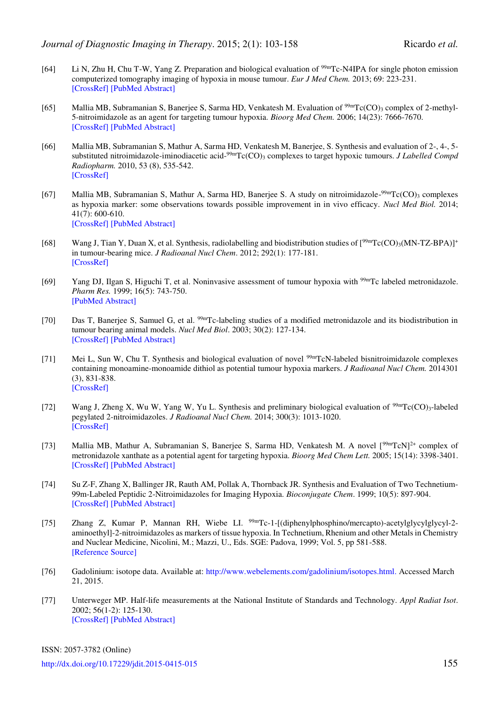- <span id="page-52-0"></span>[64] Li N, Zhu H, Chu T-W, Yang Z. Preparation and biological evaluation of <sup>99m</sup>Tc-N4IPA for single photon emission computerized tomography imaging of hypoxia in mouse tumour. *Eur J Med Chem.* 2013; 69: 223-231. [\[CrossRef\]](http://dx.doi.org/10.1016/j.ejmech.2013.08.005) [\[PubMed Abstract\]](http://www.ncbi.nlm.nih.gov/pubmed/?term=Eur+J+Med+Chem.+2013%3B+69%3A+223-231)
- <span id="page-52-1"></span>[65] Mallia MB, Subramanian S, Banerjee S, Sarma HD, Venkatesh M. Evaluation of  $\frac{99 \text{m}}{\text{C(CO)}}$ <sub>3</sub> complex of 2-methyl-5-nitroimidazole as an agent for targeting tumour hypoxia. *Bioorg Med Chem.* 2006; 14(23): 7666-7670. [\[CrossRef\]](http://dx.doi.org/10.1016/j.bmc.2006.08.011) [\[PubMed Abstract\]](http://www.ncbi.nlm.nih.gov/pubmed/?term=Bioorg+Med+Chem.+2006%3B+14(23)%3A+7666-7670)
- <span id="page-52-2"></span>[66] Mallia MB, Subramanian S, Mathur A, Sarma HD, Venkatesh M, Banerjee, S. Synthesis and evaluation of 2-, 4-, 5 substituted nitroimidazole-iminodiacetic acid-<sup>99m</sup>Tc(CO)<sub>3</sub> complexes to target hypoxic tumours. *J Labelled Compd Radiopharm.* 2010, 53 (8), 535-542. [\[CrossRef\]](http://dx.doi.org/10.1002/jlcr.1754)
- <span id="page-52-3"></span>[67] Mallia MB, Subramanian S, Mathur A, Sarma HD, Banerjee S. A study on nitroimidazole-<sup>99m</sup>Tc(CO)<sub>3</sub> complexes as hypoxia marker: some observations towards possible improvement in in vivo efficacy. *Nucl Med Biol.* 2014; 41(7): 600-610. [\[CrossRef\]](http://dx.doi.org/10.1016/j.nucmedbio.2014.04.103) [\[PubMed Abstract\]](http://www.ncbi.nlm.nih.gov/pubmed/?term=Nucl+Med+Biol.+2014%3B+41(7)%3A+600-610.)
- <span id="page-52-4"></span>[68] Wang J, Tian Y, Duan X, et al. Synthesis, radiolabelling and biodistribution studies of  $[99mTc(CO)_3(MN-TZ-BPA)]^+$ in tumour-bearing mice. *J Radioanal Nucl Chem*. 2012; 292(1): 177-181. [\[CrossRef\]](http://dx.doi.org/10.1007/s10967-011-1396-0)
- <span id="page-52-5"></span>[69] Yang DJ, Ilgan S, Higuchi T, et al. Noninvasive assessment of tumour hypoxia with <sup>99m</sup>Tc labeled metronidazole. *Pharm Res.* 1999; 16(5): 743-750. [\[PubMed Abstract\]](http://www.ncbi.nlm.nih.gov/pubmed/?term=Pharm+Res.+1999%3B+16(5)%3A+743-750.)
- <span id="page-52-6"></span>[70] Das T, Banerjee S, Samuel G, et al. <sup>99m</sup>Tc-labeling studies of a modified metronidazole and its biodistribution in tumour bearing animal models. *Nucl Med Biol*. 2003; 30(2): 127-134. [\[CrossRef\]](http://dx.doi.org/10.1016/S0969-8051(02)00388-8) [\[PubMed Abstract\]](http://www.ncbi.nlm.nih.gov/pubmed/?term=Nucl+Med+Biol.+2003%3B+30(2)%3A+127-134)
- <span id="page-52-7"></span>[71] Mei L, Sun W, Chu T. Synthesis and biological evaluation of novel <sup>99m</sup>TcN-labeled bisnitroimidazole complexes containing monoamine-monoamide dithiol as potential tumour hypoxia markers. *J Radioanal Nucl Chem.* 2014301 (3), 831-838. [\[CrossRef\]](http://dx.doi.org/10.1007/s10967-014-3235-6)
- <span id="page-52-8"></span>[72] Wang J, Zheng X, Wu W, Yang W, Yu L. Synthesis and preliminary biological evaluation of <sup>99m</sup>Tc(CO)<sub>3</sub>-labeled pegylated 2-nitroimidazoles. *J Radioanal Nucl Chem.* 2014; 300(3): 1013-1020. [\[CrossRef\]](http://dx.doi.org/10.1007/s10967-014-3038-9)
- <span id="page-52-9"></span>[73] Mallia MB, Mathur A, Subramanian S, Banerjee S, Sarma HD, Venkatesh M. A novel  $[99mTcN]^2$ + complex of metronidazole xanthate as a potential agent for targeting hypoxia. *Bioorg Med Chem Lett.* 2005; 15(14): 3398-3401. [\[CrossRef\]](http://dx.doi.org/10.1016/j.bmcl.2005.05.030) [\[PubMed Abstract\]](http://www.ncbi.nlm.nih.gov/pubmed/?term=Bioorg+Med+Chem+Lett.+2005%3B+15(14)%3A+3398-3401.)
- <span id="page-52-10"></span>[74] Su Z-F, Zhang X, Ballinger JR, Rauth AM, Pollak A, Thornback JR. Synthesis and Evaluation of Two Technetium-99m-Labeled Peptidic 2-Nitroimidazoles for Imaging Hypoxia. *Bioconjugate Chem*. 1999; 10(5): 897-904. [\[CrossRef\]](http://dx.doi.org/10.1021/bc9900542) [\[PubMed Abstract\]](http://www.ncbi.nlm.nih.gov/pubmed/?term=Bioconjugate+Chem.+1999%3B+10(5)%3A+897-904)
- <span id="page-52-11"></span>[75] Zhang Z, Kumar P, Mannan RH, Wiebe LI. 99mTc-1-[(diphenylphosphino/mercapto)-acetylglycylglycyl-2 aminoethyl]-2-nitroimidazoles as markers of tissue hypoxia. In Technetium, Rhenium and other Metals in Chemistry and Nuclear Medicine, Nicolini, M.; Mazzi, U., Eds. SGE: Padova, 1999; Vol. 5, pp 581-588. [\[Reference Source\]](http://books.google.co.uk/books/about/Technetium_Rhenium_and_Other_Metals_in_C.html?id=XUaEGAAACAAJ&redir_esc=y)
- <span id="page-52-12"></span>[76] Gadolinium: isotope data. Available at: [http://www.webelements.com/gadolinium/isotopes.html.](http://www.webelements.com/gadolinium/isotopes.html) Accessed March 21, 2015.
- <span id="page-52-13"></span>[77] Unterweger MP. Half-life measurements at the National Institute of Standards and Technology. *Appl Radiat Isot*. 2002; 56(1-2): 125-130. [\[CrossRef\]](http://dx.doi.org/10.1016/S0969-8043(01)00177-4) [\[PubMed Abstract\]](http://www.ncbi.nlm.nih.gov/pubmed/?term=Appl+Radiat+Isot.+2002%3B+56(1-2)%3A+125-130)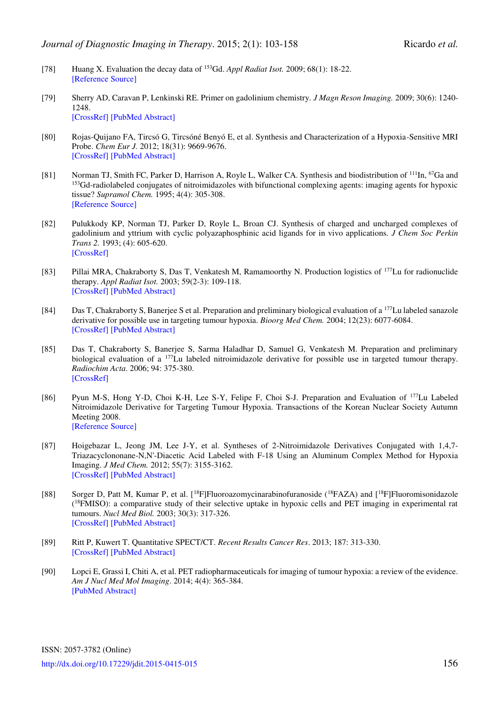- <span id="page-53-0"></span>[78] Huang X. Evaluation the decay data of <sup>153</sup>Gd. *Appl Radiat Isot.* 2009; 68(1): 18-22. [\[Reference Source\]](http://www.sciencedirect.com/science/article/pii/S0969804309005338)
- <span id="page-53-1"></span>[79] Sherry AD, Caravan P, Lenkinski RE. Primer on gadolinium chemistry. *J Magn Reson Imaging.* 2009; 30(6): 1240- 1248. [\[CrossRef\]](http://dx.doi.org/10.1002/jmri.21966) [\[PubMed Abstract\]](http://www.ncbi.nlm.nih.gov/pubmed/?term=J+Magn+Reson+Imaging.+2009%3B+30(6)%3A+1240-1248.)
- <span id="page-53-2"></span>[80] Rojas-Quijano FA, Tircsó G, Tircsóné Benyó E, et al. Synthesis and Characterization of a Hypoxia-Sensitive MRI Probe. *Chem Eur J.* 2012; 18(31): 9669-9676. [\[CrossRef\]](http://dx.doi.org/10.1002/chem.201200266) [\[PubMed Abstract\]](http://www.ncbi.nlm.nih.gov/pubmed/?term=Chem+Eur+J.+2012%3B+18(31)%3A+9669-9676.)
- <span id="page-53-3"></span>[81] Norman TJ, Smith FC, Parker D, Harrison A, Royle L, Walker CA. Synthesis and biodistribution of <sup>111</sup>In, <sup>67</sup>Ga and <sup>153</sup>Gd-radiolabeled conjugates of nitroimidazoles with bifunctional complexing agents: imaging agents for hypoxic tissue? *Supramol Chem.* 1995; 4(4): 305-308. [\[Reference Source\]](http://www.tandfonline.com/doi/abs/10.1080/10610279508028940#.VQ23t46sWx8)
- <span id="page-53-4"></span>[82] Pulukkody KP, Norman TJ, Parker D, Royle L, Broan CJ. Synthesis of charged and uncharged complexes of gadolinium and yttrium with cyclic polyazaphosphinic acid ligands for in vivo applications. *J Chem Soc Perkin Trans 2.* 1993; (4): 605-620. [\[CrossRef\]](http://dx.doi.org/10.1039/p29930000605)
- <span id="page-53-5"></span>[83] Pillai MRA, Chakraborty S, Das T, Venkatesh M, Ramamoorthy N. Production logistics of <sup>177</sup>Lu for radionuclide therapy. *Appl Radiat Isot.* 2003; 59(2-3): 109-118. [\[CrossRef\]](http://dx.doi.org/10.1016/S0969-8043(03)00158-1) [\[PubMed Abstract\]](http://www.ncbi.nlm.nih.gov/pubmed/?term=Appl+Radiat+Isot.+2003%3B+59(2-3)%3A+109-118)
- <span id="page-53-6"></span>[84] Das T, Chakraborty S, Banerjee S et al. Preparation and preliminary biological evaluation of a <sup>177</sup>Lu labeled sanazole derivative for possible use in targeting tumour hypoxia. *Bioorg Med Chem.* 2004; 12(23): 6077-6084. [\[CrossRef\]](http://dx.doi.org/10.1016/j.bmc.2004.09.007) [\[PubMed Abstract\]](http://www.ncbi.nlm.nih.gov/pubmed/?term=Bioorg+Med+Chem.+2004%3B+12(23)%3A+6077-6084.)
- <span id="page-53-7"></span>[85] Das T, Chakraborty S, Banerjee S, Sarma Haladhar D, Samuel G, Venkatesh M. Preparation and preliminary biological evaluation of a <sup>177</sup>Lu labeled nitroimidazole derivative for possible use in targeted tumour therapy. *Radiochim Acta*. 2006; 94: 375-380. [\[CrossRef\]](http://dx.doi.org/10.1524/ract.2006.94.6.375)
- <span id="page-53-8"></span>[86] Pyun M-S, Hong Y-D, Choi K-H, Lee S-Y, Felipe F, Choi S-J. Preparation and Evaluation of <sup>177</sup>Lu Labeled Nitroimidazole Derivative for Targeting Tumour Hypoxia. Transactions of the Korean Nuclear Society Autumn Meeting 2008. [\[Reference Source\]](http://www.kns.org/kns_files/kns/file/484%C6%ED%B9%CC%BC%B1.pdf)
- <span id="page-53-9"></span>[87] Hoigebazar L, Jeong JM, Lee J-Y, et al. Syntheses of 2-Nitroimidazole Derivatives Conjugated with 1,4,7- Triazacyclononane-N,N'-Diacetic Acid Labeled with F-18 Using an Aluminum Complex Method for Hypoxia Imaging. *J Med Chem.* 2012; 55(7): 3155-3162. [\[CrossRef\]](http://dx.doi.org/10.1021/jm201611a) [\[PubMed Abstract\]](http://www.ncbi.nlm.nih.gov/pubmed/?term=J+Med+Chem.+2012%3B+55(7)%3A+3155-3162.)
- <span id="page-53-10"></span>[88] Sorger D, Patt M, Kumar P, et al. [<sup>18</sup>F]Fluoroazomycinarabinofuranoside (<sup>18</sup>FAZA) and [<sup>18</sup>F]Fluoromisonidazole  $(18)$ FMISO): a comparative study of their selective uptake in hypoxic cells and PET imaging in experimental rat tumours. *Nucl Med Biol.* 2003; 30(3): 317-326. [\[CrossRef\]](http://dx.doi.org/10.1016/S0969-8051(02)00442-0) [\[PubMed Abstract\]](http://www.ncbi.nlm.nih.gov/pubmed/?term=Nucl+Med+Biol.+2003%3B+30(3)%3A+317-326.)
- <span id="page-53-11"></span>[89] Ritt P, Kuwert T. Quantitative SPECT/CT. *Recent Results Cancer Res*. 2013; 187: 313-330. [\[CrossRef\]](http://dx.doi.org/10.1007/978-3-642-10853-2_10) [\[PubMed Abstract\]](http://www.ncbi.nlm.nih.gov/pubmed/?term=Recent+Results+Cancer+Res.+2013%3B+187%3A+313-330)
- <span id="page-53-12"></span>[90] Lopci E, Grassi I, Chiti A, et al. PET radiopharmaceuticals for imaging of tumour hypoxia: a review of the evidence. *Am J Nucl Med Mol Imaging*. 2014; 4(4): 365-384. [\[PubMed Abstract\]](http://www.ncbi.nlm.nih.gov/pubmed/?term=Am+J+Nucl+Med+Mol+Imaging.+2014%3B+4(4)%3A+365-384)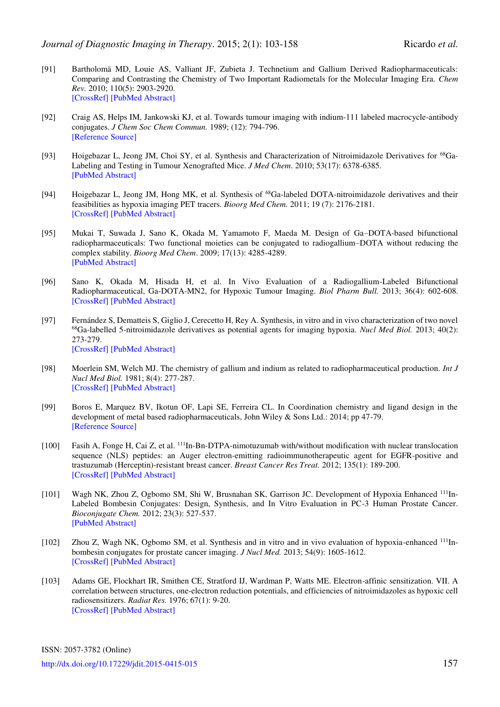- <span id="page-54-0"></span>[91] Bartholomä MD, Louie AS, Valliant JF, Zubieta J. Technetium and Gallium Derived Radiopharmaceuticals: Comparing and Contrasting the Chemistry of Two Important Radiometals for the Molecular Imaging Era. *Chem Rev.* 2010; 110(5): 2903-2920. [\[CrossRef\]](http://dx.doi.org/10.1021/cr1000755) [\[PubMed Abstract\]](http://www.ncbi.nlm.nih.gov/pubmed/?term=Chem+Rev.+2010%3B+110(5)%3A+2903-2920)
- <span id="page-54-1"></span>[92] Craig AS, Helps IM, Jankowski KJ, et al. Towards tumour imaging with indium-111 labeled macrocycle-antibody conjugates. *J Chem Soc Chem Commun.* 1989; (12): 794-796. [Reference Source]
- <span id="page-54-2"></span>[93] Hoigebazar L, Jeong JM, Choi SY, et al. Synthesis and Characterization of Nitroimidazole Derivatives for 68Ga-Labeling and Testing in Tumour Xenografted Mice. *J Med Chem*. 2010; 53(17): 6378-6385. [\[PubMed Abstract\]](http://www.ncbi.nlm.nih.gov/pubmed/?term=J+Med+Chem.+2010%3B+53(17)%3A+6378-6385)
- <span id="page-54-3"></span>[94] Hoigebazar L, Jeong JM, Hong MK, et al. Synthesis of <sup>68</sup>Ga-labeled DOTA-nitroimidazole derivatives and their feasibilities as hypoxia imaging PET tracers. *Bioorg Med Chem.* 2011; 19 (7): 2176-2181. [\[CrossRef\]](http://dx.doi.org/10.1016/j.bmc.2011.02.041) [\[PubMed Abstract\]](http://www.ncbi.nlm.nih.gov/pubmed/?term=Bioorg+Med+Chem.+2011%3B+19+(7)%3A+2176-2181.)
- <span id="page-54-4"></span>[95] Mukai T, Suwada J, Sano K, Okada M, Yamamoto F, Maeda M. Design of Ga–DOTA-based bifunctional radiopharmaceuticals: Two functional moieties can be conjugated to radiogallium–DOTA without reducing the complex stability. *Bioorg Med Chem*. 2009; 17(13): 4285-4289. [\[PubMed Abstract\]](http://www.ncbi.nlm.nih.gov/pubmed/?term=Bioorg+Med+Chem.+2009%3B+17(13)%3A+4285-4289.)
- <span id="page-54-5"></span>[96] Sano K, Okada M, Hisada H, et al. In Vivo Evaluation of a Radiogallium-Labeled Bifunctional Radiopharmaceutical, Ga-DOTA-MN2, for Hypoxic Tumour Imaging. *Biol Pharm Bull.* 2013; 36(4): 602-608. [\[CrossRef\]](http://dx.doi.org/10.1248/bpb.b12-00982) [\[PubMed Abstract\]](http://www.ncbi.nlm.nih.gov/pubmed/?term=Biol+Pharm+Bull.+2013%3B+36(4)%3A+602-608.)
- <span id="page-54-6"></span>[97] Fernández S, Dematteis S, Giglio J, Cerecetto H, Rey A. Synthesis, in vitro and in vivo characterization of two novel <sup>68</sup>Ga-labelled 5-nitroimidazole derivatives as potential agents for imaging hypoxia. *Nucl Med Biol.* 2013; 40(2): 273-279. [\[CrossRef\]](http://dx.doi.org/10.1016/j.nucmedbio.2012.11.003) [\[PubMed Abstract\]](http://www.ncbi.nlm.nih.gov/pubmed/?term=Nucl+Med+Biol.+2013%3B+40(2)%3A+273-279)
- <span id="page-54-7"></span>[98] Moerlein SM, Welch MJ. The chemistry of gallium and indium as related to radiopharmaceutical production. *Int J Nucl Med Biol.* 1981; 8(4): 277-287. [\[CrossRef\]](http://dx.doi.org/10.1016/0047-0740(81)90034-6) [\[PubMed Abstract\]](http://www.ncbi.nlm.nih.gov/pubmed/?term=Int+J+Nucl+Med+Biol.+1981%3B+8(4)%3A+277-87.)
- <span id="page-54-8"></span>[99] Boros E, Marquez BV, Ikotun OF, Lapi SE, Ferreira CL. In Coordination chemistry and ligand design in the development of metal based radiopharmaceuticals, John Wiley & Sons Ltd.: 2014; pp 47-79. [\[Reference Source\]](http://onlinelibrary.wiley.com/doi/10.1002/9781118697191.ch3/summary)
- <span id="page-54-9"></span>[100] Fasih A, Fonge H, Cai Z, et al. <sup>111</sup>In-Bn-DTPA-nimotuzumab with/without modification with nuclear translocation sequence (NLS) peptides: an Auger electron-emitting radioimmunotherapeutic agent for EGFR-positive and trastuzumab (Herceptin)-resistant breast cancer. *Breast Cancer Res Treat.* 2012; 135(1): 189-200. [\[CrossRef\]](http://dx.doi.org/10.1007/s10549-012-2137-y) [\[PubMed Abstract\]](http://www.ncbi.nlm.nih.gov/pubmed/?term=Breast+Cancer+Res+Treat.+2012%3B+135(1)%3A+189-200.)
- <span id="page-54-10"></span>[101] Wagh NK, Zhou Z, Ogbomo SM, Shi W, Brusnahan SK, Garrison JC. Development of Hypoxia Enhanced 111In-Labeled Bombesin Conjugates: Design, Synthesis, and In Vitro Evaluation in PC-3 Human Prostate Cancer. *Bioconjugate Chem.* 2012; 23(3): 527-537. [\[PubMed Abstract\]](http://www.ncbi.nlm.nih.gov/pubmed/?term=Bioconjugate+Chem.+2012%3B+23(3)%3A+527-537.)
- <span id="page-54-11"></span>[102] Zhou Z, Wagh NK, Ogbomo SM, et al. Synthesis and in vitro and in vivo evaluation of hypoxia-enhanced 111Inbombesin conjugates for prostate cancer imaging. *J Nucl Med.* 2013; 54(9): 1605-1612. [\[CrossRef\]](http://dx.doi.org/10.2967/jnumed.112.117986) [\[PubMed Abstract\]](http://www.ncbi.nlm.nih.gov/pubmed/?term=J+Nucl+Med.+2013%3B+54(9)%3A+1605-1612.)
- <span id="page-54-12"></span>[103] Adams GE, Flockhart IR, Smithen CE, Stratford IJ, Wardman P, Watts ME. Electron-affinic sensitization. VII. A correlation between structures, one-electron reduction potentials, and efficiencies of nitroimidazoles as hypoxic cell radiosensitizers. *Radiat Res.* 1976; 67(1): 9-20. [\[CrossRef\]](http://dx.doi.org/10.2307/3574491) [\[PubMed Abstract\]](http://www.ncbi.nlm.nih.gov/pubmed/?term=Radiat+Res.+1976%3B+67(1)%3A+9-20)

ISSN: 2057-3782 (Online)